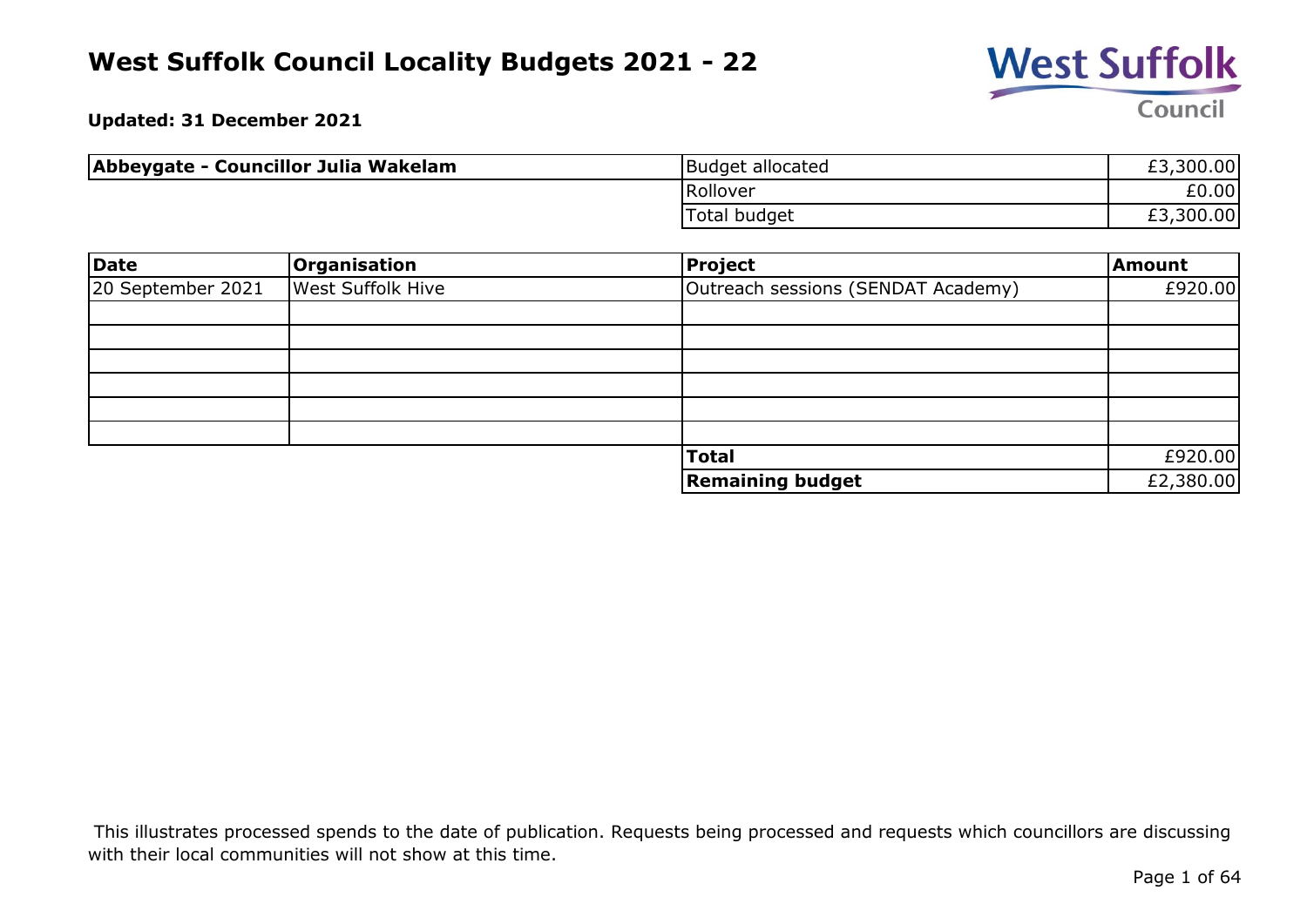

**Updated: 31 December 2021**

| Abbeygate - Councillor Julia Wakelam | Budget allocated    | £3,300.00 |
|--------------------------------------|---------------------|-----------|
|                                      | Rollover            | £0.00     |
|                                      | <b>Total budget</b> | £3,300.00 |

| Date              | Organisation             | Project                            | <b>Amount</b> |
|-------------------|--------------------------|------------------------------------|---------------|
| 20 September 2021 | <b>West Suffolk Hive</b> | Outreach sessions (SENDAT Academy) | £920.00       |
|                   |                          |                                    |               |
|                   |                          |                                    |               |
|                   |                          |                                    |               |
|                   |                          |                                    |               |
|                   |                          |                                    |               |
|                   |                          |                                    |               |
|                   |                          | <b>Total</b>                       | £920.00       |
|                   |                          | <b>Remaining budget</b>            | £2,380.00     |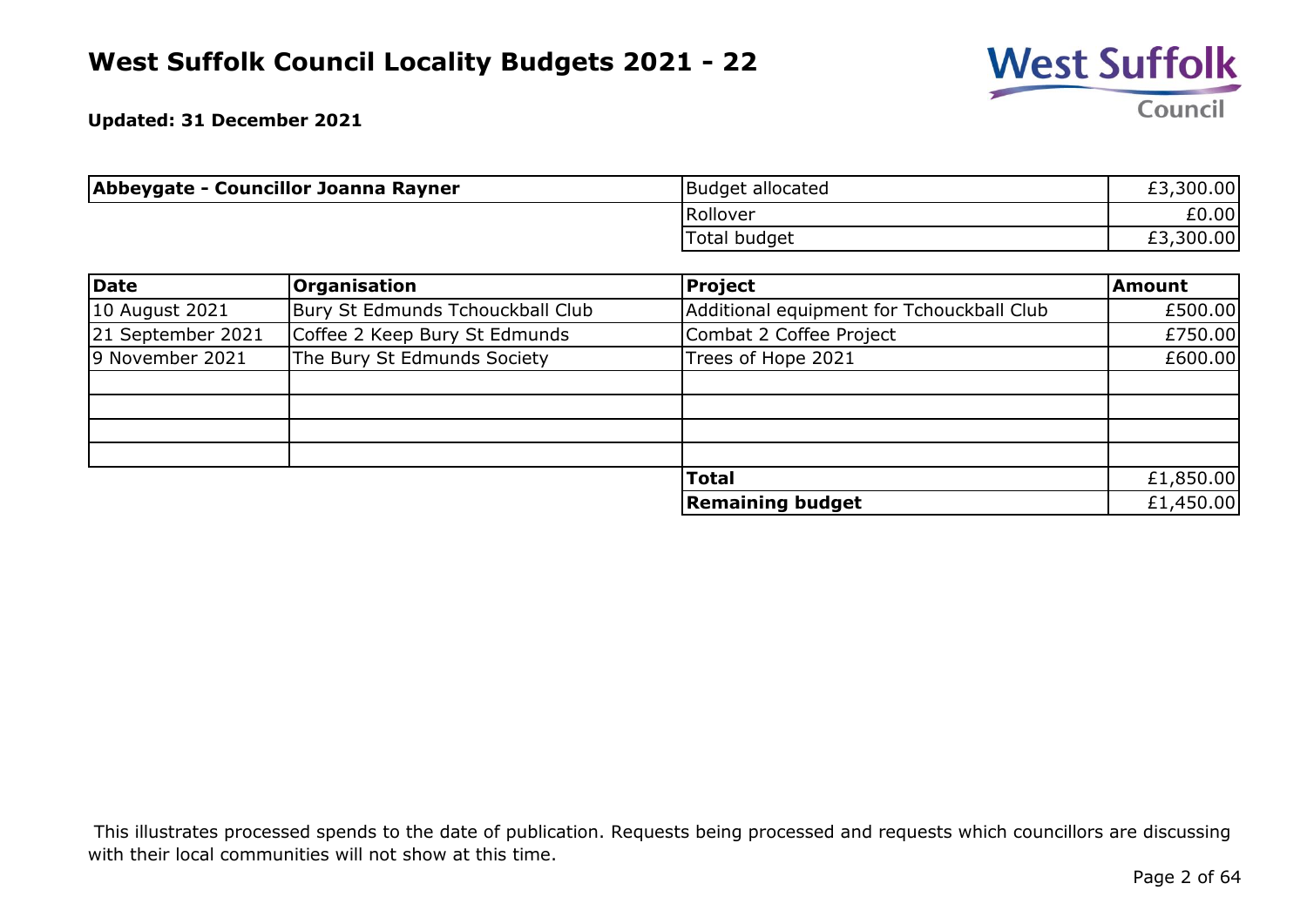

**Updated: 31 December 2021**

| Abbeygate - Councillor Joanna Rayner | Budget allocated    | £3,300.00 |
|--------------------------------------|---------------------|-----------|
|                                      | Rollover            | £0.00     |
|                                      | <b>Total budget</b> | £3,300.00 |

| Date              | <b>Organisation</b>              | Project                                   | <b>Amount</b> |
|-------------------|----------------------------------|-------------------------------------------|---------------|
| 10 August 2021    | Bury St Edmunds Tchouckball Club | Additional equipment for Tchouckball Club | £500.00       |
| 21 September 2021 | Coffee 2 Keep Bury St Edmunds    | Combat 2 Coffee Project                   | £750.00       |
| 9 November 2021   | The Bury St Edmunds Society      | Trees of Hope 2021                        | £600.00       |
|                   |                                  |                                           |               |
|                   |                                  |                                           |               |
|                   |                                  |                                           |               |
|                   |                                  |                                           |               |
|                   |                                  | <b>Total</b>                              | £1,850.00     |
|                   |                                  | <b>Remaining budget</b>                   | £1,450.00     |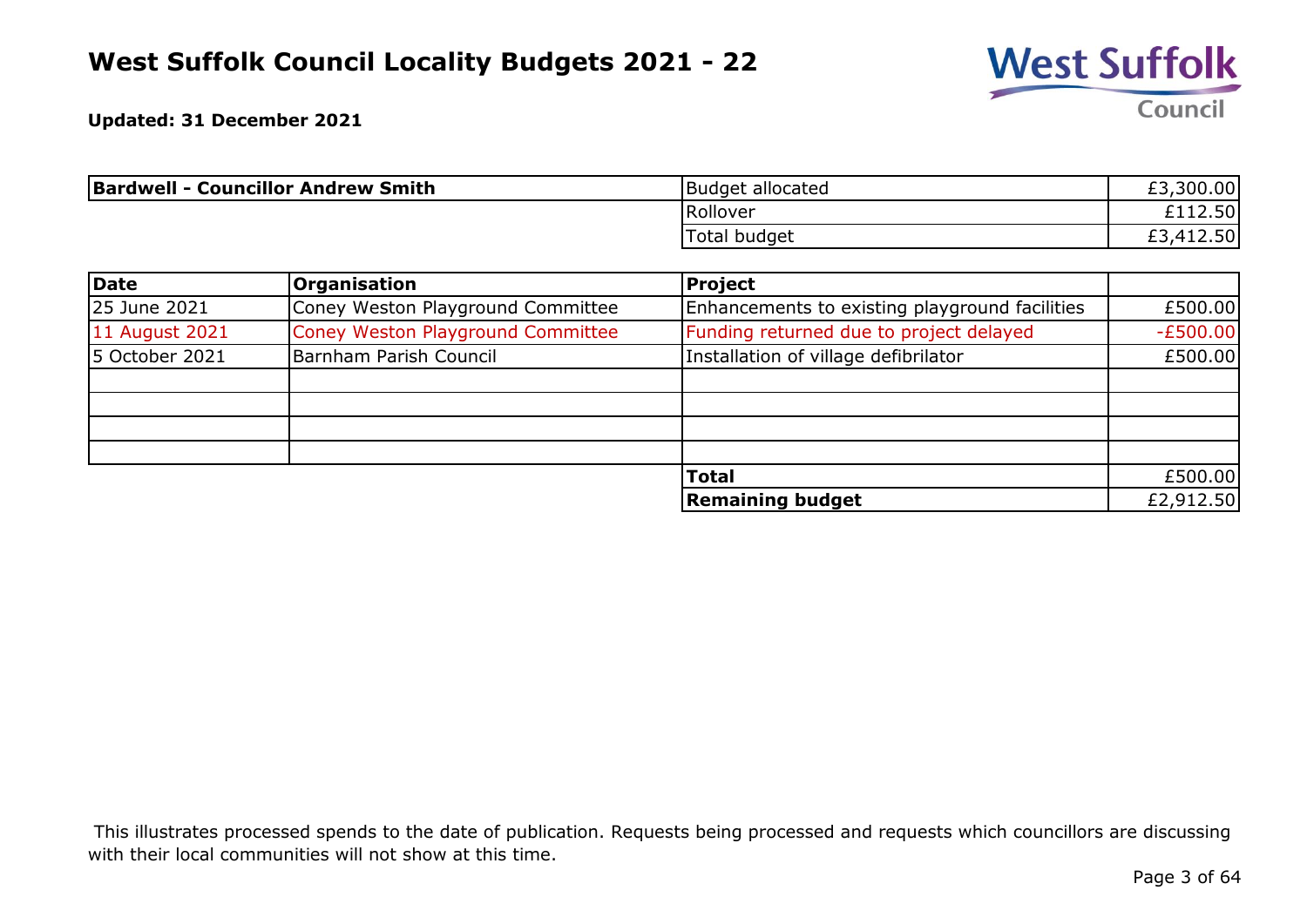

**Updated: 31 December 2021**

| <b>Bardwell - Councillor Andrew Smith</b> | Budget allocated | £3,300.00              |
|-------------------------------------------|------------------|------------------------|
|                                           | Rollover         | $-112.50$ <sup>1</sup> |
|                                           | Total budget     | ,412.50<br>£3          |

| Date           | Organisation                      | Project                                        |            |
|----------------|-----------------------------------|------------------------------------------------|------------|
| 25 June 2021   | Coney Weston Playground Committee | Enhancements to existing playground facilities | £500.00    |
| 11 August 2021 | Coney Weston Playground Committee | Funding returned due to project delayed        | $-E500.00$ |
| 5 October 2021 | Barnham Parish Council            | Installation of village defibrilator           | £500.00    |
|                |                                   |                                                |            |
|                |                                   |                                                |            |
|                |                                   |                                                |            |
|                |                                   |                                                |            |
|                |                                   | <b>Total</b>                                   | £500.00    |
|                |                                   | <b>Remaining budget</b>                        | £2,912.50  |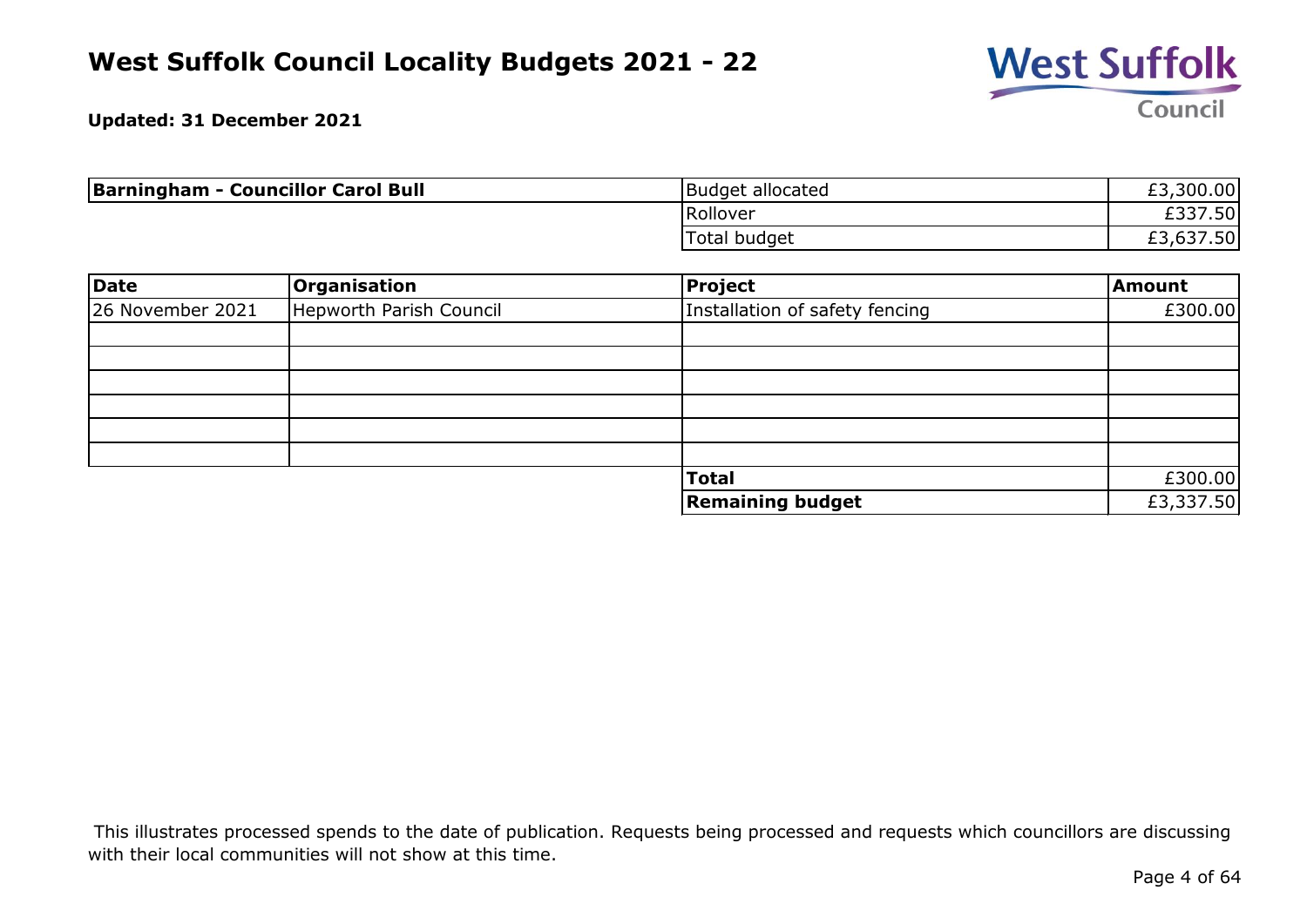

**Updated: 31 December 2021**

| <b>Barningham - Councillor Carol Bull</b> | Budget allocated | £3,300.00 |
|-------------------------------------------|------------------|-----------|
|                                           | Rollover         | £337.50   |
|                                           | Total budget     | £3,637.50 |

| Date             | Organisation            | Project                        | Amount    |
|------------------|-------------------------|--------------------------------|-----------|
| 26 November 2021 | Hepworth Parish Council | Installation of safety fencing | £300.00   |
|                  |                         |                                |           |
|                  |                         |                                |           |
|                  |                         |                                |           |
|                  |                         |                                |           |
|                  |                         |                                |           |
|                  |                         |                                |           |
|                  |                         | <b>Total</b>                   | £300.00   |
|                  |                         | <b>Remaining budget</b>        | £3,337.50 |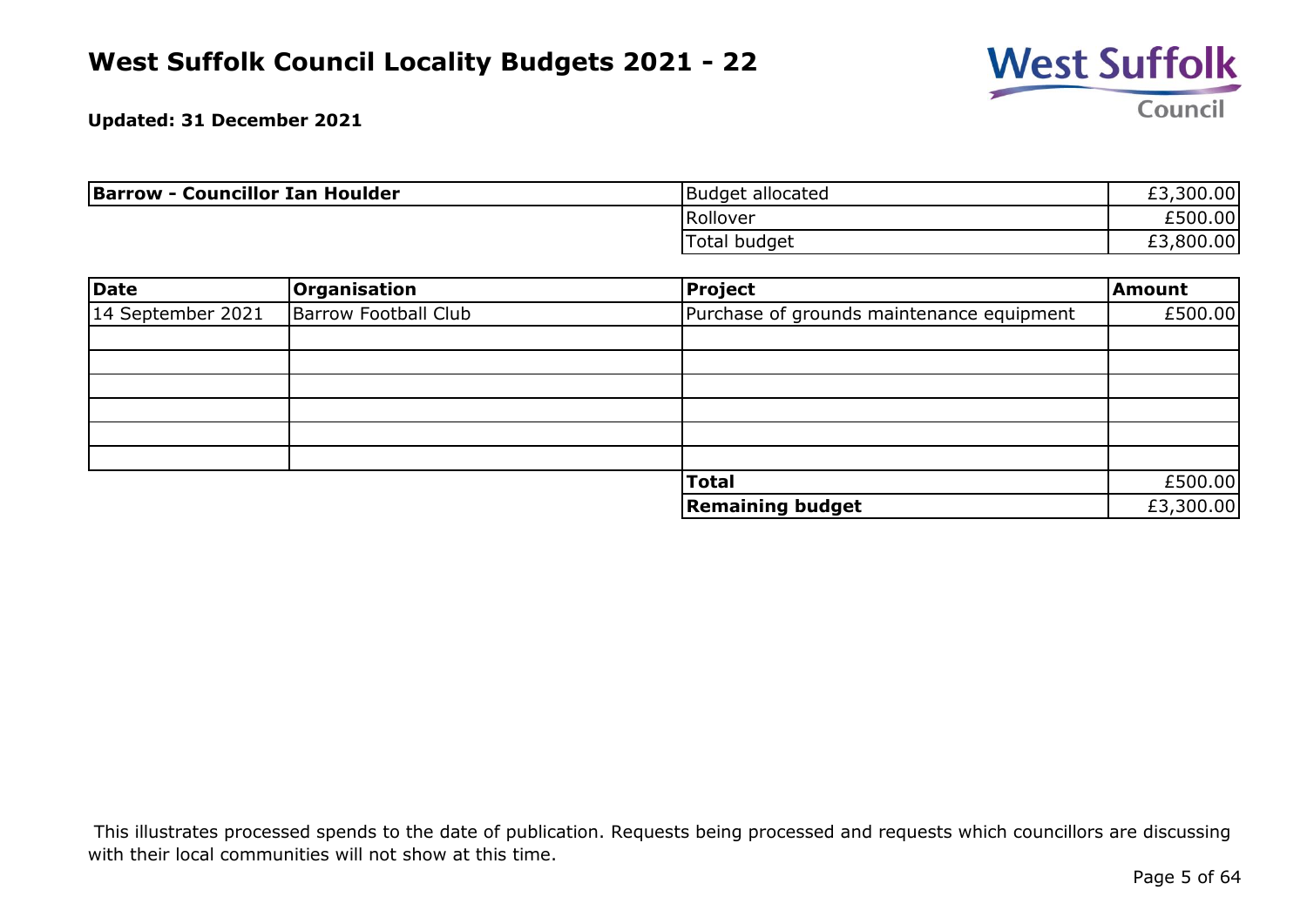

**Updated: 31 December 2021**

| <b>Barrow - Councillor Ian Houlder</b> | Budget allocated | £3,300.00 |
|----------------------------------------|------------------|-----------|
|                                        | Rollover         | £500.00   |
|                                        | Total budget     | £3,800.00 |

| Date              | Organisation                | <b>Project</b>                            | <b>Amount</b> |
|-------------------|-----------------------------|-------------------------------------------|---------------|
| 14 September 2021 | <b>Barrow Football Club</b> | Purchase of grounds maintenance equipment | £500.00       |
|                   |                             |                                           |               |
|                   |                             |                                           |               |
|                   |                             |                                           |               |
|                   |                             |                                           |               |
|                   |                             |                                           |               |
|                   |                             |                                           |               |
|                   |                             | <b>Total</b>                              | £500.00       |
|                   |                             | <b>Remaining budget</b>                   | £3,300.00     |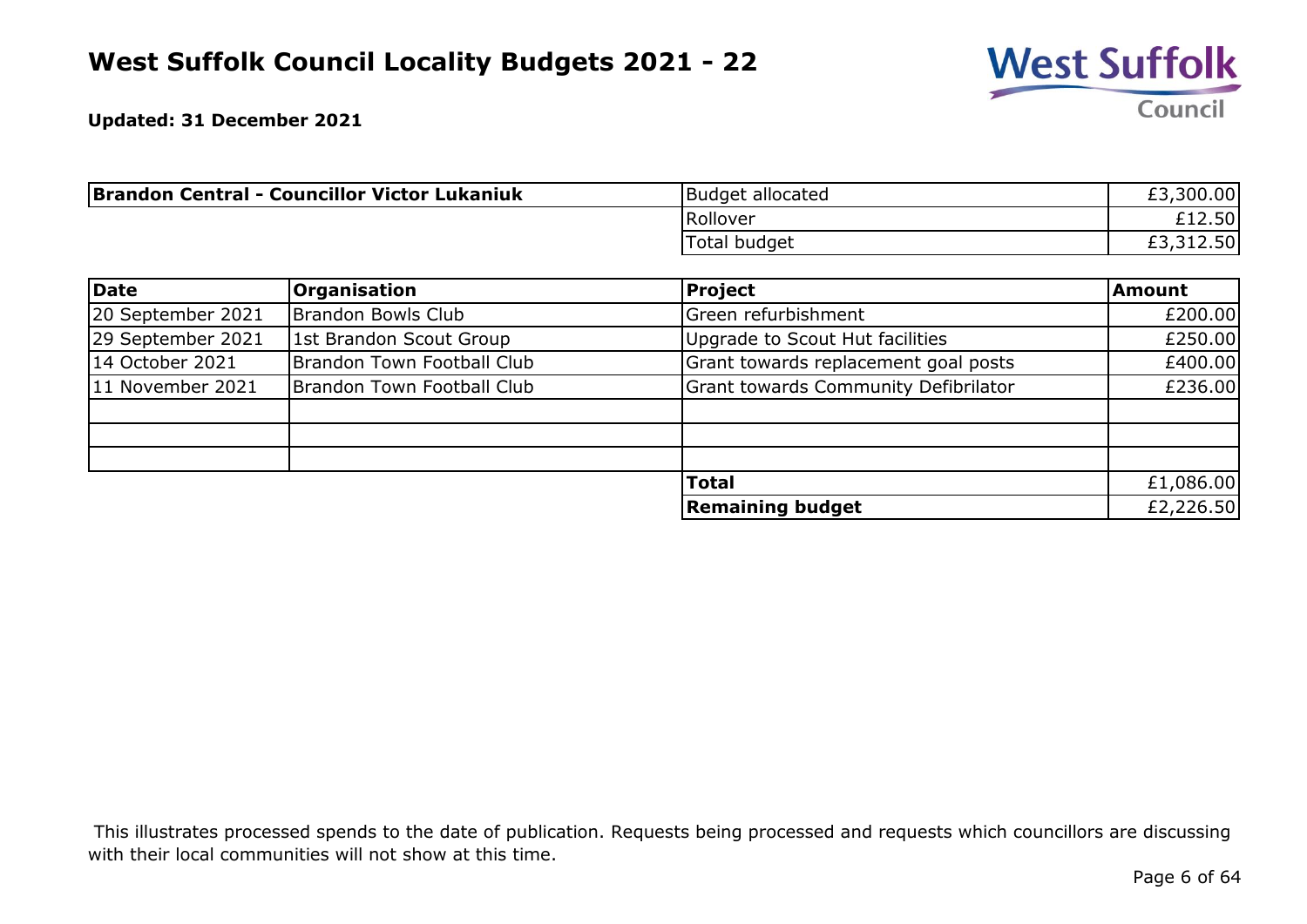

| <b>Brandon Central - Councillor Victor Lukaniuk</b> | Budget allocated    | ,300.00<br>£3. |
|-----------------------------------------------------|---------------------|----------------|
|                                                     | Rollover            | £12.50         |
|                                                     | <b>Total budget</b> | ,312.50        |

| Date              | <b>Organisation</b>        | <b>Project</b>                              | <b>Amount</b> |
|-------------------|----------------------------|---------------------------------------------|---------------|
| 20 September 2021 | Brandon Bowls Club         | Green refurbishment                         | £200.00       |
| 29 September 2021 | 1st Brandon Scout Group    | Upgrade to Scout Hut facilities             | £250.00       |
| 14 October 2021   | Brandon Town Football Club | Grant towards replacement goal posts        | £400.00       |
| 11 November 2021  | Brandon Town Football Club | <b>Grant towards Community Defibrilator</b> | £236.00       |
|                   |                            |                                             |               |
|                   |                            |                                             |               |
|                   |                            |                                             |               |
|                   |                            | <b>Total</b>                                | £1,086.00     |
|                   |                            | <b>Remaining budget</b>                     | £2,226.50     |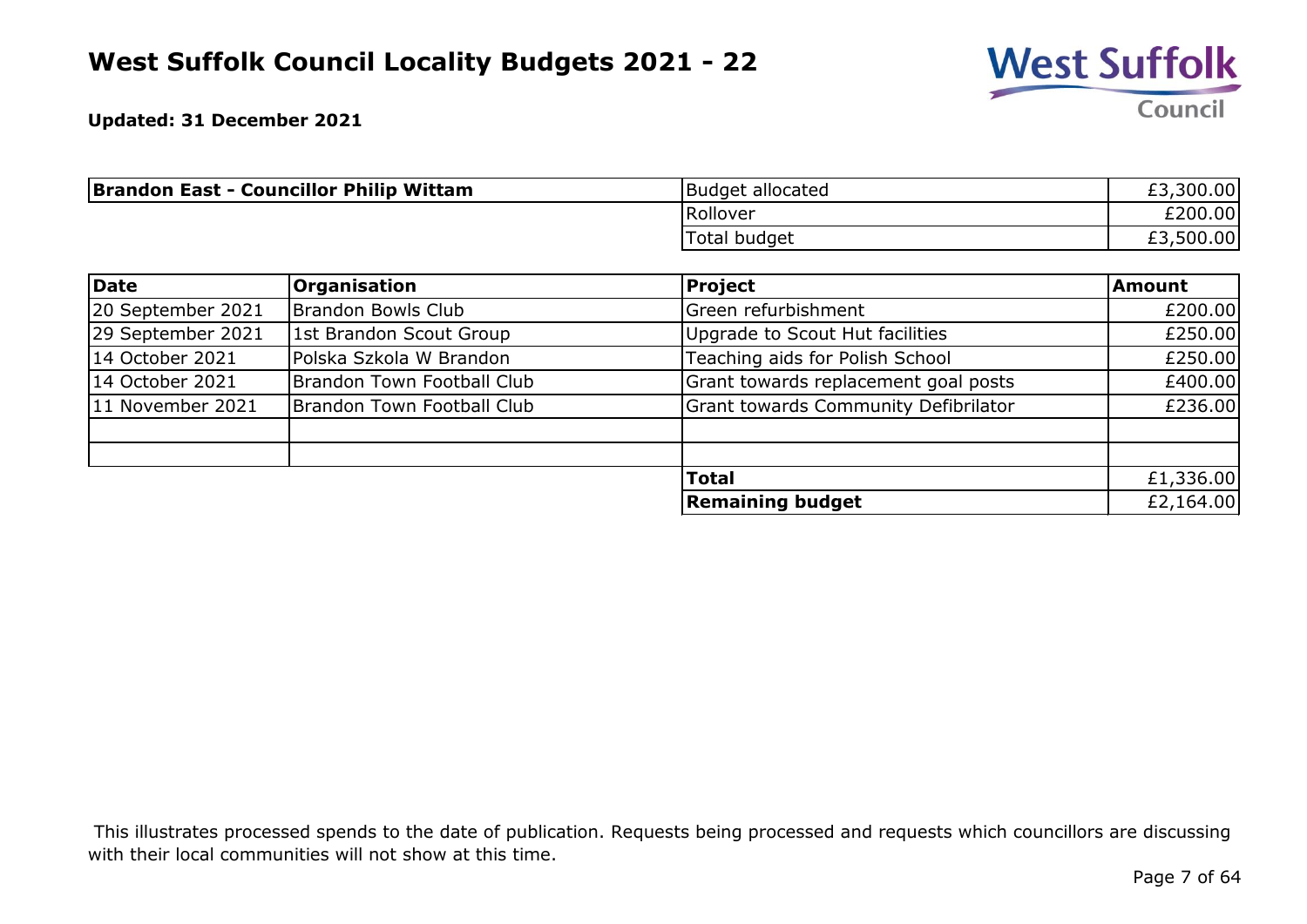

| <b>Brandon East - Councillor Philip Wittam</b> | <b>Budget allocated</b> | ,300.00<br>£3, |
|------------------------------------------------|-------------------------|----------------|
|                                                | Rollover                | £200.00        |
|                                                | Total budget            | £3,500.00      |

| Date              | <b>Organisation</b>        | <b>Project</b>                              | <b>Amount</b> |
|-------------------|----------------------------|---------------------------------------------|---------------|
| 20 September 2021 | Brandon Bowls Club         | Green refurbishment                         | £200.00       |
| 29 September 2021 | 1st Brandon Scout Group    | Upgrade to Scout Hut facilities             | £250.00       |
| 14 October 2021   | Polska Szkola W Brandon    | Teaching aids for Polish School             | £250.00       |
| 14 October 2021   | Brandon Town Football Club | Grant towards replacement goal posts        | £400.00       |
| 11 November 2021  | Brandon Town Football Club | <b>Grant towards Community Defibrilator</b> | £236.00       |
|                   |                            |                                             |               |
|                   |                            |                                             |               |
|                   |                            | <b>Total</b>                                | £1,336.00     |
|                   |                            | <b>Remaining budget</b>                     | £2,164.00     |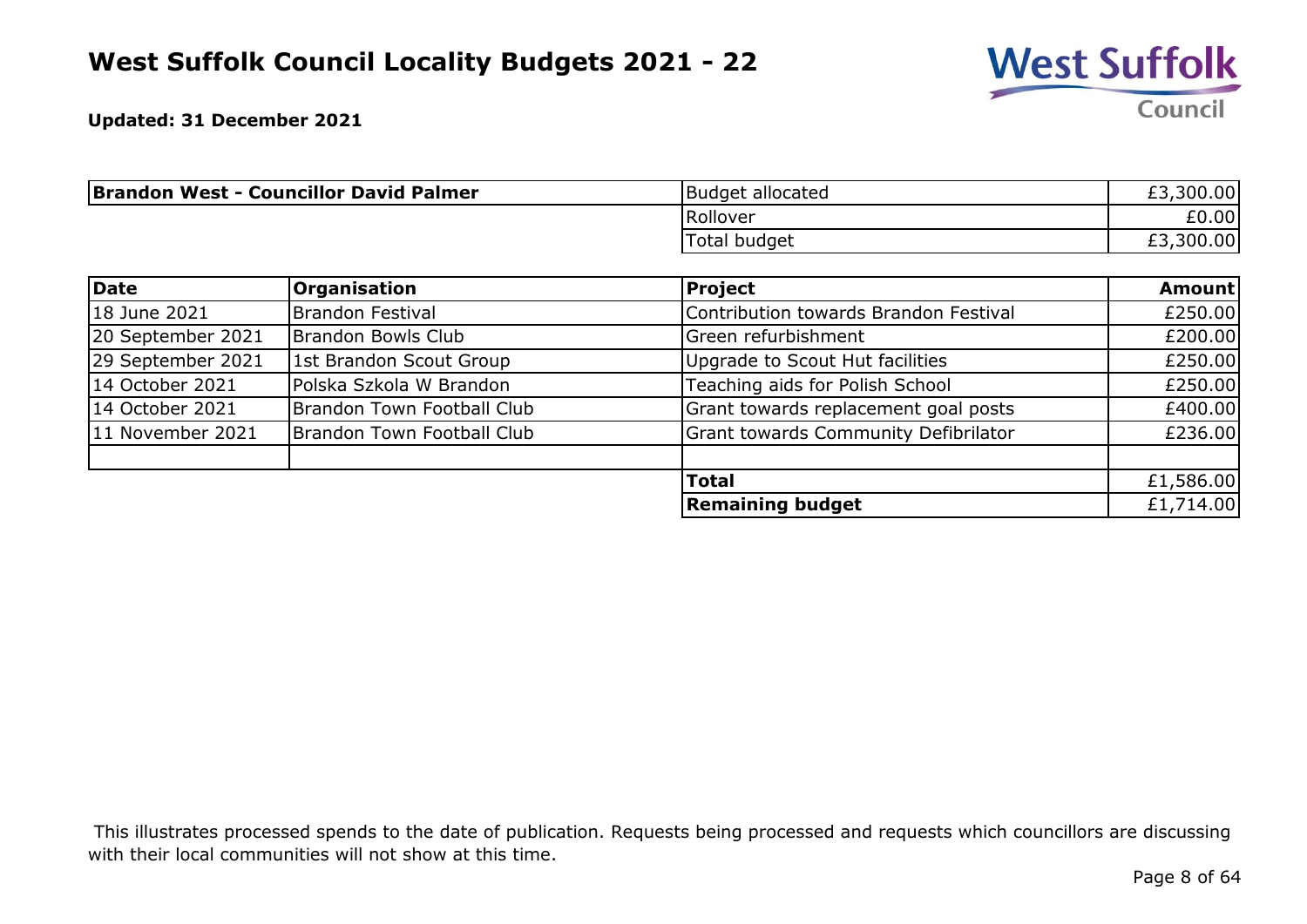

**Updated: 31 December 2021**

| <b>Brandon West - Councillor David Palmer</b> | Budget allocated | ,300.00<br>r di<br>LJ. |
|-----------------------------------------------|------------------|------------------------|
|                                               | Rollover         | £0.00                  |
|                                               | Total budget     | ,300.00<br>r di<br>LJ. |

| Date              | <b>Organisation</b>        | <b>Project</b>                              | <b>Amount</b> |
|-------------------|----------------------------|---------------------------------------------|---------------|
| 18 June 2021      | <b>Brandon Festival</b>    | Contribution towards Brandon Festival       | £250.00       |
| 20 September 2021 | Brandon Bowls Club         | Green refurbishment                         | £200.00       |
| 29 September 2021 | 1st Brandon Scout Group    | Upgrade to Scout Hut facilities             | £250.00       |
| 14 October 2021   | Polska Szkola W Brandon    | Teaching aids for Polish School             | £250.00       |
| 14 October 2021   | Brandon Town Football Club | Grant towards replacement goal posts        | £400.00       |
| 11 November 2021  | Brandon Town Football Club | <b>Grant towards Community Defibrilator</b> | £236.00       |
|                   |                            | <b>Total</b>                                | £1,586.00     |
|                   |                            | <b>Remaining budget</b>                     | £1,714.00     |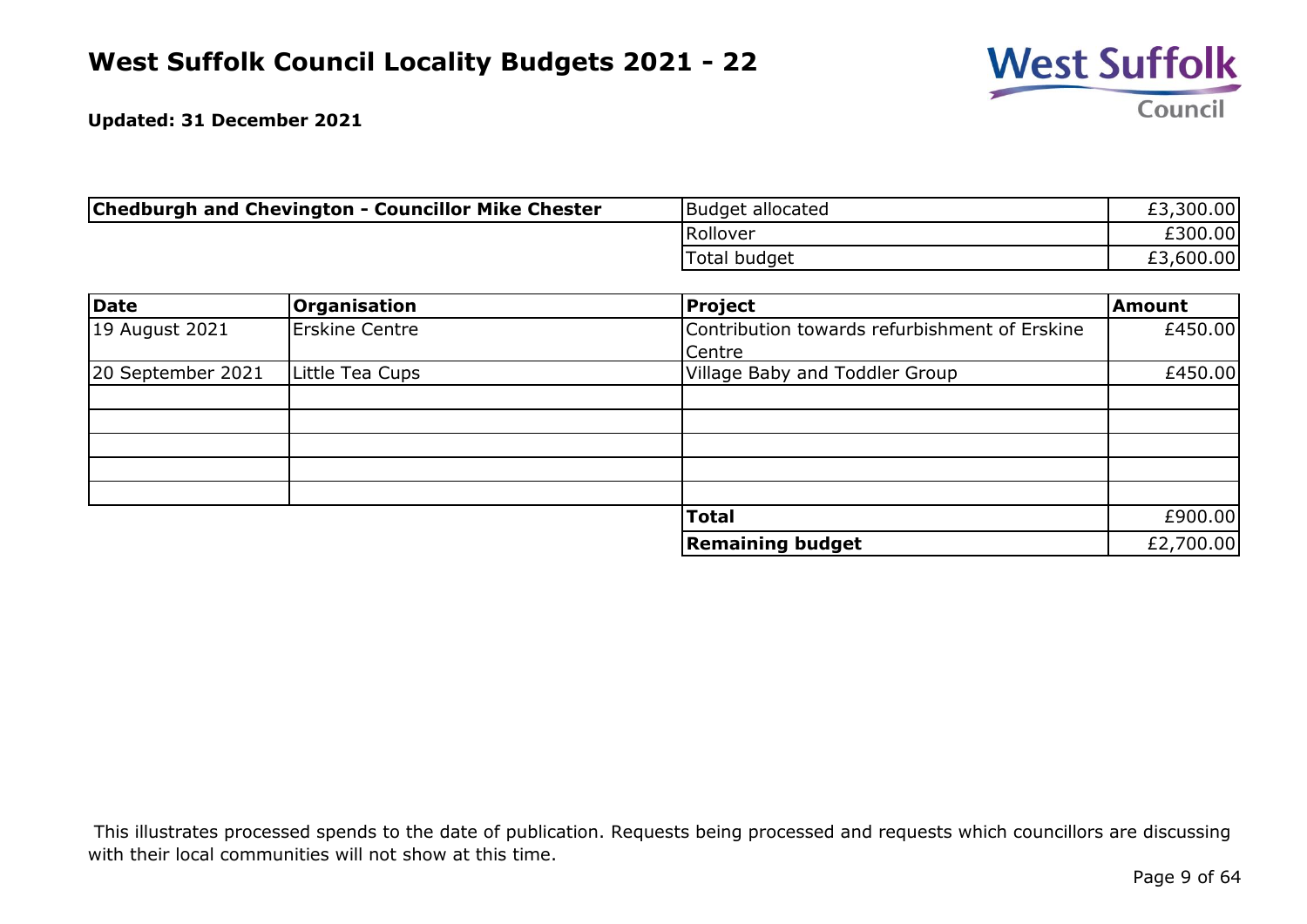

| <b>Chedburgh and Chevington - Councillor Mike Chester</b> | Budget allocated | £3,300.00 |
|-----------------------------------------------------------|------------------|-----------|
|                                                           | Rollover         | £300.00   |
|                                                           | 'Total budget    | £3,600.00 |

| <b>Date</b>       | <b>Organisation</b>   | <b>Project</b>                                | <b>Amount</b> |
|-------------------|-----------------------|-----------------------------------------------|---------------|
| 19 August 2021    | <b>Erskine Centre</b> | Contribution towards refurbishment of Erskine | £450.00       |
|                   |                       | Centre                                        |               |
| 20 September 2021 | Little Tea Cups       | Village Baby and Toddler Group                | £450.00       |
|                   |                       |                                               |               |
|                   |                       |                                               |               |
|                   |                       |                                               |               |
|                   |                       |                                               |               |
|                   |                       |                                               |               |
|                   |                       | <b>Total</b>                                  | £900.00       |
|                   |                       | <b>Remaining budget</b>                       | £2,700.00     |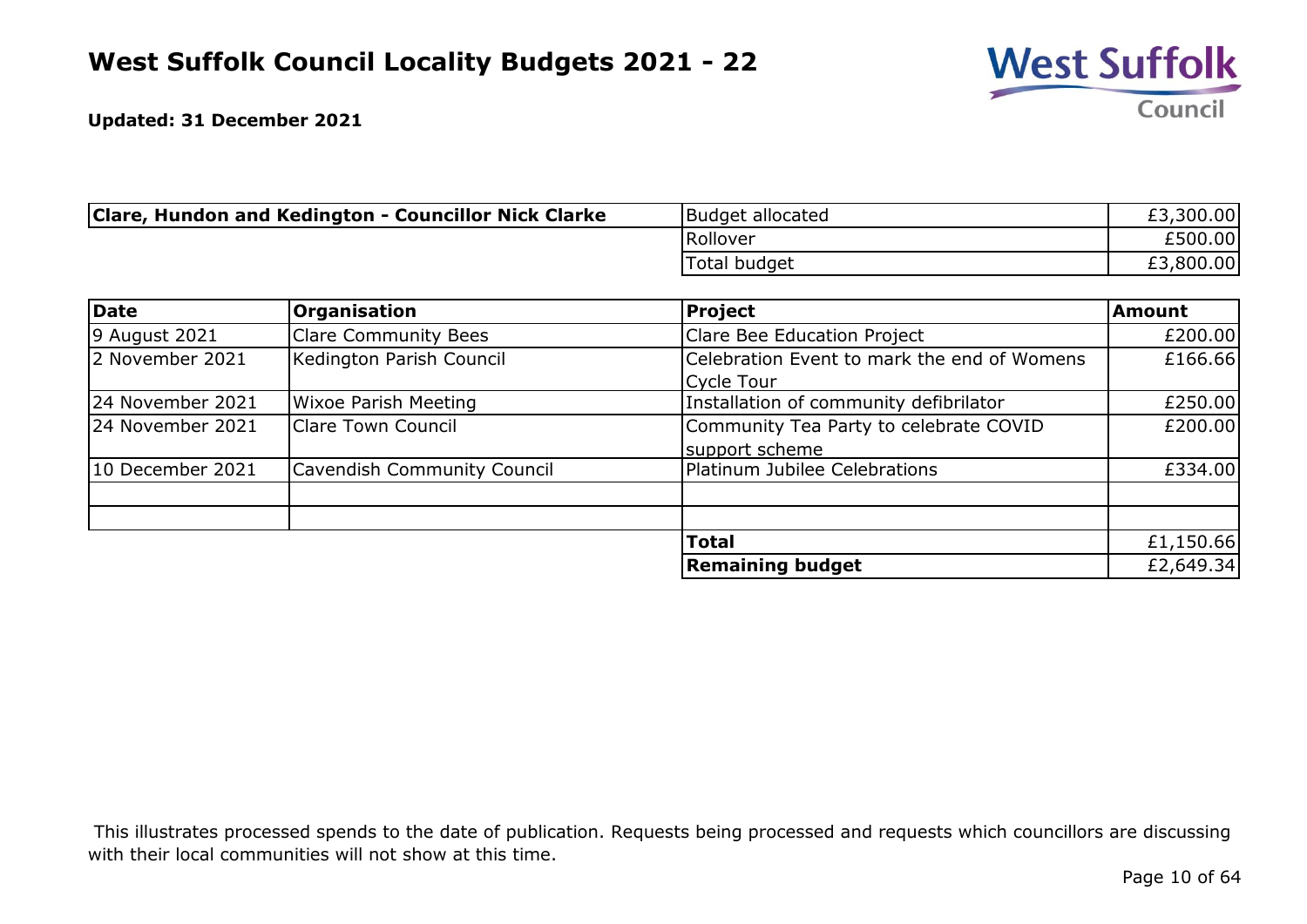

| Clare, Hundon and Kedington - Councillor Nick Clarke | Budget allocated | £3,300.00 |
|------------------------------------------------------|------------------|-----------|
|                                                      | Rollover         | £500.00   |
|                                                      | Total budget     | £3,800.00 |

| Date             | Organisation                       | <b>Project</b>                              | <b>Amount</b> |
|------------------|------------------------------------|---------------------------------------------|---------------|
| 9 August 2021    | <b>Clare Community Bees</b>        | Clare Bee Education Project                 | £200.00       |
| 2 November 2021  | Kedington Parish Council           | Celebration Event to mark the end of Womens | £166.66       |
|                  |                                    | Cycle Tour                                  |               |
| 24 November 2021 | <b>Wixoe Parish Meeting</b>        | Installation of community defibrilator      | £250.00       |
| 24 November 2021 | <b>Clare Town Council</b>          | Community Tea Party to celebrate COVID      | £200.00       |
|                  |                                    | support scheme                              |               |
| 10 December 2021 | <b>Cavendish Community Council</b> | Platinum Jubilee Celebrations               | £334.00       |
|                  |                                    |                                             |               |
|                  |                                    |                                             |               |
|                  |                                    | <b>Total</b>                                | £1,150.66     |
|                  |                                    | <b>Remaining budget</b>                     | £2,649.34     |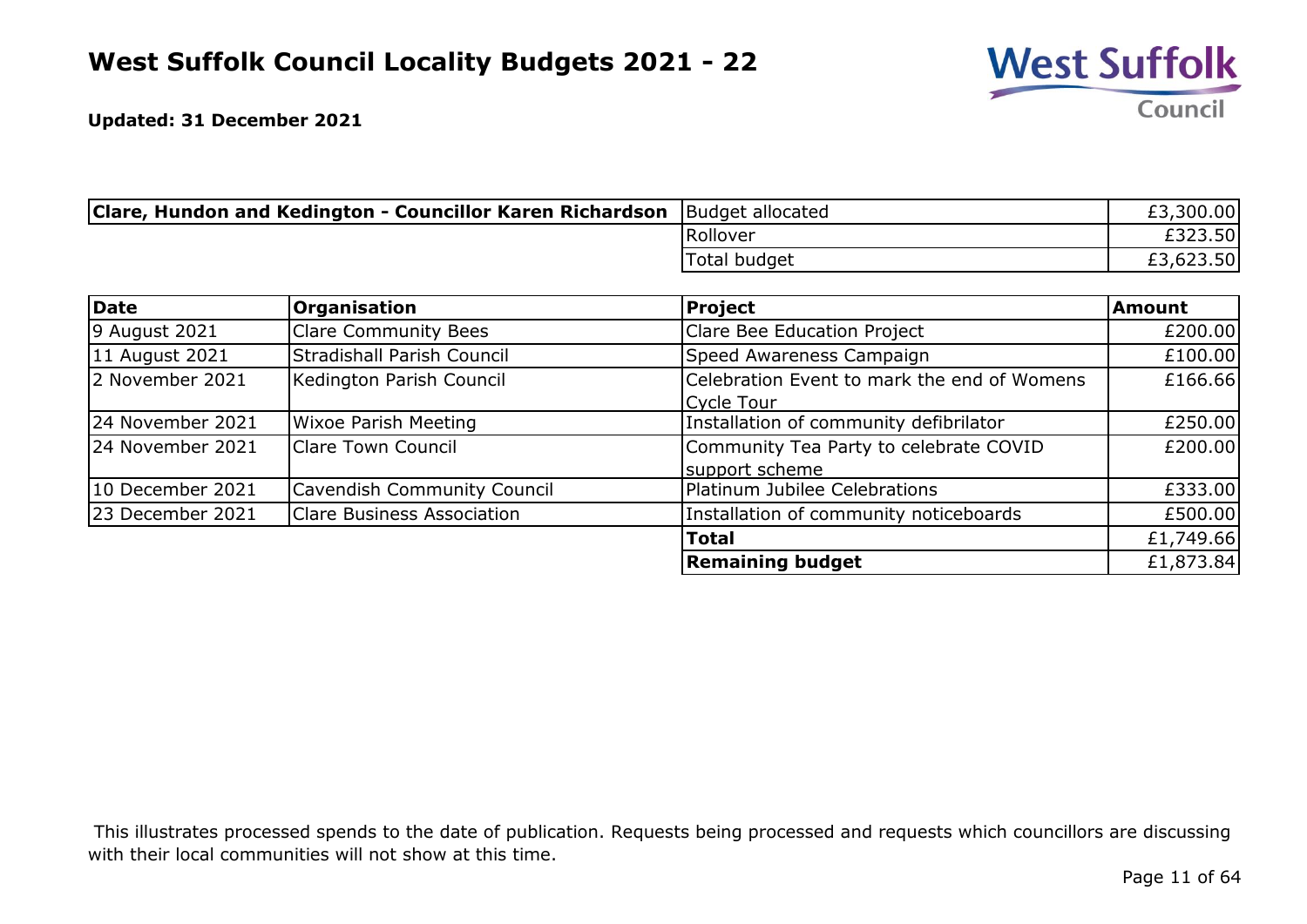

| Clare, Hundon and Kedington - Councillor Karen Richardson | Budget allocated | £3,300.00 |
|-----------------------------------------------------------|------------------|-----------|
|                                                           | Rollover         | £323.50   |
|                                                           | Total budget     | £3,623.50 |

| Date             | Organisation                      | <b>Project</b>                              | <b>Amount</b> |
|------------------|-----------------------------------|---------------------------------------------|---------------|
| 9 August 2021    | <b>Clare Community Bees</b>       | Clare Bee Education Project                 | £200.00       |
| 11 August 2021   | Stradishall Parish Council        | Speed Awareness Campaign                    | £100.00       |
| 2 November 2021  | Kedington Parish Council          | Celebration Event to mark the end of Womens | £166.66       |
|                  |                                   | Cycle Tour                                  |               |
| 24 November 2021 | <b>Wixoe Parish Meeting</b>       | Installation of community defibrilator      | £250.00       |
| 24 November 2021 | <b>Clare Town Council</b>         | Community Tea Party to celebrate COVID      | £200.00       |
|                  |                                   | support scheme                              |               |
| 10 December 2021 | Cavendish Community Council       | Platinum Jubilee Celebrations               | £333.00       |
| 23 December 2021 | <b>Clare Business Association</b> | Installation of community noticeboards      | £500.00       |
|                  |                                   | <b>Total</b>                                | £1,749.66     |
|                  |                                   | <b>Remaining budget</b>                     | £1,873.84     |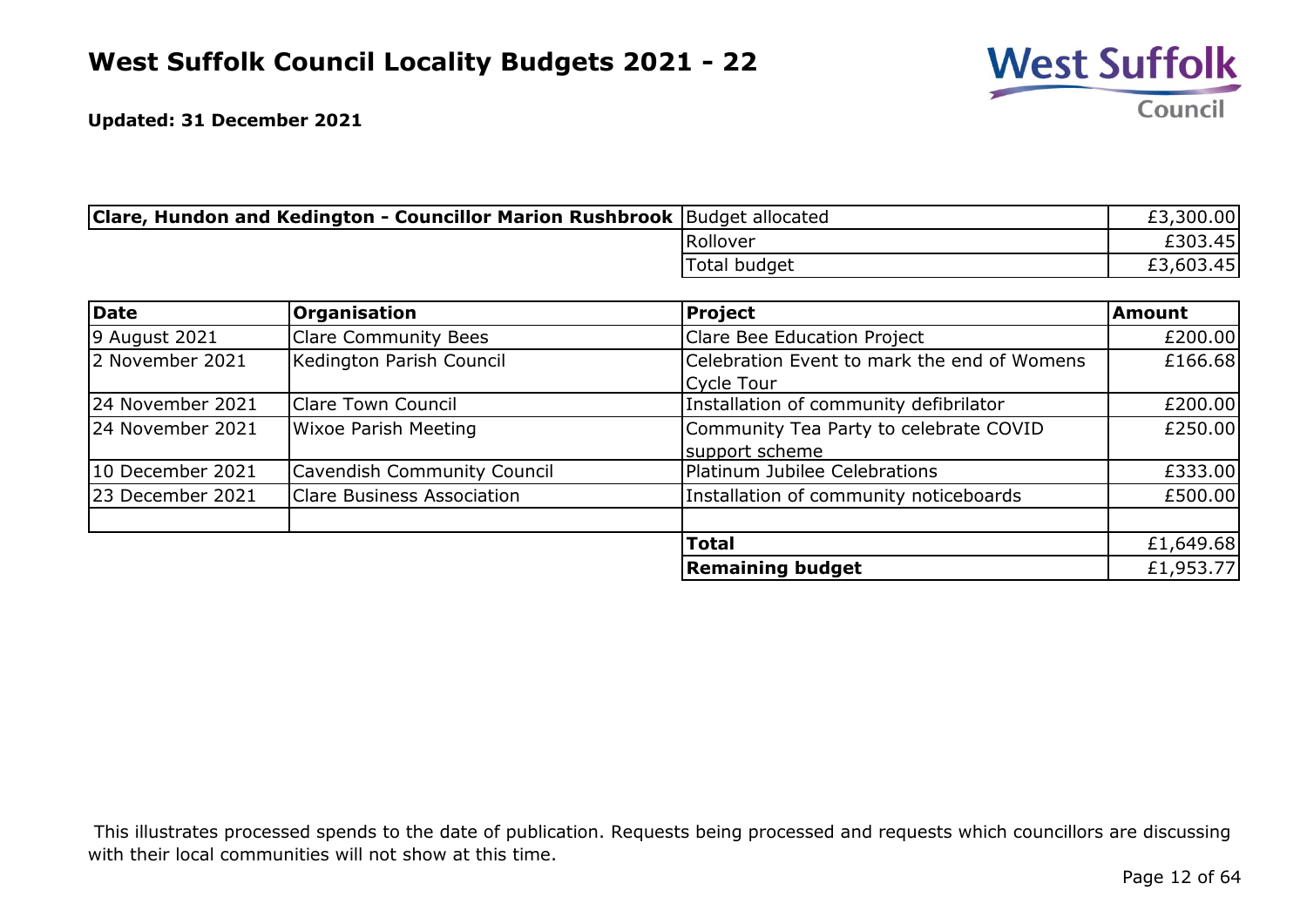

| <b>Clare, Hundon and Kedington - Councillor Marion Rushbrook</b> Budget allocated |              | £3,300.00 |
|-----------------------------------------------------------------------------------|--------------|-----------|
|                                                                                   | Rollover     | £303.45   |
|                                                                                   | Total budget | £3,603.45 |

| Date             | <b>Organisation</b>                | <b>Project</b>                              | <b>Amount</b> |
|------------------|------------------------------------|---------------------------------------------|---------------|
| 9 August 2021    | <b>Clare Community Bees</b>        | Clare Bee Education Project                 | £200.00       |
| 2 November 2021  | Kedington Parish Council           | Celebration Event to mark the end of Womens | £166.68       |
|                  |                                    | Cycle Tour                                  |               |
| 24 November 2021 | <b>Clare Town Council</b>          | Installation of community defibrilator      | £200.00       |
| 24 November 2021 | <b>Wixoe Parish Meeting</b>        | Community Tea Party to celebrate COVID      | £250.00       |
|                  |                                    | support scheme                              |               |
| 10 December 2021 | <b>Cavendish Community Council</b> | Platinum Jubilee Celebrations               | £333.00       |
| 23 December 2021 | <b>Clare Business Association</b>  | Installation of community noticeboards      | £500.00       |
|                  |                                    |                                             |               |
|                  |                                    | <b>Total</b>                                | £1,649.68     |
|                  |                                    | <b>Remaining budget</b>                     | £1,953.77     |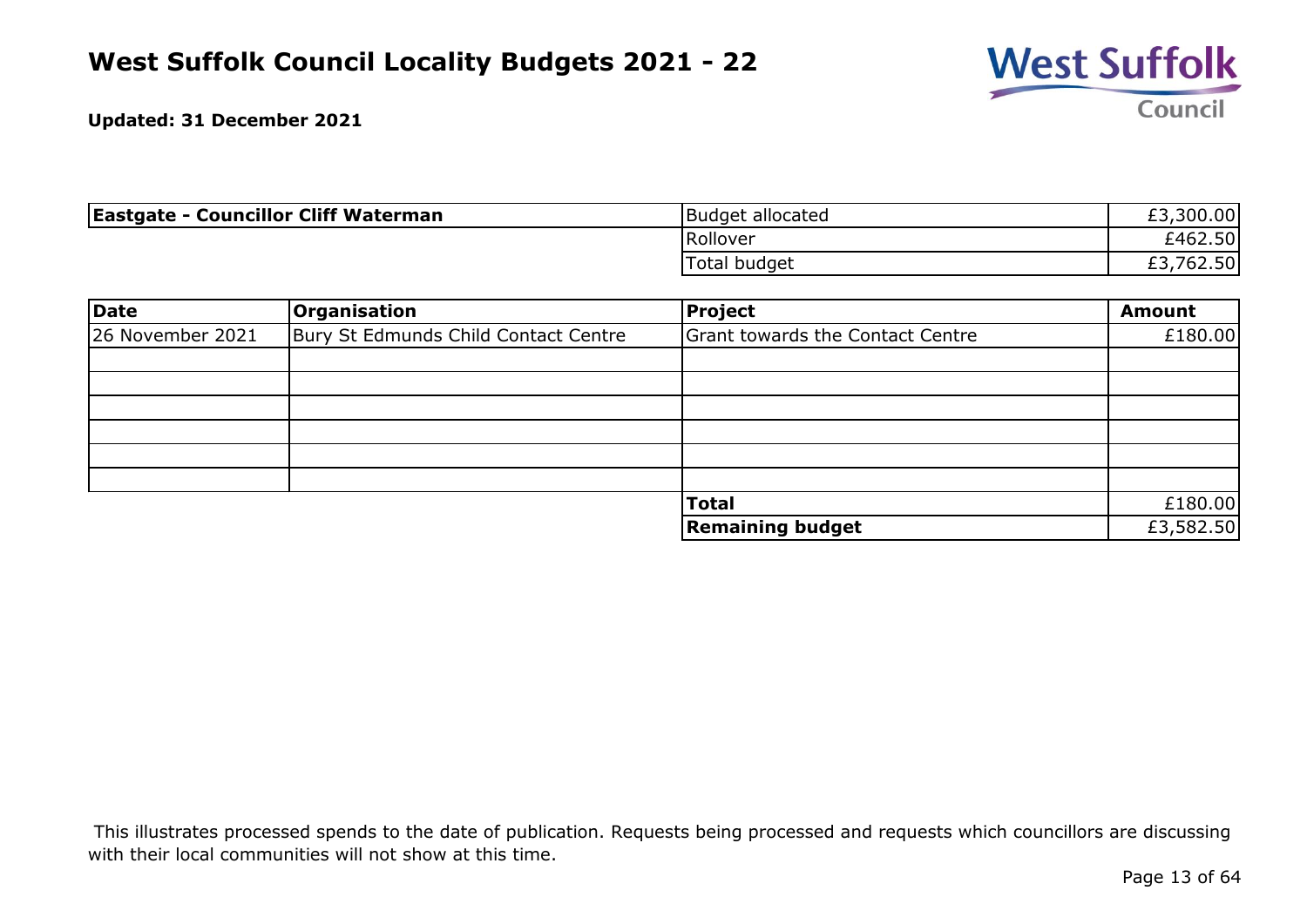

| <b>Eastgate - Councillor Cliff Waterman</b> | Budget allocated | £3,300.00      |
|---------------------------------------------|------------------|----------------|
|                                             | Rollover         | £462.50        |
|                                             | Total budget     | ,762.50<br>£3, |

| Date             | Organisation                         | <b>Project</b>                          | <b>Amount</b> |
|------------------|--------------------------------------|-----------------------------------------|---------------|
| 26 November 2021 | Bury St Edmunds Child Contact Centre | <b>Grant towards the Contact Centre</b> | £180.00       |
|                  |                                      |                                         |               |
|                  |                                      |                                         |               |
|                  |                                      |                                         |               |
|                  |                                      |                                         |               |
|                  |                                      |                                         |               |
|                  |                                      |                                         |               |
|                  |                                      | <b>Total</b>                            | £180.00       |
|                  |                                      | <b>Remaining budget</b>                 | £3,582.50     |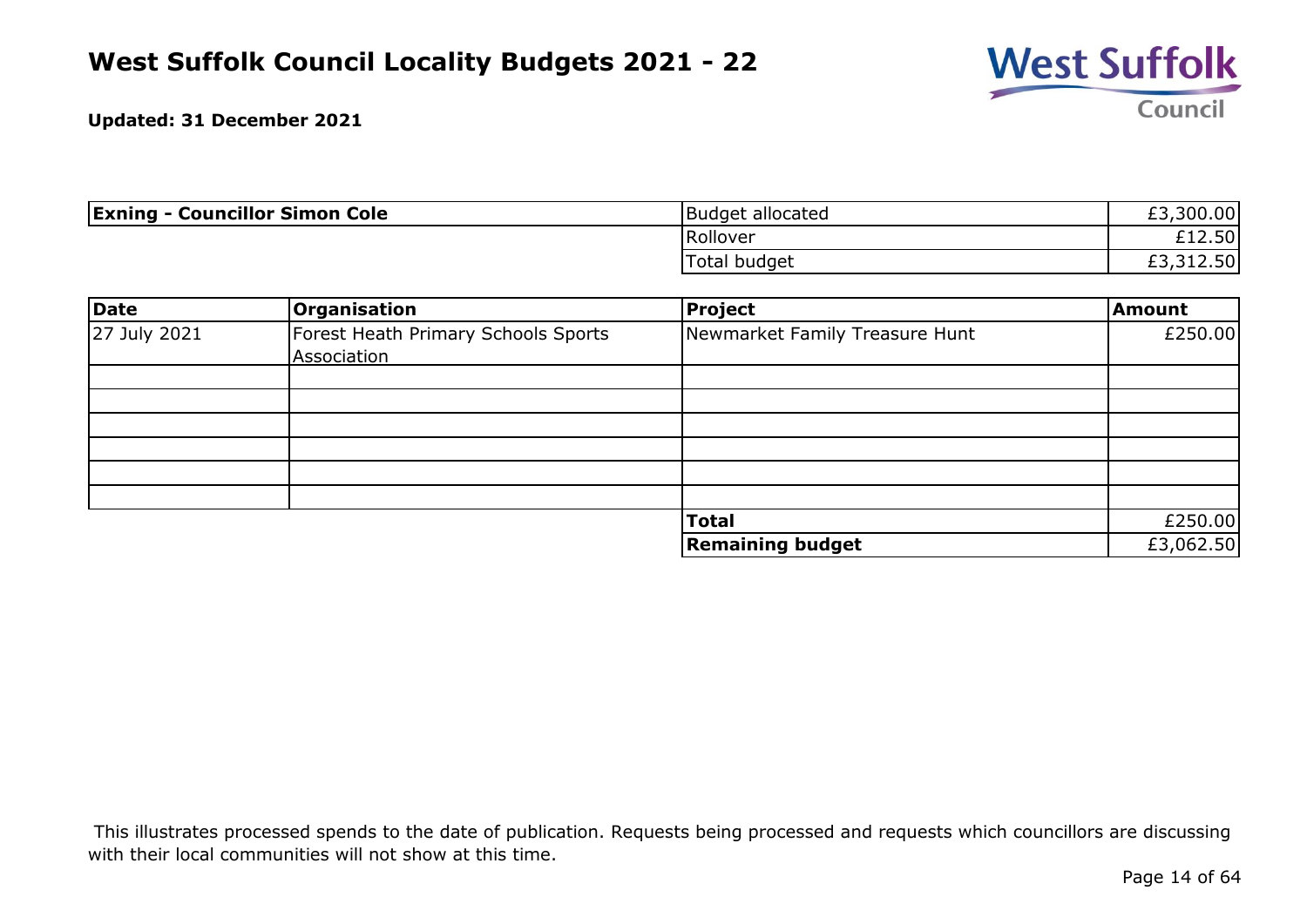

| <b>Exning - Councillor Simon Cole</b> | Budget allocated | £3,300.00 |
|---------------------------------------|------------------|-----------|
|                                       | Rollover         | £12.50    |
|                                       | Total budget     | £3,312.50 |

| Date         | Organisation                        | Project                        | <b>Amount</b> |
|--------------|-------------------------------------|--------------------------------|---------------|
| 27 July 2021 | Forest Heath Primary Schools Sports | Newmarket Family Treasure Hunt | £250.00       |
|              | Association                         |                                |               |
|              |                                     |                                |               |
|              |                                     |                                |               |
|              |                                     |                                |               |
|              |                                     |                                |               |
|              |                                     |                                |               |
|              |                                     |                                |               |
|              |                                     | <b>Total</b>                   | £250.00       |
|              |                                     | <b>Remaining budget</b>        | £3,062.50     |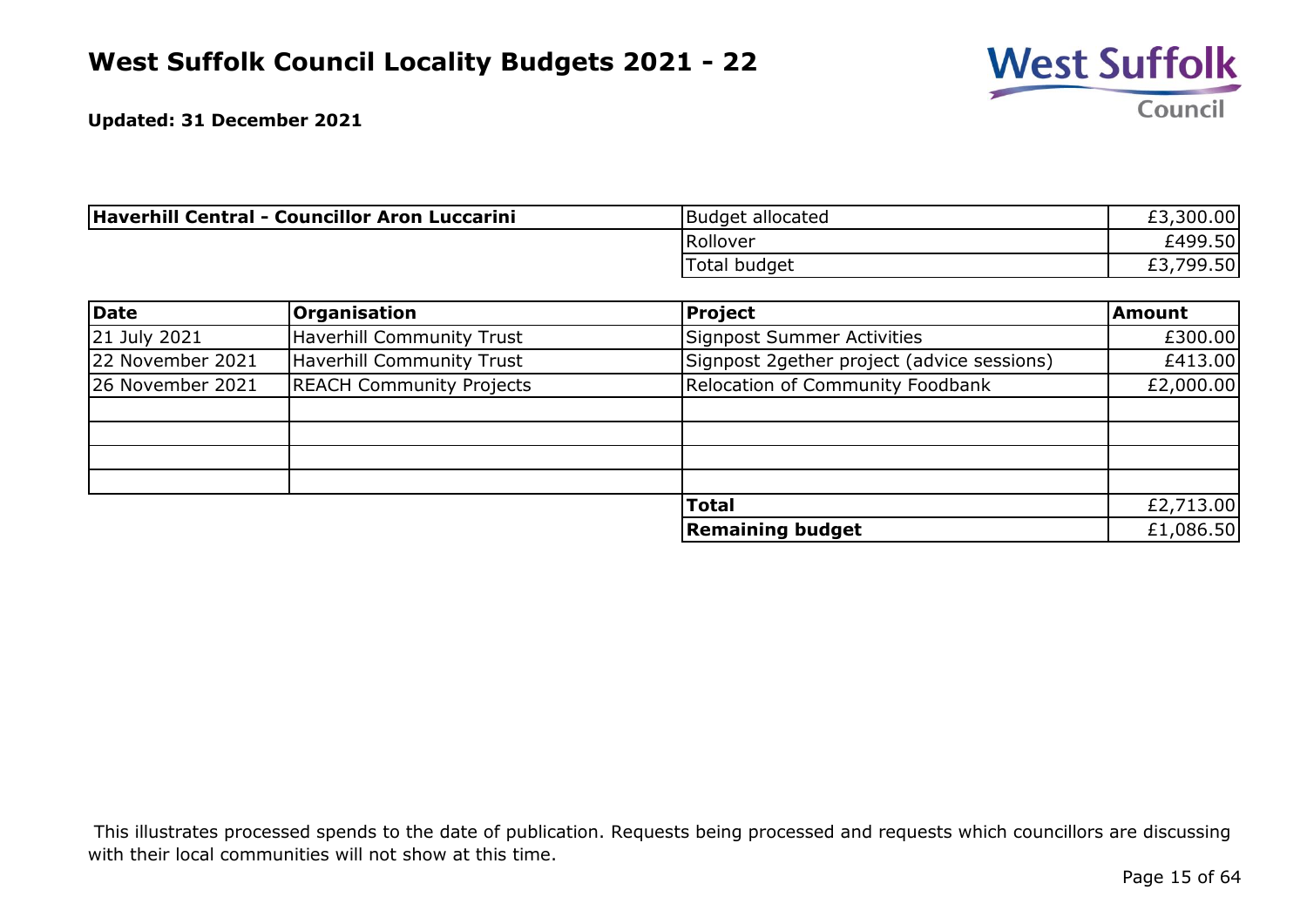

| Haverhill Central - Councillor Aron Luccarini | Budget allocated    | £3,300.00      |
|-----------------------------------------------|---------------------|----------------|
|                                               | Rollover            | £499.50        |
|                                               | <b>Total budget</b> | ا799.50,<br>C. |

| Date             | <b>Organisation</b>              | <b>Project</b>                             | <b>Amount</b> |
|------------------|----------------------------------|--------------------------------------------|---------------|
| 21 July 2021     | <b>Haverhill Community Trust</b> | <b>Signpost Summer Activities</b>          | £300.00       |
| 22 November 2021 | <b>Haverhill Community Trust</b> | Signpost 2gether project (advice sessions) | £413.00       |
| 26 November 2021 | <b>REACH Community Projects</b>  | Relocation of Community Foodbank           | £2,000.00     |
|                  |                                  |                                            |               |
|                  |                                  |                                            |               |
|                  |                                  |                                            |               |
|                  |                                  |                                            |               |
|                  |                                  | <b>Total</b>                               | £2,713.00     |
|                  |                                  | <b>Remaining budget</b>                    | £1,086.50     |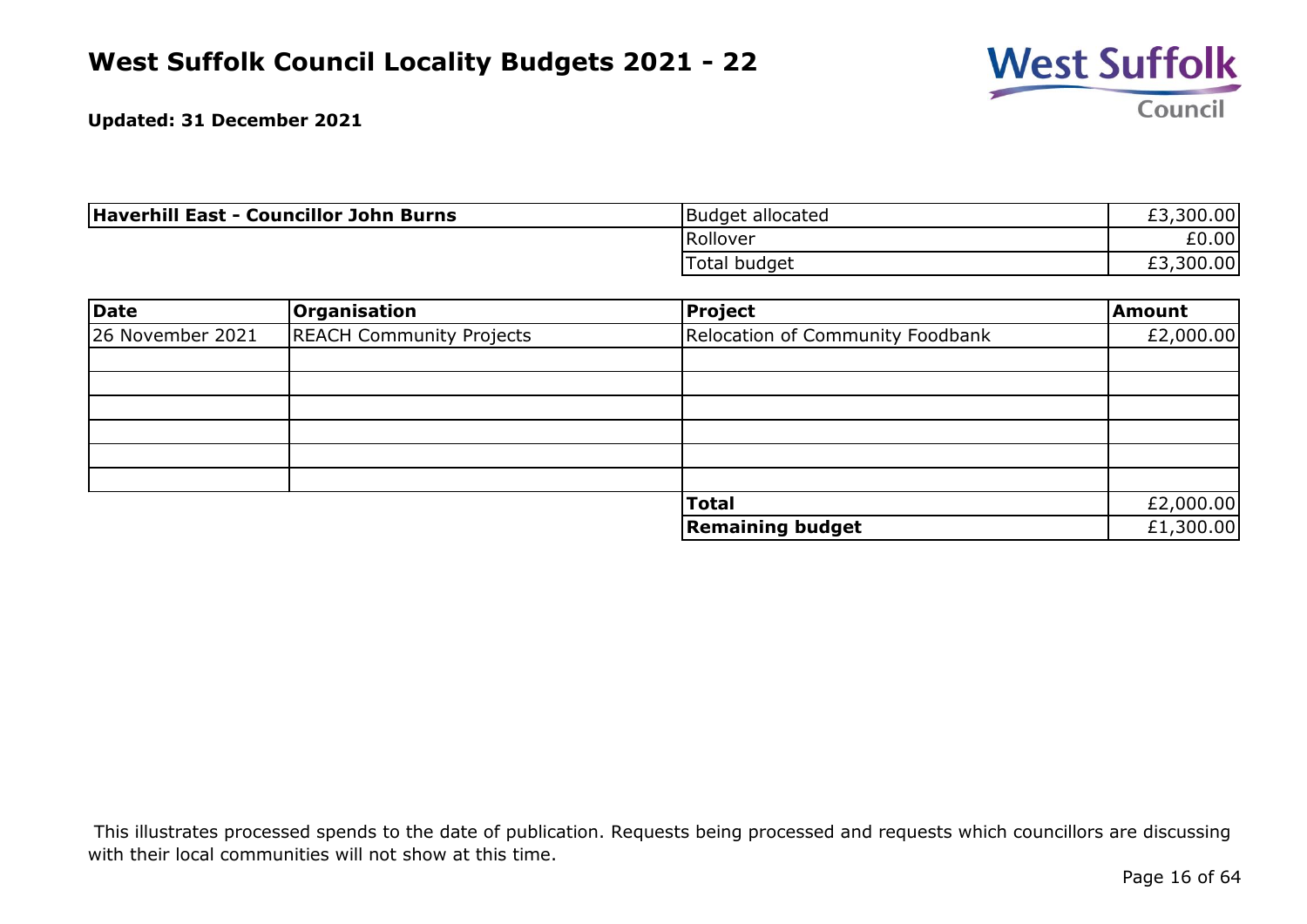

| <b>Haverhill East - Councillor John Burns</b> | Budget allocated | £3,300.00 |
|-----------------------------------------------|------------------|-----------|
|                                               | Rollover         | £0.00     |
|                                               | Total budget     | £3,300.00 |

| Date             | Organisation                    | Project                          | <b>Amount</b> |
|------------------|---------------------------------|----------------------------------|---------------|
| 26 November 2021 | <b>REACH Community Projects</b> | Relocation of Community Foodbank | £2,000.00     |
|                  |                                 |                                  |               |
|                  |                                 |                                  |               |
|                  |                                 |                                  |               |
|                  |                                 |                                  |               |
|                  |                                 |                                  |               |
|                  |                                 |                                  |               |
|                  |                                 | <b>Total</b>                     | £2,000.00     |
|                  |                                 | <b>Remaining budget</b>          | £1,300.00     |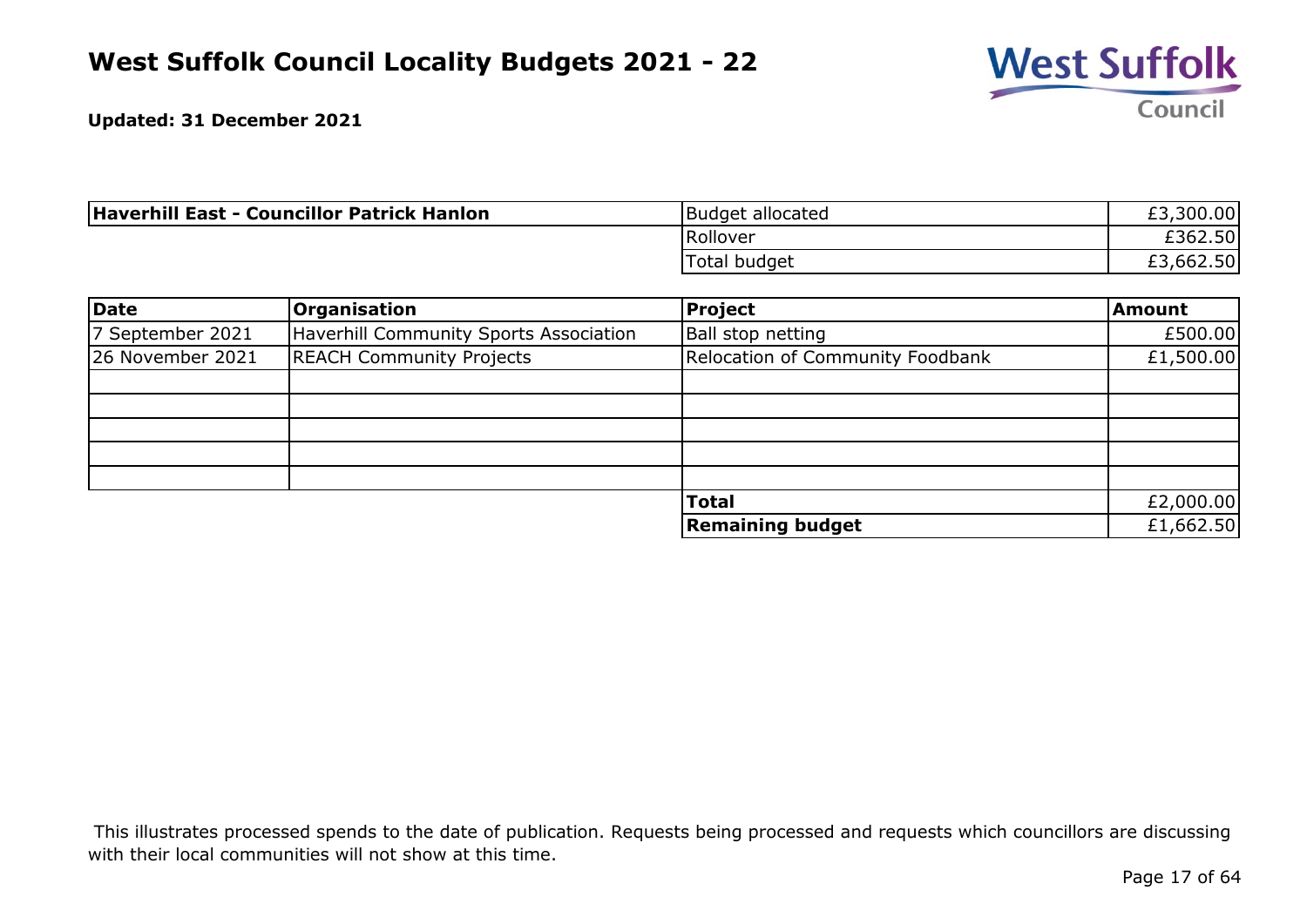

| Haverhill East - Councillor Patrick Hanlon | Budget allocated | £3,300.00 |
|--------------------------------------------|------------------|-----------|
|                                            | Rollover         | £362.50   |
|                                            | Total budget     | ,662.50   |

| Date             | <b>Organisation</b>                           | Project                          | Amount    |
|------------------|-----------------------------------------------|----------------------------------|-----------|
| 7 September 2021 | <b>Haverhill Community Sports Association</b> | Ball stop netting                | £500.00   |
| 26 November 2021 | <b>REACH Community Projects</b>               | Relocation of Community Foodbank | £1,500.00 |
|                  |                                               |                                  |           |
|                  |                                               |                                  |           |
|                  |                                               |                                  |           |
|                  |                                               |                                  |           |
|                  |                                               |                                  |           |
|                  |                                               | <b>Total</b>                     | £2,000.00 |
|                  |                                               | <b>Remaining budget</b>          | £1,662.50 |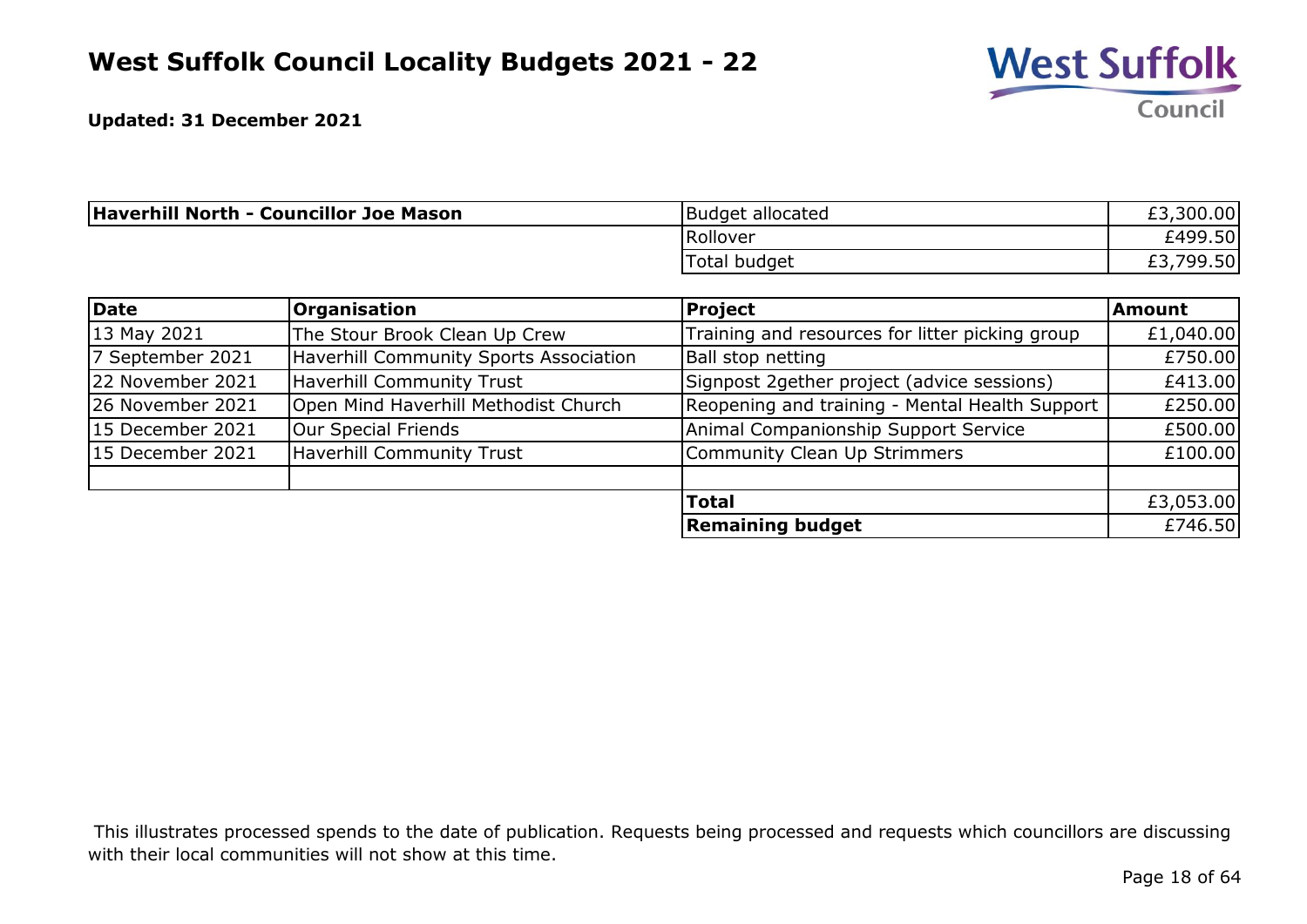

| <b>Haverhill North - Councillor Joe Mason</b> | Budget allocated    | £3,300.00     |
|-----------------------------------------------|---------------------|---------------|
|                                               | Rollover            | £499.50       |
|                                               | <b>Total budget</b> | 799.50<br>LJ. |

| Date             | <b>Organisation</b>                    | Project                                         | <b>Amount</b> |
|------------------|----------------------------------------|-------------------------------------------------|---------------|
| 13 May 2021      | The Stour Brook Clean Up Crew          | Training and resources for litter picking group | £1,040.00     |
| 7 September 2021 | Haverhill Community Sports Association | Ball stop netting                               | £750.00       |
| 22 November 2021 | <b>Haverhill Community Trust</b>       | Signpost 2gether project (advice sessions)      | £413.00       |
| 26 November 2021 | Open Mind Haverhill Methodist Church   | Reopening and training - Mental Health Support  | £250.00       |
| 15 December 2021 | Our Special Friends                    | Animal Companionship Support Service            | £500.00       |
| 15 December 2021 | <b>Haverhill Community Trust</b>       | Community Clean Up Strimmers                    | £100.00       |
|                  |                                        | <b>Total</b>                                    | £3,053.00     |
|                  |                                        | <b>Remaining budget</b>                         | £746.50       |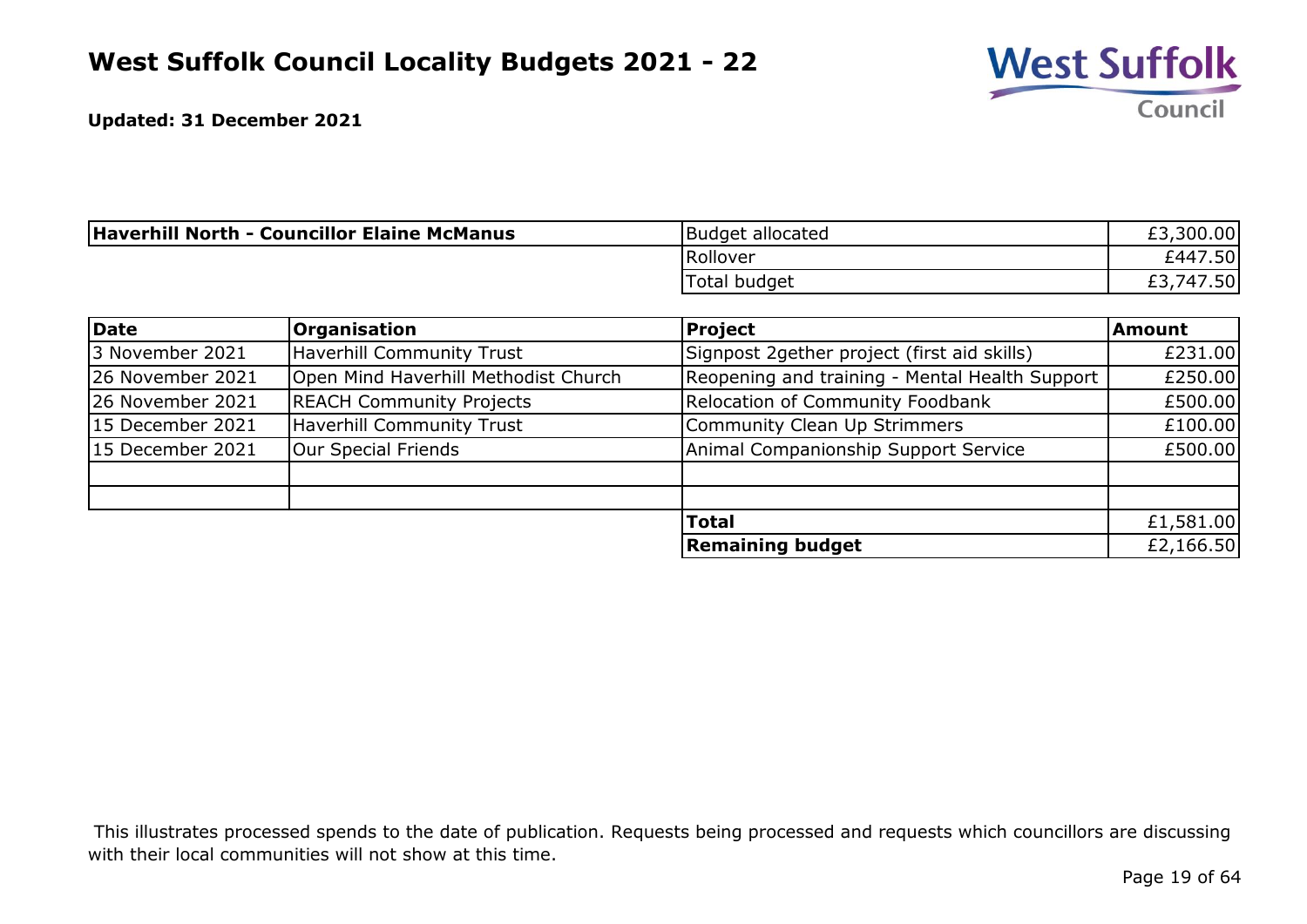

| <b>Haverhill North - Councillor Elaine McManus</b> | Budget allocated | £3,300.00         |
|----------------------------------------------------|------------------|-------------------|
|                                                    | Rollover         | 7.50<br>£447      |
|                                                    | Total budget     | 7.50<br>747<br>ェコ |

| Date             | <b>Organisation</b>                  | <b>Project</b>                                 | <b>Amount</b> |
|------------------|--------------------------------------|------------------------------------------------|---------------|
| 3 November 2021  | <b>Haverhill Community Trust</b>     | Signpost 2gether project (first aid skills)    | £231.00       |
| 26 November 2021 | Open Mind Haverhill Methodist Church | Reopening and training - Mental Health Support | £250.00       |
| 26 November 2021 | <b>REACH Community Projects</b>      | Relocation of Community Foodbank               | £500.00       |
| 15 December 2021 | <b>Haverhill Community Trust</b>     | Community Clean Up Strimmers                   | £100.00       |
| 15 December 2021 | Our Special Friends                  | Animal Companionship Support Service           | £500.00       |
|                  |                                      |                                                |               |
|                  |                                      |                                                |               |
|                  |                                      | <b>Total</b>                                   | £1,581.00     |
|                  |                                      | <b>Remaining budget</b>                        | £2,166.50     |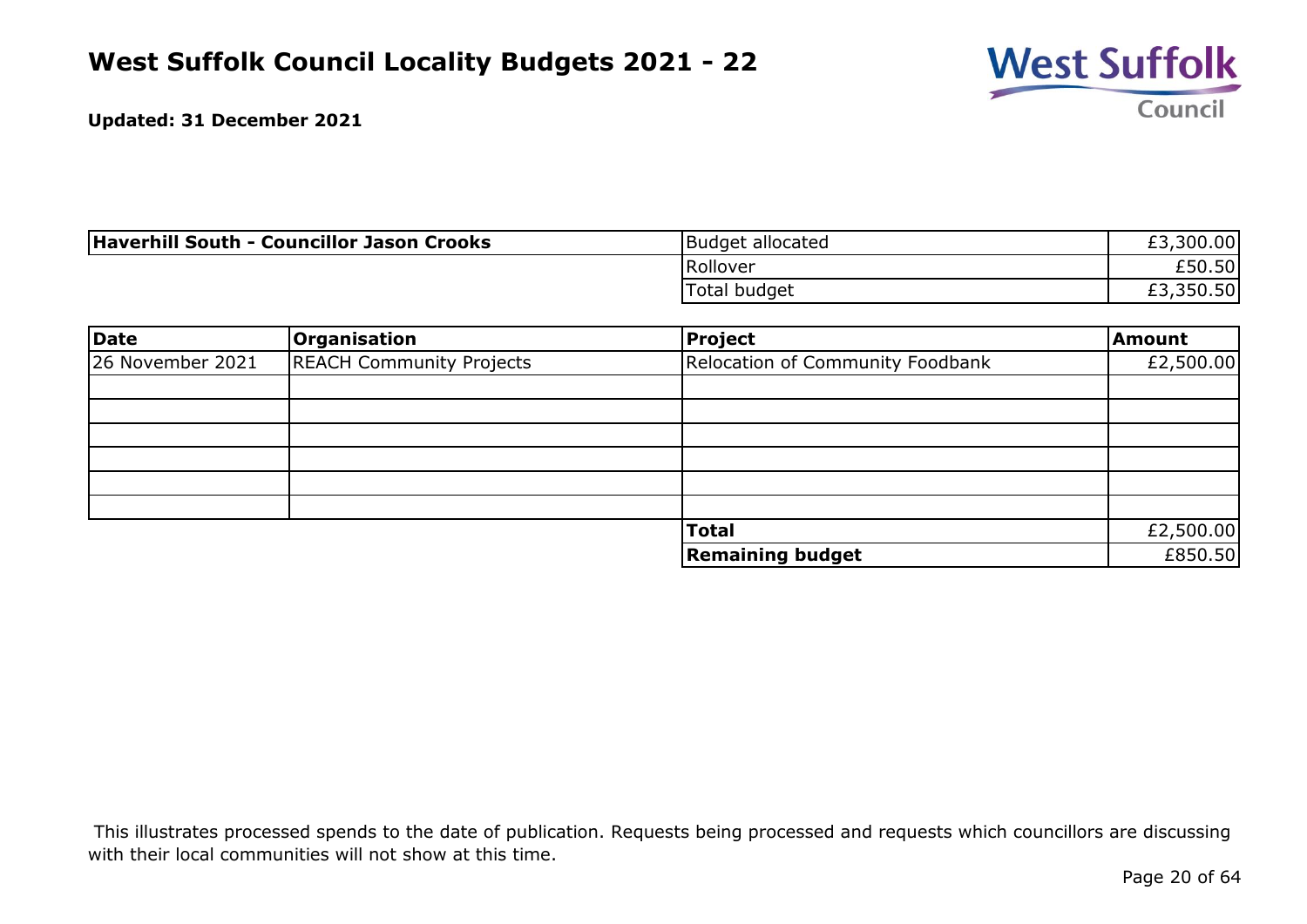

| Haverhill South - Councillor Jason Crooks | Budget allocated | £3,300.00 |
|-------------------------------------------|------------------|-----------|
|                                           | Rollover         | £50.50    |
|                                           | Total budget     | £3,350.50 |

| <b>Date</b>      | Organisation                    | Project                          | <b>Amount</b> |
|------------------|---------------------------------|----------------------------------|---------------|
| 26 November 2021 | <b>REACH Community Projects</b> | Relocation of Community Foodbank | £2,500.00     |
|                  |                                 |                                  |               |
|                  |                                 |                                  |               |
|                  |                                 |                                  |               |
|                  |                                 |                                  |               |
|                  |                                 |                                  |               |
|                  |                                 |                                  |               |
|                  |                                 | <b>Total</b>                     | £2,500.00     |
|                  |                                 | <b>Remaining budget</b>          | £850.50       |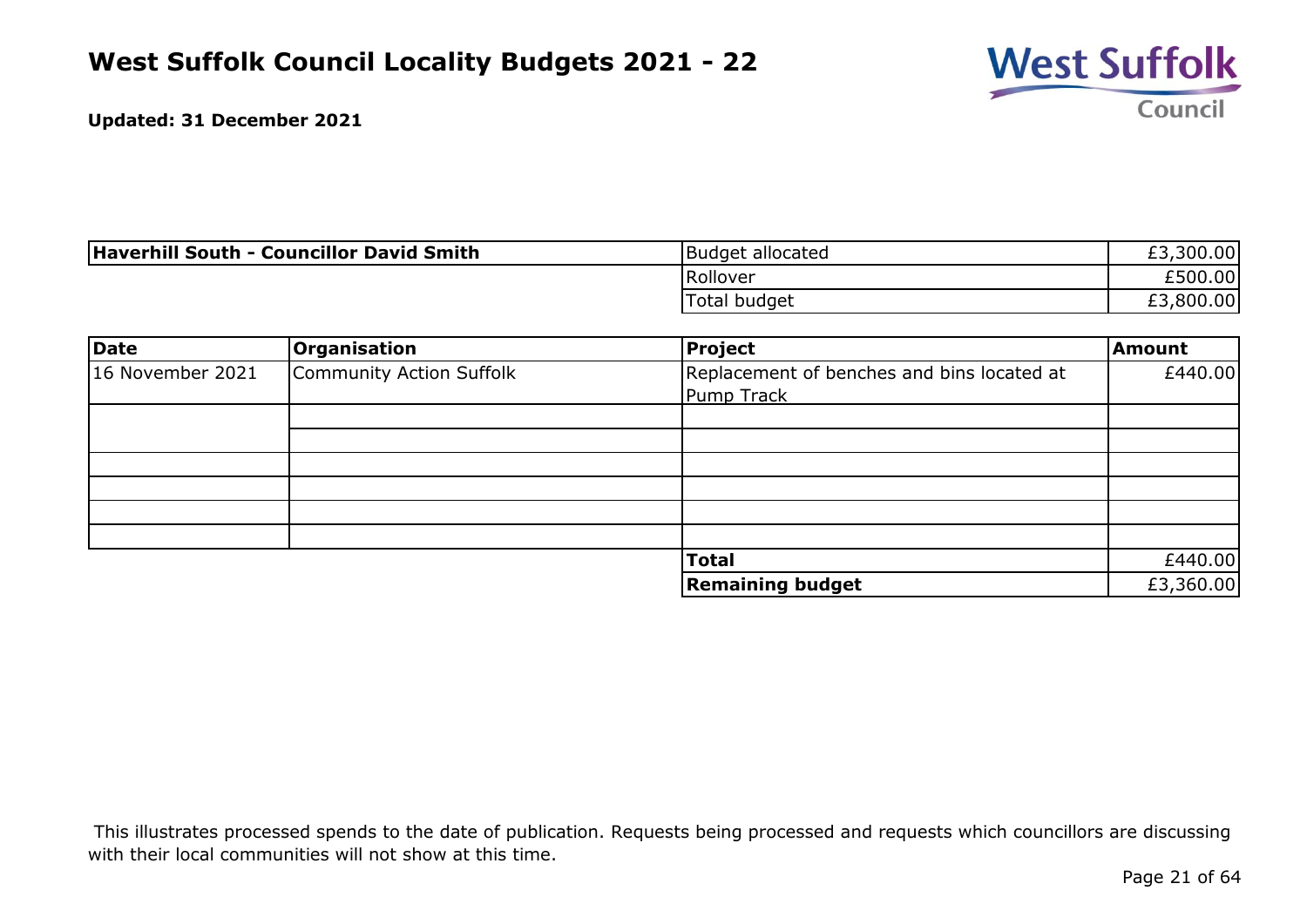

| <b>Haverhill South - Councillor David Smith</b> | Budget allocated | £3,300.00 |
|-------------------------------------------------|------------------|-----------|
|                                                 | <b>IRollover</b> | £500.00   |
|                                                 | Total budget     | ,800.00   |

| Date             | <b>Organisation</b>      | Project                                    | <b>Amount</b> |
|------------------|--------------------------|--------------------------------------------|---------------|
| 16 November 2021 | Community Action Suffolk | Replacement of benches and bins located at | £440.00       |
|                  |                          | Pump Track                                 |               |
|                  |                          |                                            |               |
|                  |                          |                                            |               |
|                  |                          |                                            |               |
|                  |                          |                                            |               |
|                  |                          |                                            |               |
|                  |                          |                                            |               |
|                  |                          | <b>Total</b>                               | £440.00       |
|                  |                          | <b>Remaining budget</b>                    | £3,360.00     |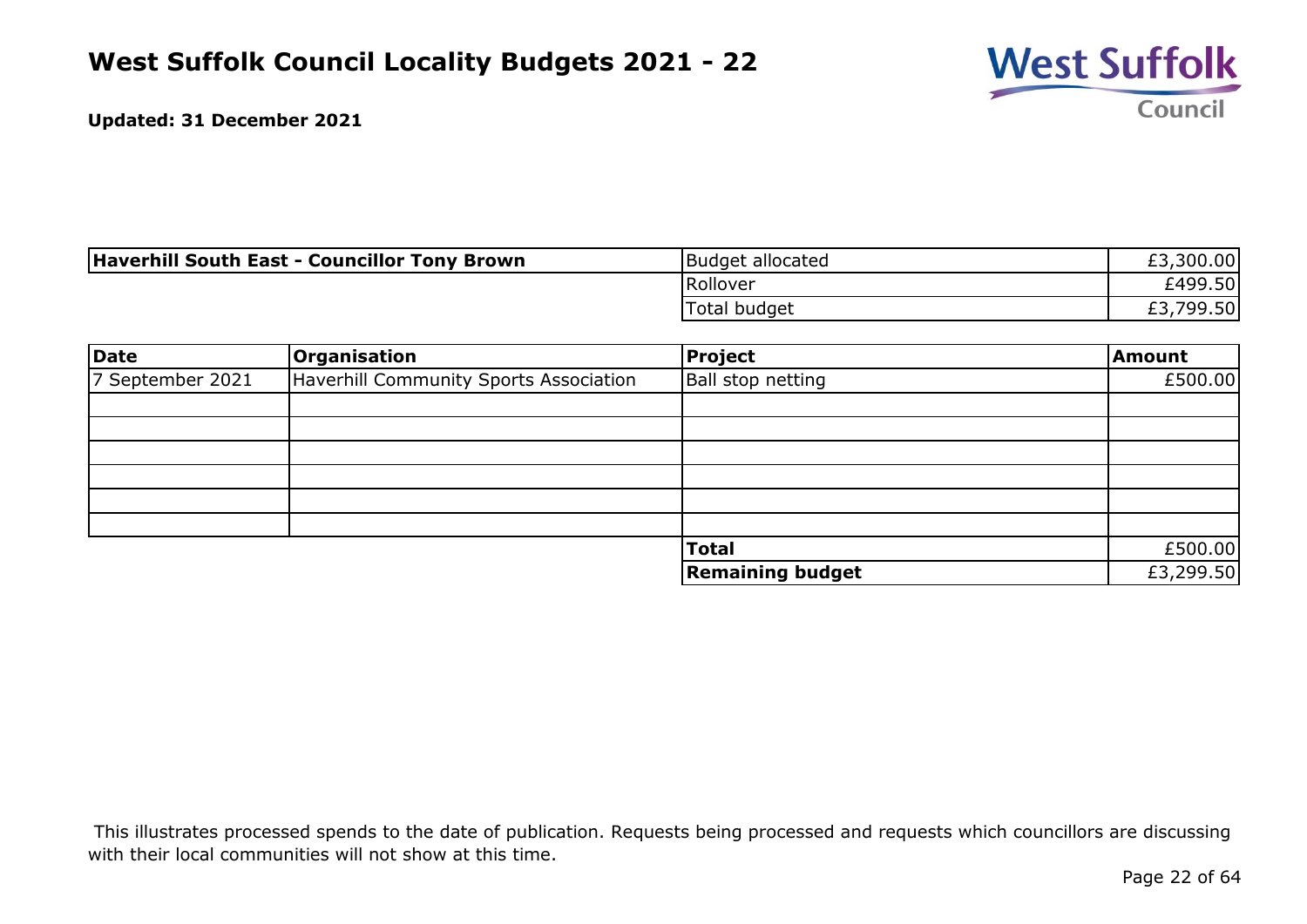

| <b>Haverhill South East - Councillor Tony Brown</b> | Budget allocated | £3,300.00        |
|-----------------------------------------------------|------------------|------------------|
|                                                     | Rollover         | £499.50 <b> </b> |
|                                                     | 'Total budget    | ,799.50 <br>ົີ   |

| Date             | Organisation                           | Project                  | Amount    |
|------------------|----------------------------------------|--------------------------|-----------|
| 7 September 2021 | Haverhill Community Sports Association | <b>Ball stop netting</b> | £500.00   |
|                  |                                        |                          |           |
|                  |                                        |                          |           |
|                  |                                        |                          |           |
|                  |                                        |                          |           |
|                  |                                        |                          |           |
|                  |                                        |                          |           |
|                  |                                        | <b>Total</b>             | £500.00   |
|                  |                                        | <b>Remaining budget</b>  | £3,299.50 |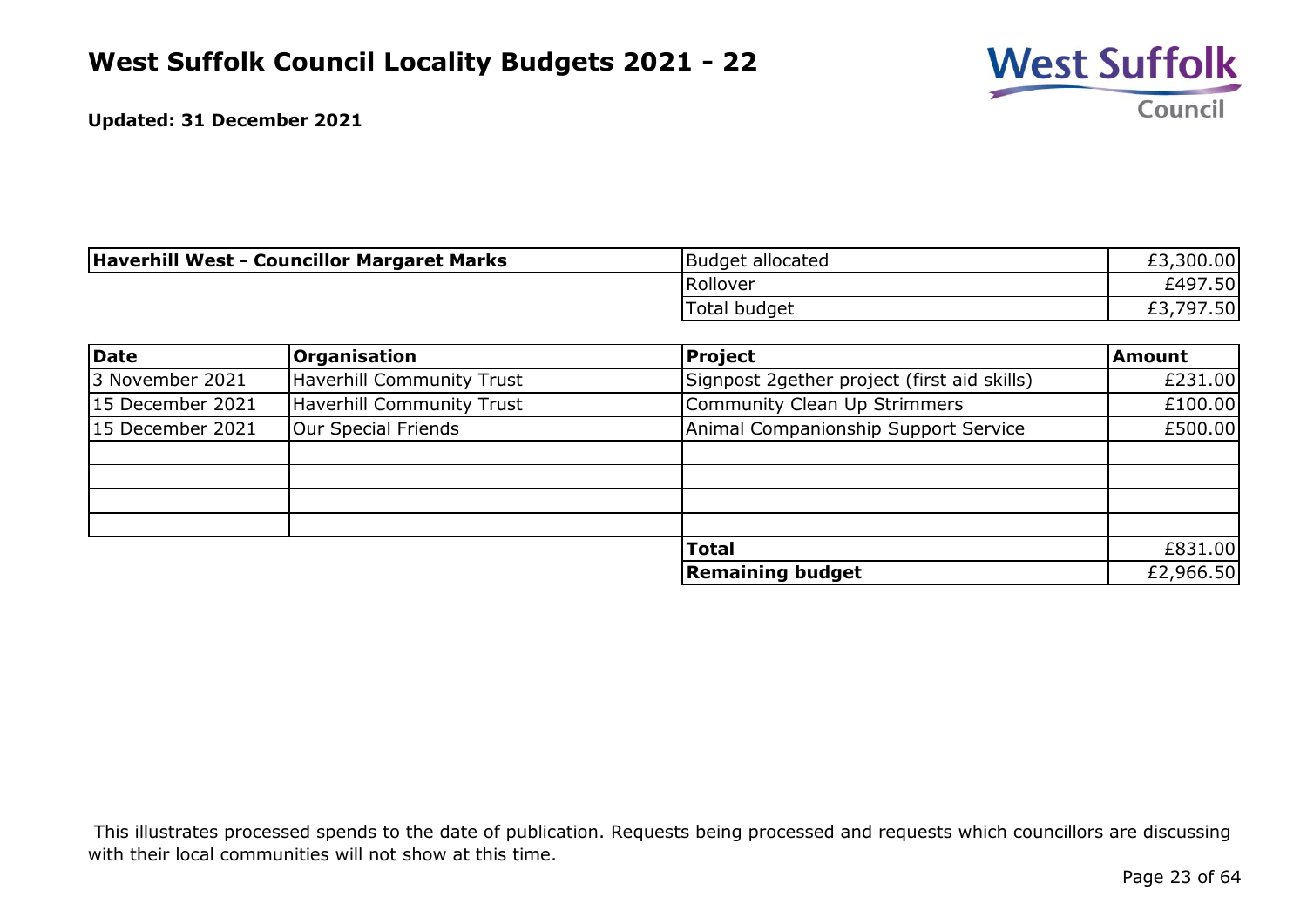

| Haverhill West - Councillor Margaret Marks | Budget allocated | £3,300.00       |
|--------------------------------------------|------------------|-----------------|
|                                            | Rollover         | £497.50         |
|                                            | Total budget     | ,797.50 <br>LJ. |

| Date             | <b>Organisation</b>              | <b>Project</b>                              | <b>Amount</b> |
|------------------|----------------------------------|---------------------------------------------|---------------|
| 3 November 2021  | <b>Haverhill Community Trust</b> | Signpost 2gether project (first aid skills) | £231.00       |
| 15 December 2021 | <b>Haverhill Community Trust</b> | Community Clean Up Strimmers                | £100.00       |
| 15 December 2021 | Our Special Friends              | Animal Companionship Support Service        | £500.00       |
|                  |                                  |                                             |               |
|                  |                                  |                                             |               |
|                  |                                  |                                             |               |
|                  |                                  |                                             |               |
|                  |                                  | <b>Total</b>                                | £831.00       |
|                  |                                  | <b>Remaining budget</b>                     | £2,966.50     |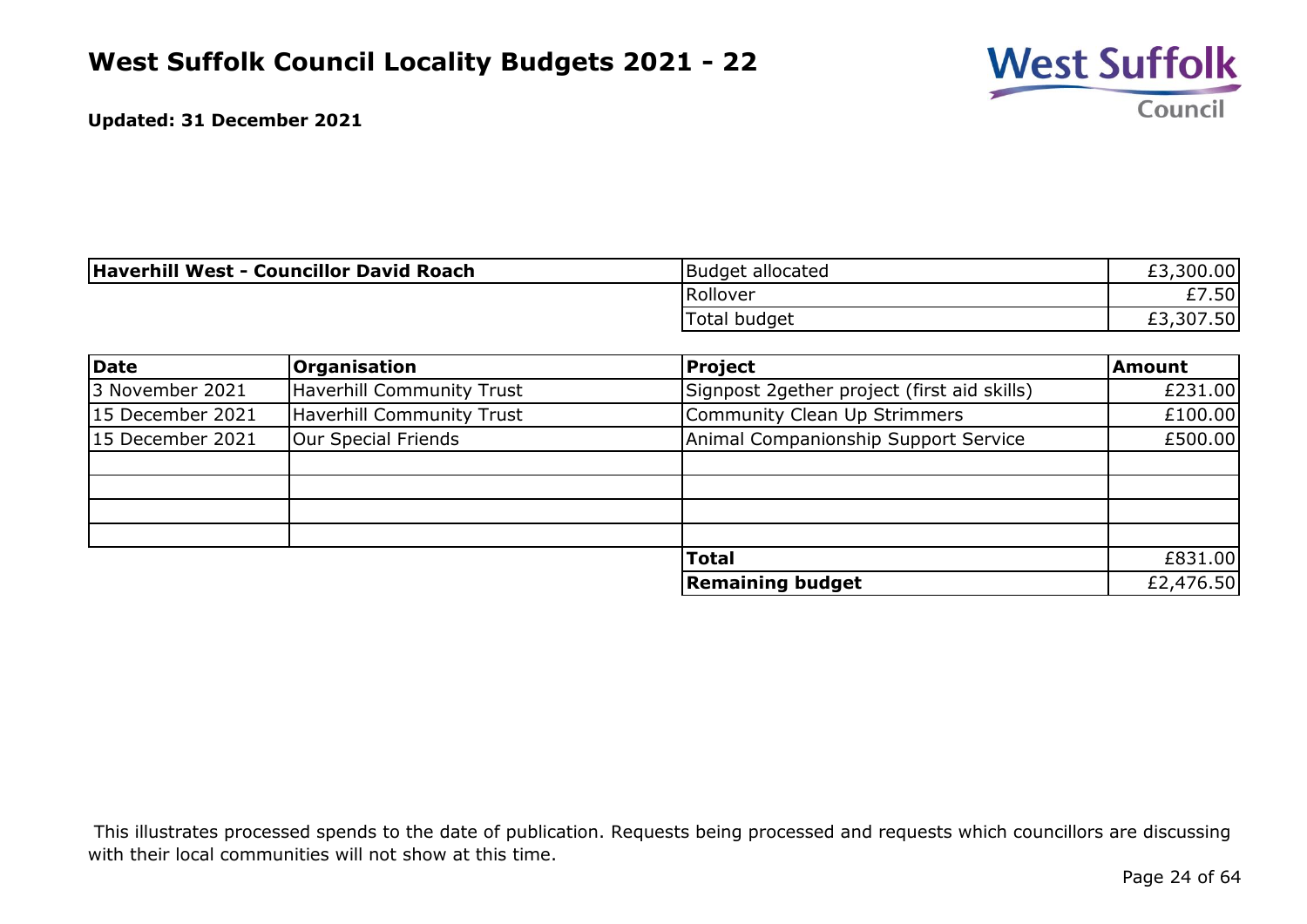

| Haverhill West - Councillor David Roach | Budget allocated | 300.00<br>റാ  |
|-----------------------------------------|------------------|---------------|
|                                         | Rollover         | 7.50<br>r 7.  |
|                                         | Total budget     | 307.50<br>LJ. |

| Date             | <b>Organisation</b>              | <b>Project</b>                              | <b>Amount</b> |
|------------------|----------------------------------|---------------------------------------------|---------------|
| 3 November 2021  | <b>Haverhill Community Trust</b> | Signpost 2gether project (first aid skills) | £231.00       |
| 15 December 2021 | <b>Haverhill Community Trust</b> | Community Clean Up Strimmers                | £100.00       |
| 15 December 2021 | Our Special Friends              | Animal Companionship Support Service        | £500.00       |
|                  |                                  |                                             |               |
|                  |                                  |                                             |               |
|                  |                                  |                                             |               |
|                  |                                  |                                             |               |
|                  |                                  | <b>Total</b>                                | £831.00       |
|                  |                                  | <b>Remaining budget</b>                     | £2,476.50     |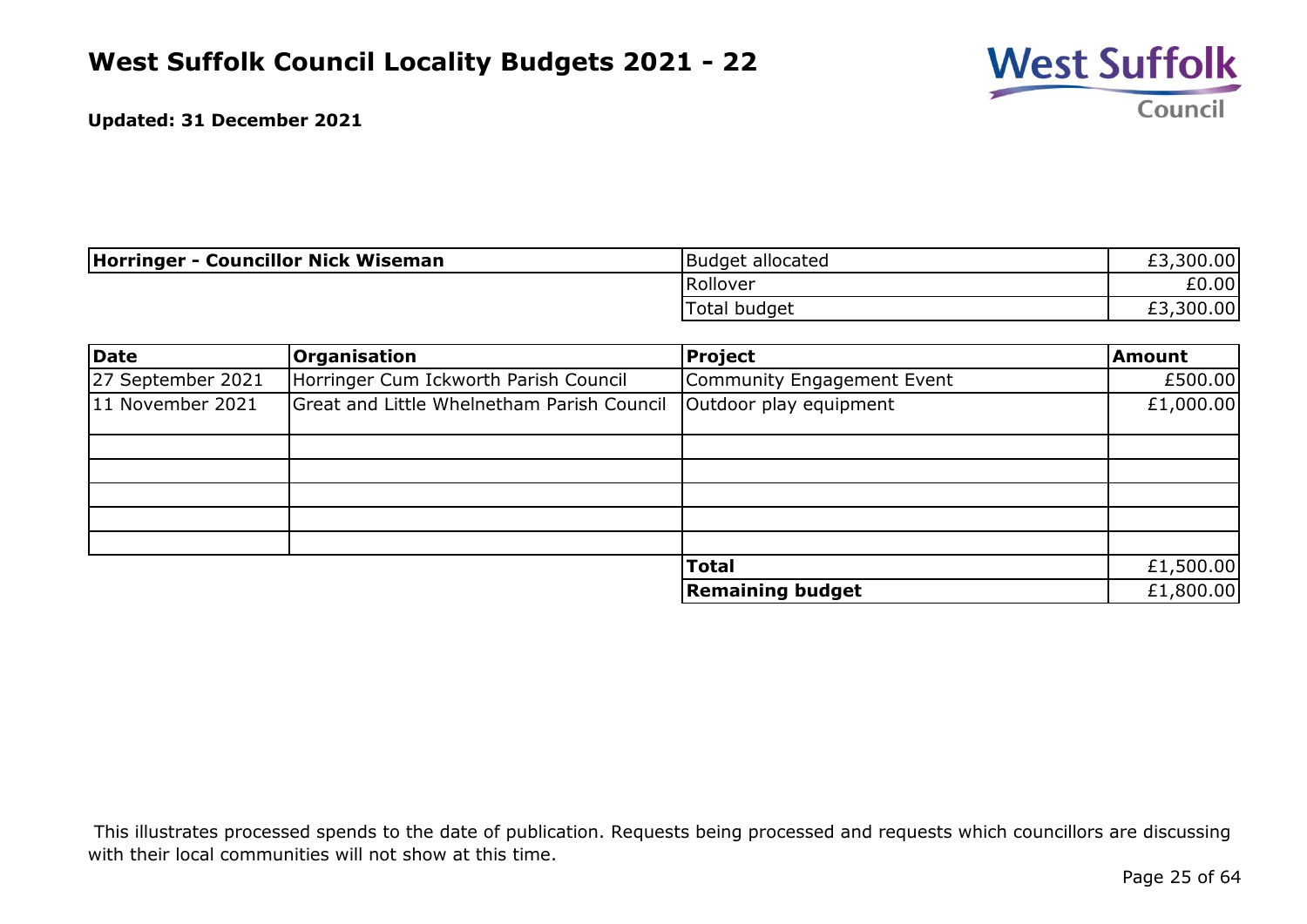

| Horringer - Councillor Nick Wiseman | Budget allocated    | £3,300.00 |
|-------------------------------------|---------------------|-----------|
|                                     | <b>Rollover</b>     | £0.00     |
|                                     | <b>Total budget</b> | £3,300.00 |

| Date              | <b>Organisation</b>                        | Project                    | Amount    |
|-------------------|--------------------------------------------|----------------------------|-----------|
| 27 September 2021 | Horringer Cum Ickworth Parish Council      | Community Engagement Event | £500.00   |
| 11 November 2021  | Great and Little Whelnetham Parish Council | Outdoor play equipment     | £1,000.00 |
|                   |                                            |                            |           |
|                   |                                            |                            |           |
|                   |                                            |                            |           |
|                   |                                            |                            |           |
|                   |                                            |                            |           |
|                   |                                            | <b>Total</b>               | £1,500.00 |
|                   |                                            | <b>Remaining budget</b>    | £1,800.00 |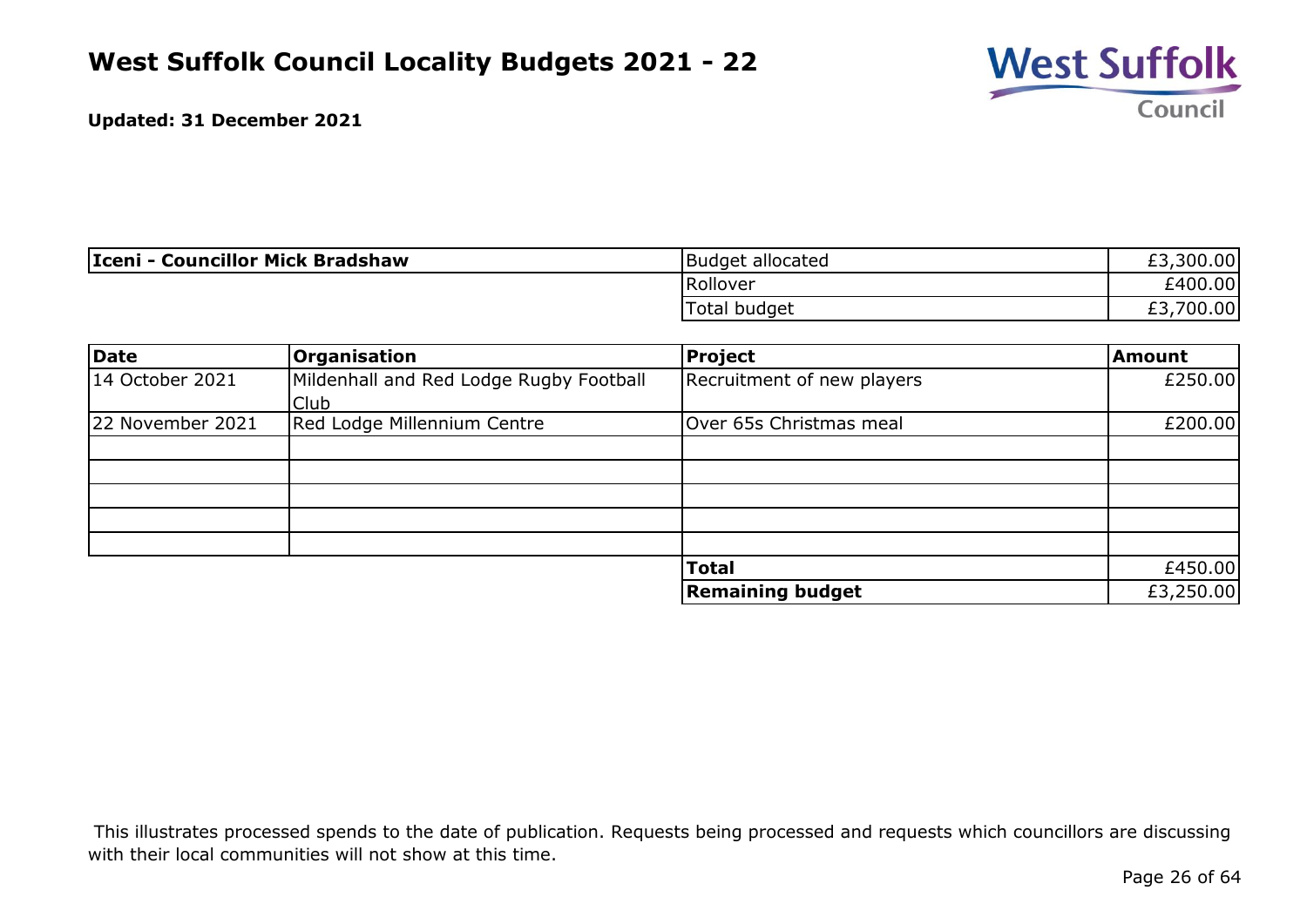

| Iceni - Councillor Mick Bradshaw | Budget allocated | ,300.00<br>r<br>LJ. |
|----------------------------------|------------------|---------------------|
|                                  | Rollover         | £400.00             |
|                                  | Total budget     | 700.00<br>rp<br>tJ. |

| <b>Date</b>      | <b>Organisation</b>                             | Project                    | <b>Amount</b> |
|------------------|-------------------------------------------------|----------------------------|---------------|
| 14 October 2021  | Mildenhall and Red Lodge Rugby Football<br>Club | Recruitment of new players | £250.00       |
| 22 November 2021 | Red Lodge Millennium Centre                     | Over 65s Christmas meal    | £200.00       |
|                  |                                                 |                            |               |
|                  |                                                 |                            |               |
|                  |                                                 |                            |               |
|                  |                                                 |                            |               |
|                  |                                                 | <b>Total</b>               | £450.00       |
|                  |                                                 | <b>Remaining budget</b>    | £3,250.00     |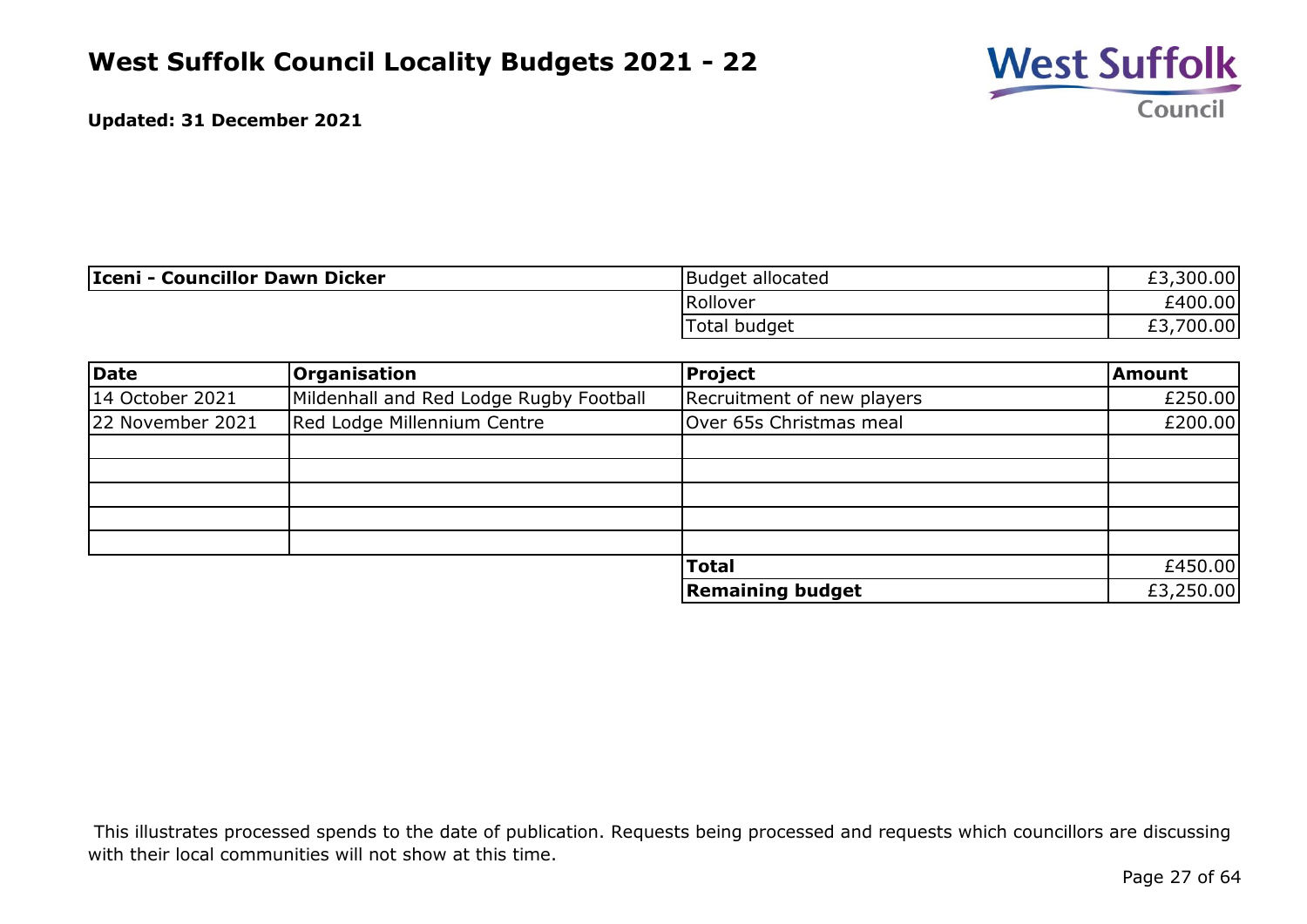

| Iceni - Councillor Dawn Dicker | Budget allocated | ,300.00<br>C.<br>£٦. |
|--------------------------------|------------------|----------------------|
|                                | Rollover         | £400.00              |
|                                | Total budget     | 700.00<br>rn<br>LJ.  |

| Date             | <b>Organisation</b>                     | Project                    | <b>Amount</b> |
|------------------|-----------------------------------------|----------------------------|---------------|
| 14 October 2021  | Mildenhall and Red Lodge Rugby Football | Recruitment of new players | £250.00       |
| 22 November 2021 | Red Lodge Millennium Centre             | Over 65s Christmas meal    | £200.00       |
|                  |                                         |                            |               |
|                  |                                         |                            |               |
|                  |                                         |                            |               |
|                  |                                         |                            |               |
|                  |                                         |                            |               |
|                  |                                         | <b>Total</b>               | £450.00       |
|                  |                                         | <b>Remaining budget</b>    | £3,250.00     |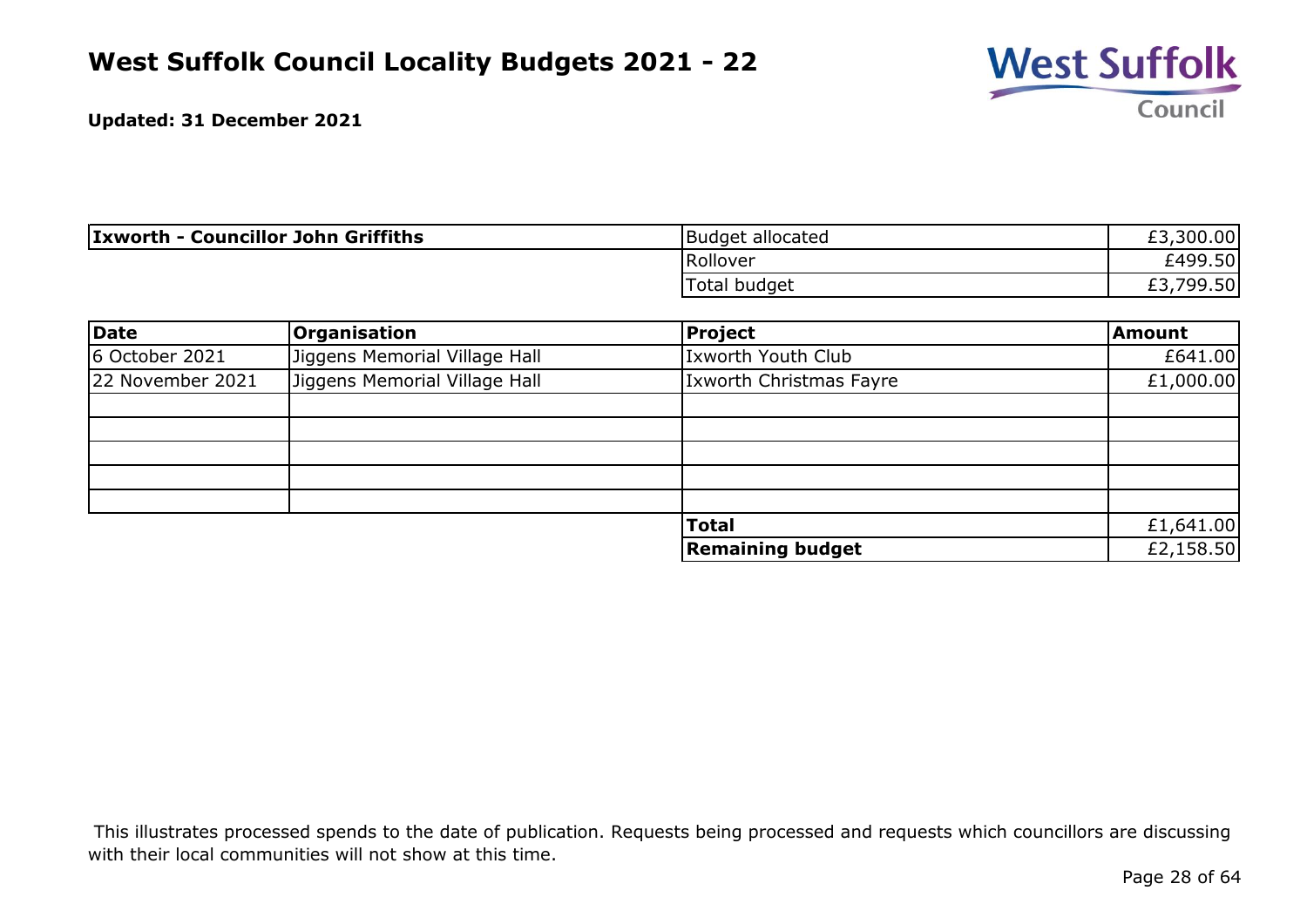

| <b>Ixworth - Councillor John Griffiths</b> | Budget allocated | rn<br>,300.00<br>ŁJ. |
|--------------------------------------------|------------------|----------------------|
|                                            | Rollover         | £499.50 <b> </b>     |
|                                            | Total budget     | ,799.50<br>ົາ<br>LJ. |

| Date             | <b>Organisation</b>           | Project                        | Amount    |
|------------------|-------------------------------|--------------------------------|-----------|
| 6 October 2021   | Jiggens Memorial Village Hall | Ixworth Youth Club             | £641.00   |
| 22 November 2021 | Jiggens Memorial Village Hall | <b>Ixworth Christmas Fayre</b> | £1,000.00 |
|                  |                               |                                |           |
|                  |                               |                                |           |
|                  |                               |                                |           |
|                  |                               |                                |           |
|                  |                               |                                |           |
|                  |                               | <b>Total</b>                   | £1,641.00 |
|                  |                               | <b>Remaining budget</b>        | £2,158.50 |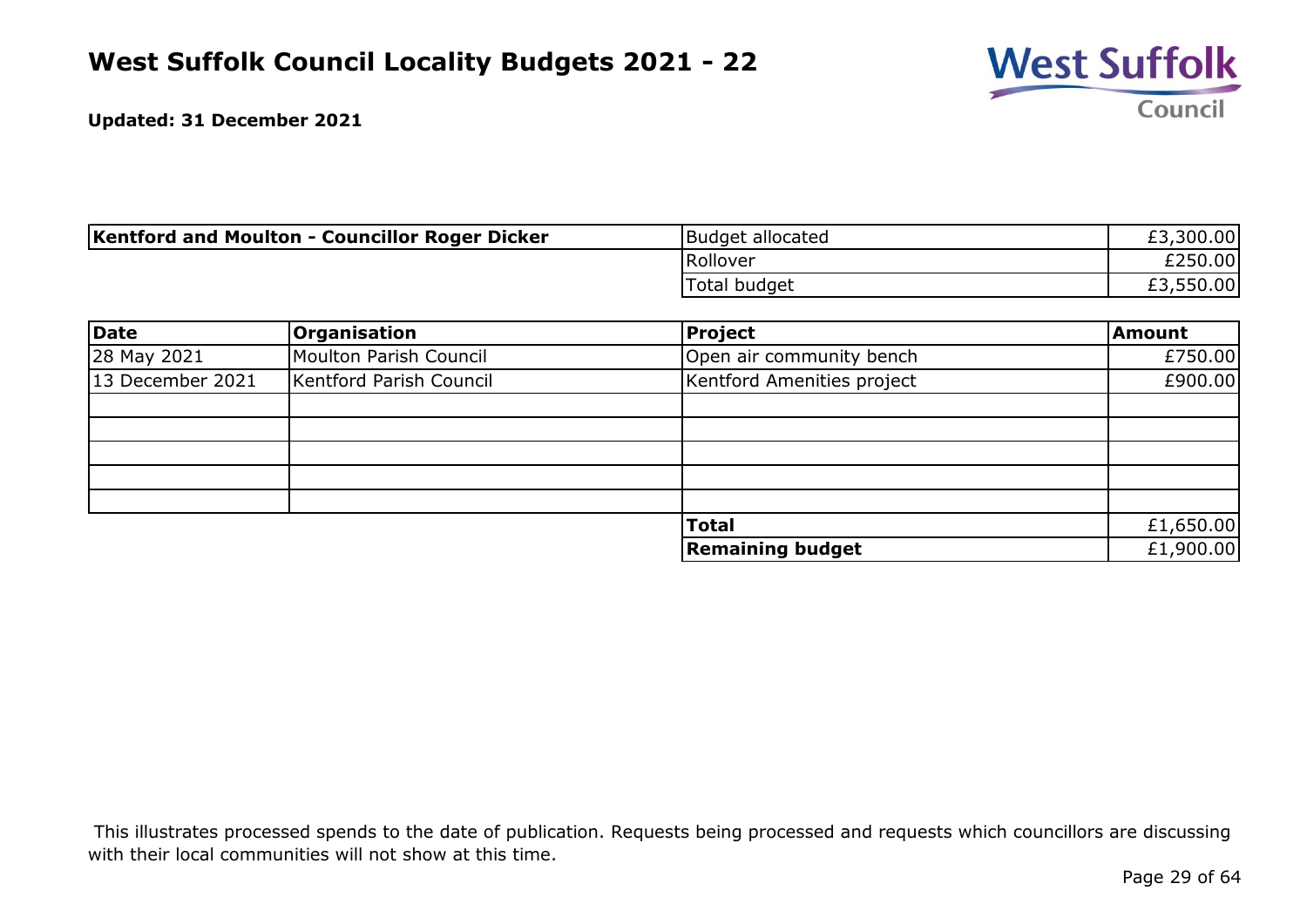

| <b>Kentford and Moulton - Councillor Roger Dicker</b> | Budget allocated | £3,300.00 |
|-------------------------------------------------------|------------------|-----------|
|                                                       | Rollover         | £250.00   |
|                                                       | Total budget     | £3,550.00 |

| Date             | Organisation            | Project                    | <b>Amount</b> |
|------------------|-------------------------|----------------------------|---------------|
| 28 May 2021      | Moulton Parish Council  | Open air community bench   | £750.00       |
| 13 December 2021 | Kentford Parish Council | Kentford Amenities project | £900.00       |
|                  |                         |                            |               |
|                  |                         |                            |               |
|                  |                         |                            |               |
|                  |                         |                            |               |
|                  |                         |                            |               |
|                  |                         | <b>Total</b>               | £1,650.00     |
|                  |                         | <b>Remaining budget</b>    | £1,900.00     |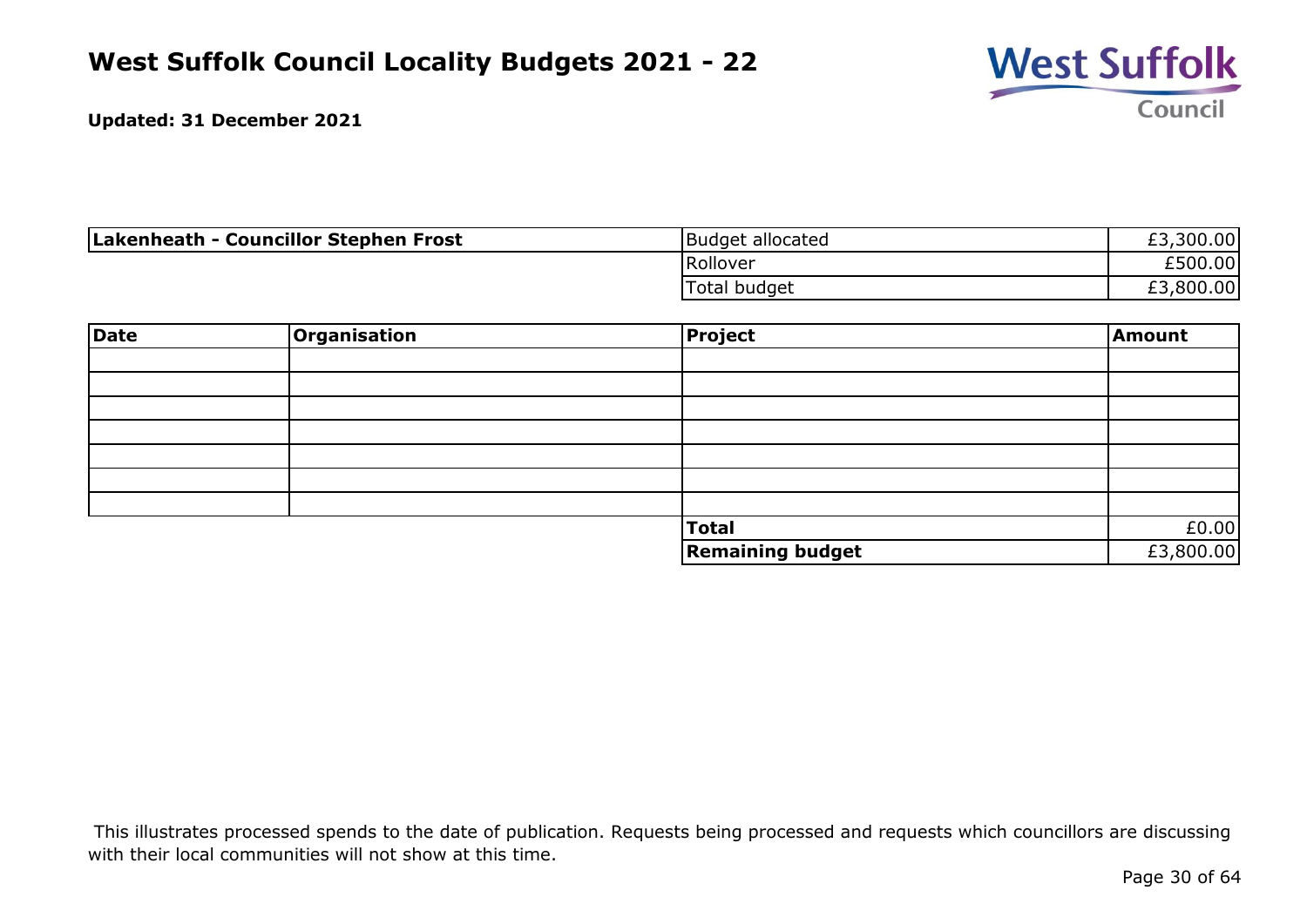

| Lakenheath - Councillor Stephen Frost | Budget allocated | £3,300.00 |
|---------------------------------------|------------------|-----------|
|                                       | Rollover         | £500.00   |
|                                       | Total budget     | £3,800.00 |

| <b>Date</b> | Organisation | Project                 | Amount    |
|-------------|--------------|-------------------------|-----------|
|             |              |                         |           |
|             |              |                         |           |
|             |              |                         |           |
|             |              |                         |           |
|             |              |                         |           |
|             |              |                         |           |
|             |              |                         |           |
|             |              | Total                   | £0.00     |
|             |              | <b>Remaining budget</b> | £3,800.00 |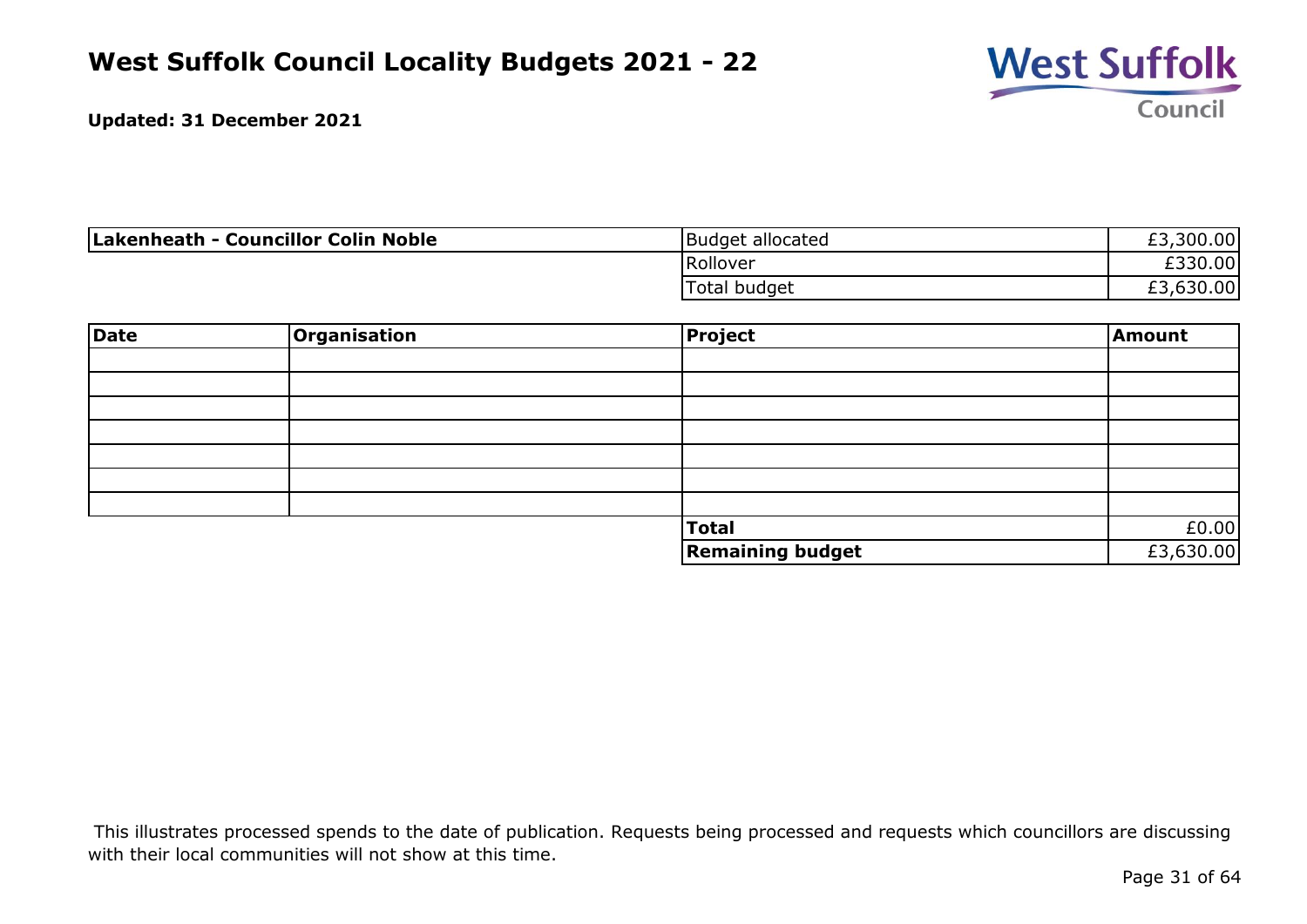

| Lakenheath - Councillor Colin Noble | Budget allocated | £3,300.00 |
|-------------------------------------|------------------|-----------|
|                                     | Rollover         | £330.00   |
|                                     | Total budget     | £3,630.00 |

| <b>Date</b> | Organisation | Project                 | Amount    |
|-------------|--------------|-------------------------|-----------|
|             |              |                         |           |
|             |              |                         |           |
|             |              |                         |           |
|             |              |                         |           |
|             |              |                         |           |
|             |              |                         |           |
|             |              |                         |           |
|             |              | Total                   | £0.00     |
|             |              | <b>Remaining budget</b> | £3,630.00 |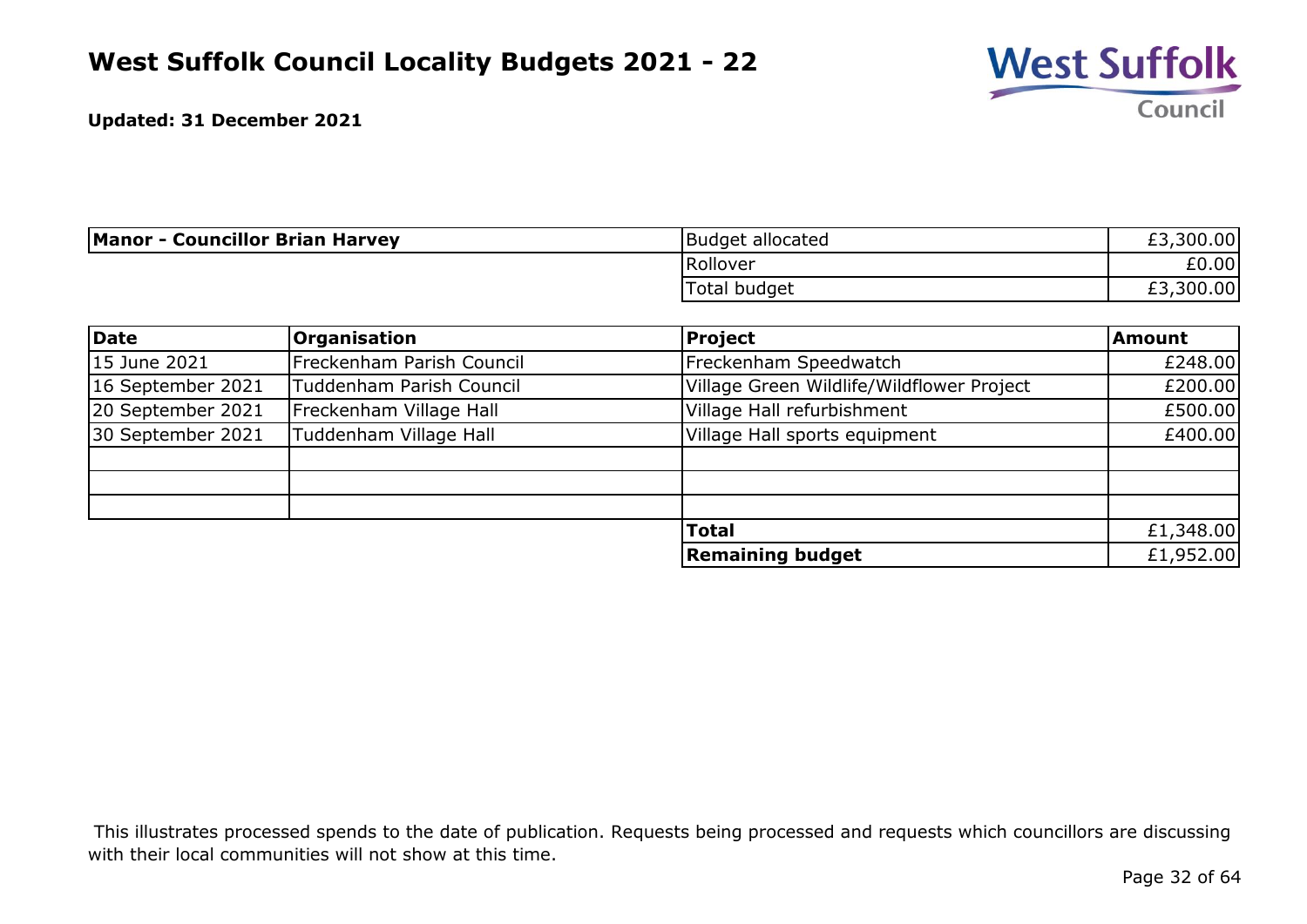

| <b>Manor - Councillor Brian Harvey</b> | Budget allocated | £3,300.00 |
|----------------------------------------|------------------|-----------|
|                                        | Rollover         | £0.00     |
|                                        | Total budget     | £3,300.00 |

| Date              | <b>Organisation</b>       | <b>Project</b>                            | <b>Amount</b> |
|-------------------|---------------------------|-------------------------------------------|---------------|
| 15 June 2021      | Freckenham Parish Council | Freckenham Speedwatch                     | £248.00       |
| 16 September 2021 | Tuddenham Parish Council  | Village Green Wildlife/Wildflower Project | £200.00       |
| 20 September 2021 | Freckenham Village Hall   | Village Hall refurbishment                | £500.00       |
| 30 September 2021 | Tuddenham Village Hall    | Village Hall sports equipment             | £400.00       |
|                   |                           |                                           |               |
|                   |                           |                                           |               |
|                   |                           |                                           |               |
|                   |                           | <b>Total</b>                              | £1,348.00     |
|                   |                           | <b>Remaining budget</b>                   | £1,952.00     |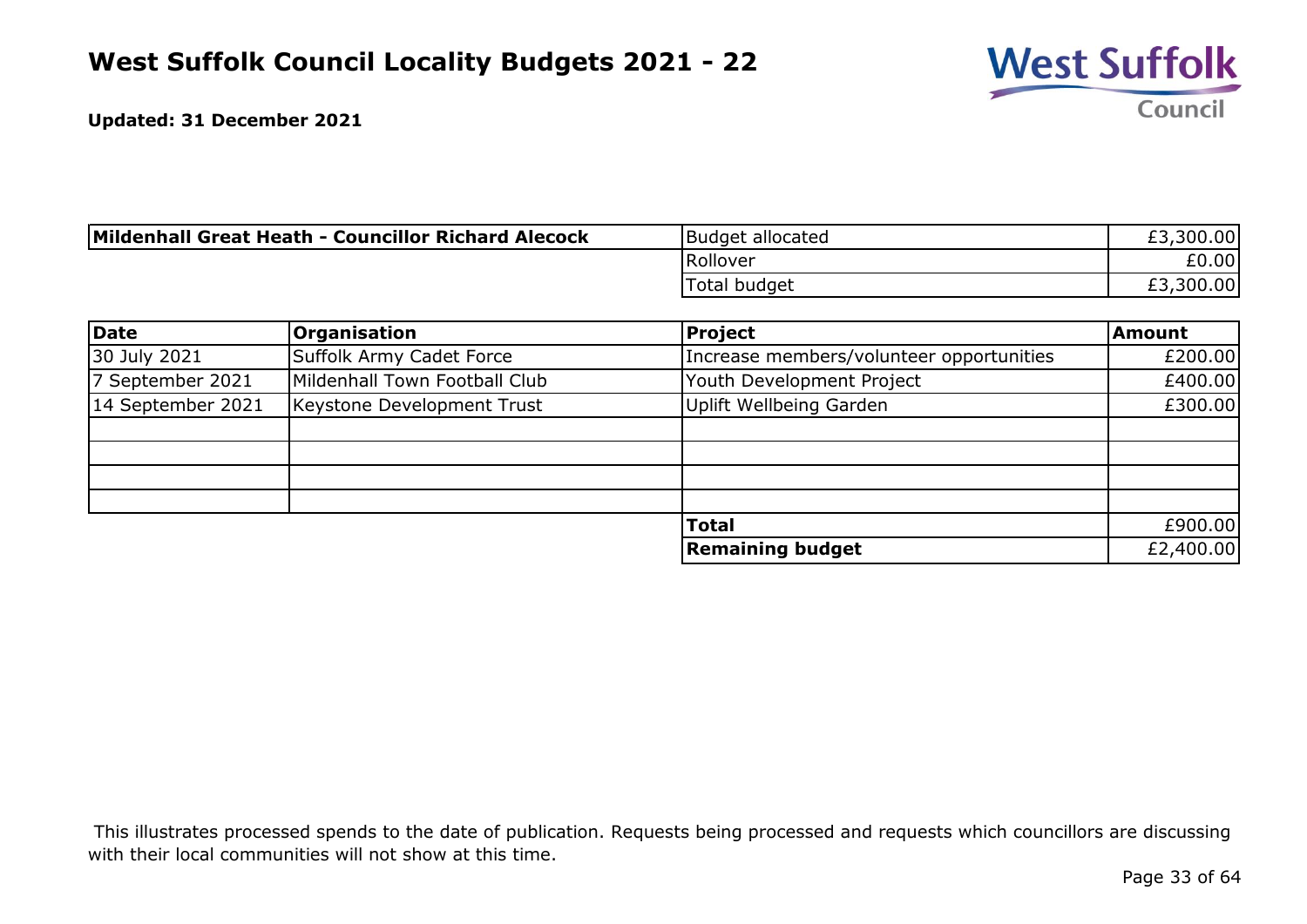

| Mildenhall Great Heath - Councillor Richard Alecock | Budget allocated | £3,300.00 |
|-----------------------------------------------------|------------------|-----------|
|                                                     | Rollover         | £0.00     |
|                                                     | Total budget     | £3,300.00 |

| Date              | <b>Organisation</b>           | Project                                  | <b>Amount</b> |
|-------------------|-------------------------------|------------------------------------------|---------------|
| 30 July 2021      | Suffolk Army Cadet Force      | Increase members/volunteer opportunities | £200.00       |
| 7 September 2021  | Mildenhall Town Football Club | Youth Development Project                | £400.00       |
| 14 September 2021 | Keystone Development Trust    | Uplift Wellbeing Garden                  | £300.00       |
|                   |                               |                                          |               |
|                   |                               |                                          |               |
|                   |                               |                                          |               |
|                   |                               |                                          |               |
|                   |                               | <b>Total</b>                             | £900.00       |
|                   |                               | <b>Remaining budget</b>                  | £2,400.00     |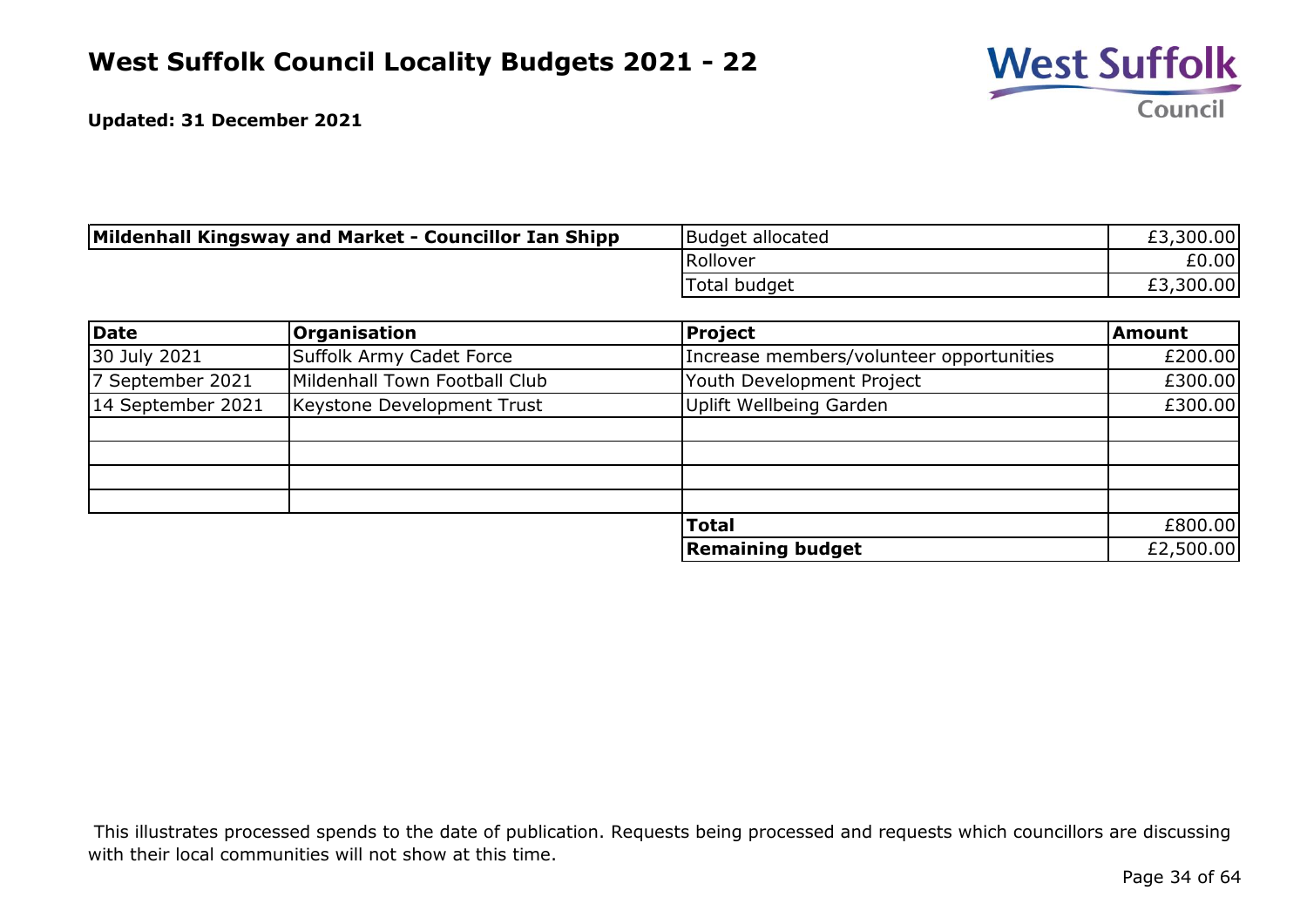

| Mildenhall Kingsway and Market - Councillor Ian Shipp | Budget allocated | £3,300.00 |
|-------------------------------------------------------|------------------|-----------|
|                                                       | Rollover         | £0.00     |
|                                                       | Total budget     | £3,300.00 |

| Date              | Organisation                  | Project                                  | <b>Amount</b> |
|-------------------|-------------------------------|------------------------------------------|---------------|
| 30 July 2021      | Suffolk Army Cadet Force      | Increase members/volunteer opportunities | £200.00       |
| 7 September 2021  | Mildenhall Town Football Club | Youth Development Project                | £300.00       |
| 14 September 2021 | Keystone Development Trust    | <b>Uplift Wellbeing Garden</b>           | £300.00       |
|                   |                               |                                          |               |
|                   |                               |                                          |               |
|                   |                               |                                          |               |
|                   |                               |                                          |               |
|                   |                               | <b>Total</b>                             | £800.00       |
|                   |                               | <b>Remaining budget</b>                  | £2,500.00     |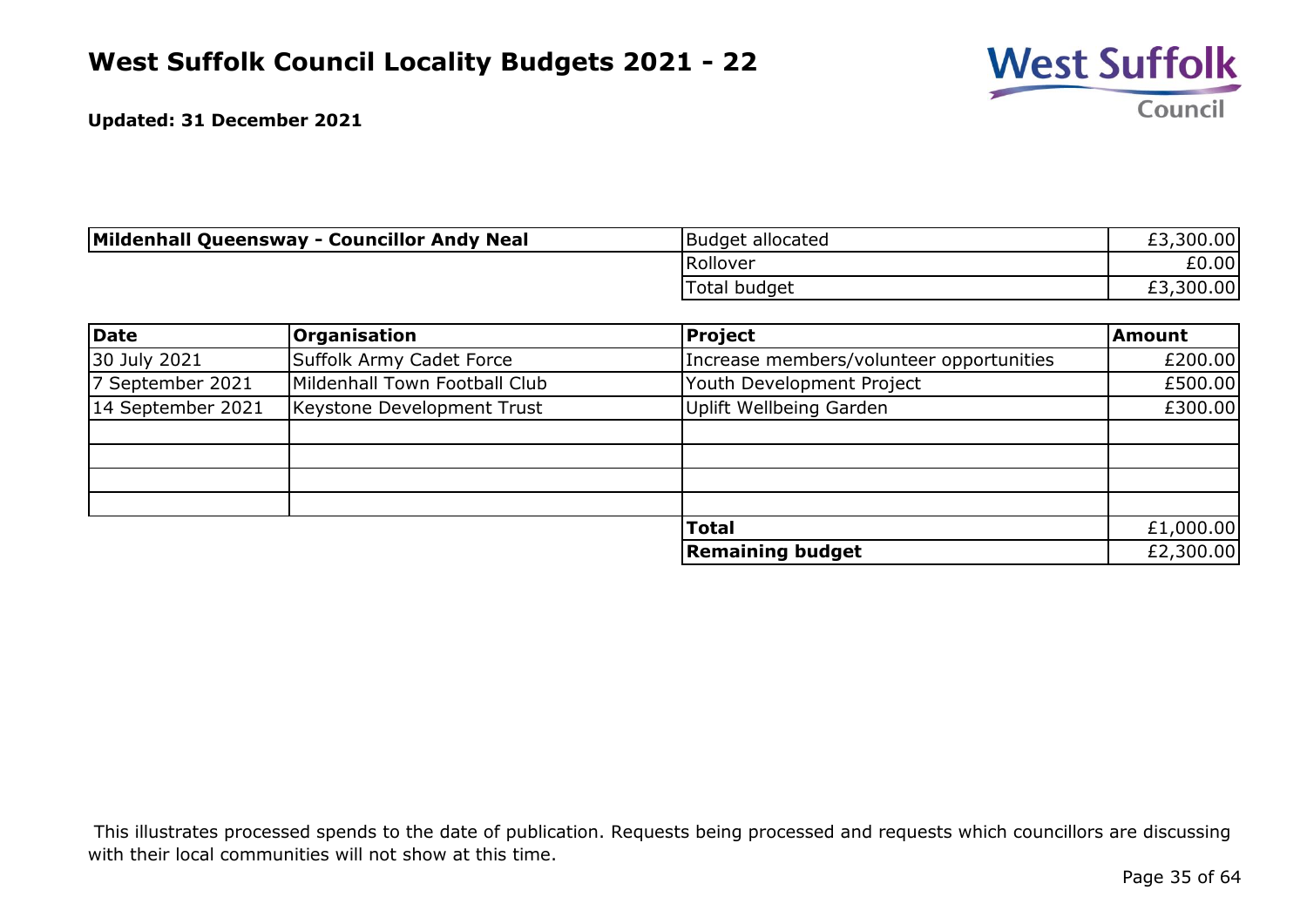

| Mildenhall Queensway - Councillor Andy Neal | Budget allocated | £3,300.00 |
|---------------------------------------------|------------------|-----------|
|                                             | Rollover         | £0.00     |
|                                             | Total budget     | £3,300.00 |

| Date              | <b>Organisation</b>           | <b>Project</b>                           | <b>Amount</b> |
|-------------------|-------------------------------|------------------------------------------|---------------|
| 30 July 2021      | Suffolk Army Cadet Force      | Increase members/volunteer opportunities | £200.00       |
| 7 September 2021  | Mildenhall Town Football Club | Youth Development Project                | £500.00       |
| 14 September 2021 | Keystone Development Trust    | Uplift Wellbeing Garden                  | £300.00       |
|                   |                               |                                          |               |
|                   |                               |                                          |               |
|                   |                               |                                          |               |
|                   |                               |                                          |               |
|                   |                               | <b>Total</b>                             | £1,000.00     |
|                   |                               | <b>Remaining budget</b>                  | £2,300.00     |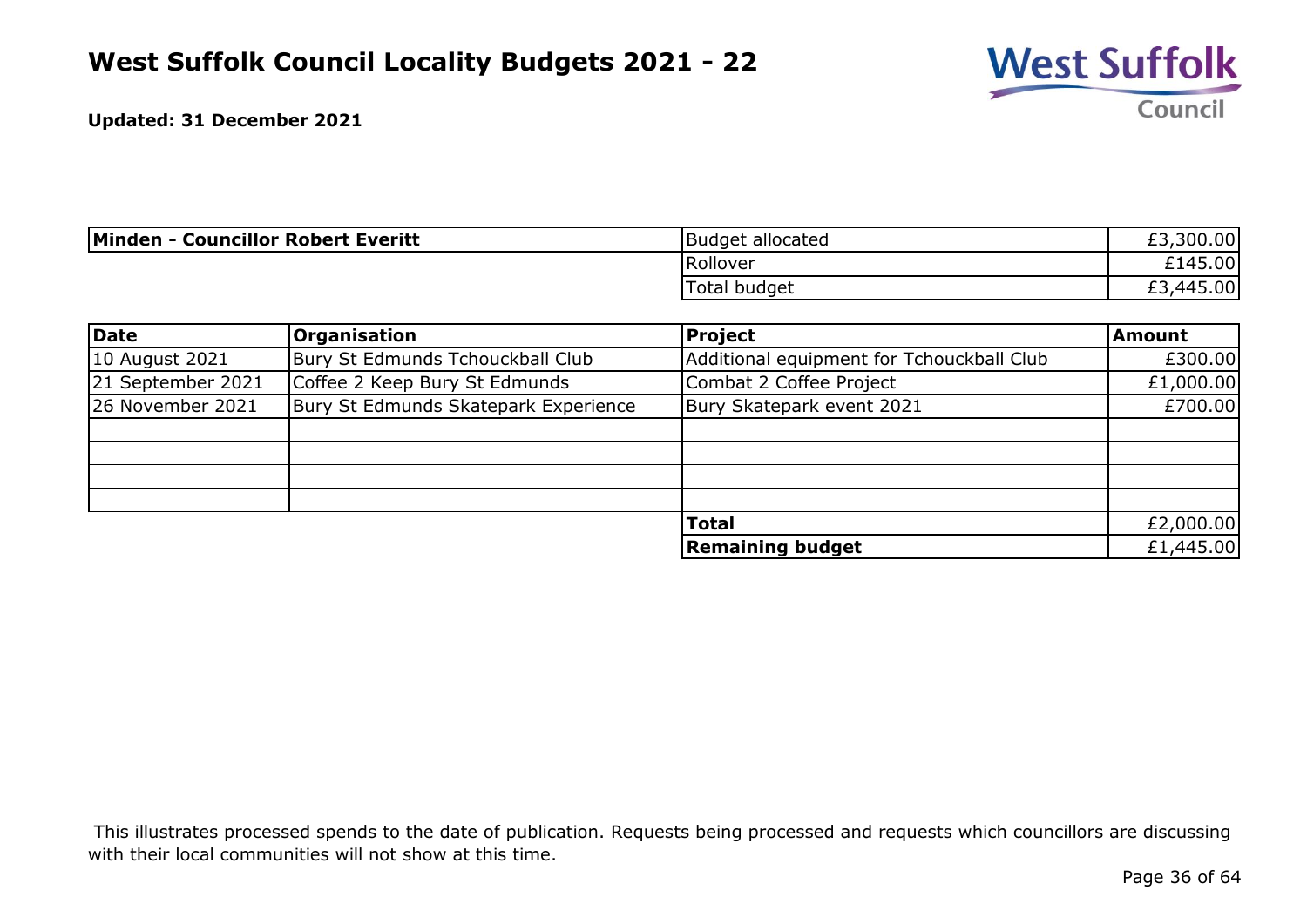

| <b>Minden - Councillor Robert Everitt</b> | Budget allocated | £3,300.00              |
|-------------------------------------------|------------------|------------------------|
|                                           | Rollover         | £145.00                |
|                                           | Total budget     | r di<br>,445.00<br>EJ. |

| Date              | <b>Organisation</b>                  | <b>Project</b>                            | Amount    |
|-------------------|--------------------------------------|-------------------------------------------|-----------|
| 10 August 2021    | Bury St Edmunds Tchouckball Club     | Additional equipment for Tchouckball Club | £300.00   |
| 21 September 2021 | Coffee 2 Keep Bury St Edmunds        | Combat 2 Coffee Project                   | £1,000.00 |
| 26 November 2021  | Bury St Edmunds Skatepark Experience | Bury Skatepark event 2021                 | £700.00   |
|                   |                                      |                                           |           |
|                   |                                      |                                           |           |
|                   |                                      |                                           |           |
|                   |                                      |                                           |           |
|                   |                                      | <b>Total</b>                              | £2,000.00 |
|                   |                                      | <b>Remaining budget</b>                   | £1,445.00 |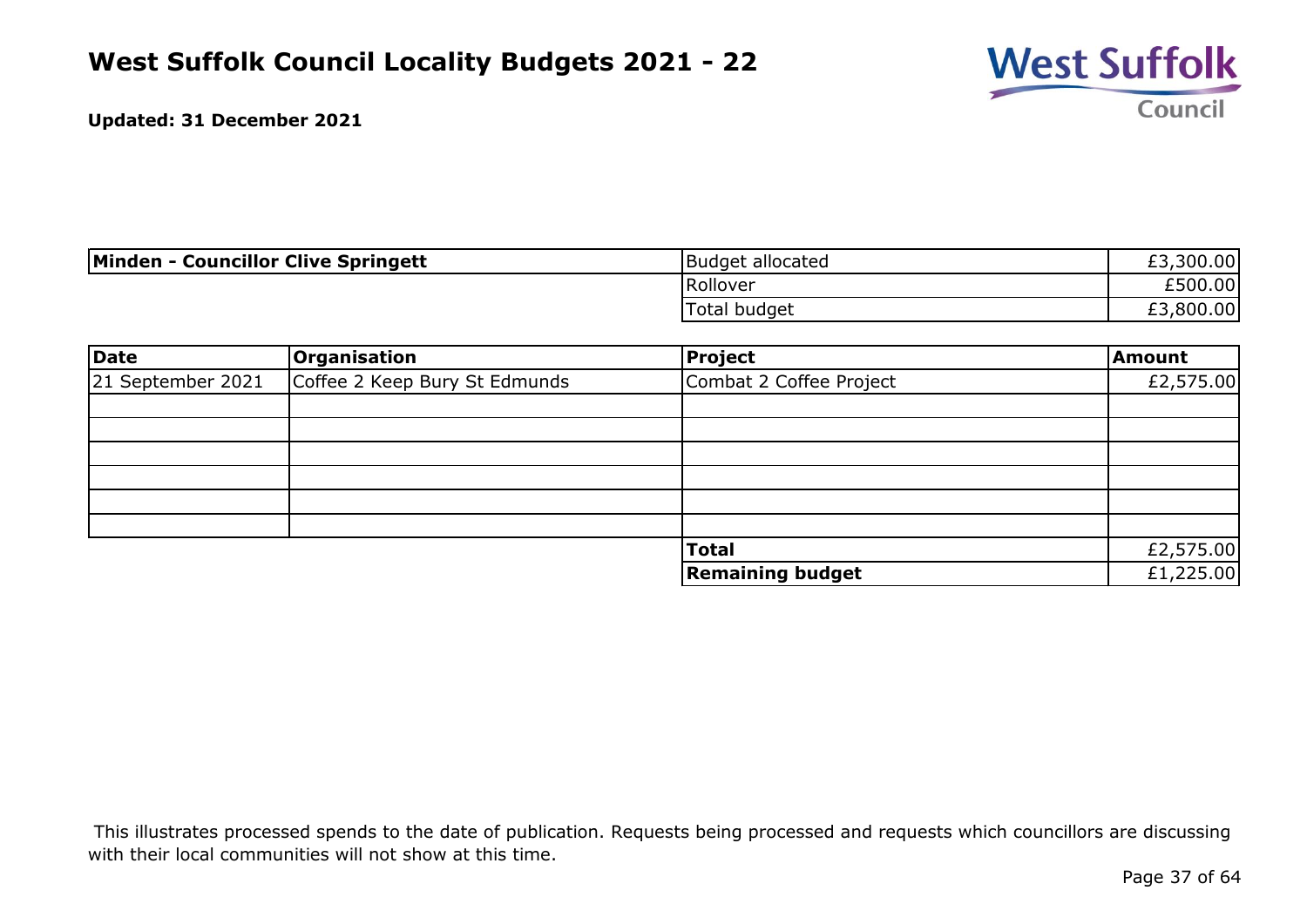

| Minden - Councillor Clive Springett | Budget allocated | £3,300.00 |
|-------------------------------------|------------------|-----------|
|                                     | Rollover         | £500.00   |
|                                     | Total budget     | ,800.00   |

| Date              | Organisation                  | Project                 | Amount    |
|-------------------|-------------------------------|-------------------------|-----------|
| 21 September 2021 | Coffee 2 Keep Bury St Edmunds | Combat 2 Coffee Project | £2,575.00 |
|                   |                               |                         |           |
|                   |                               |                         |           |
|                   |                               |                         |           |
|                   |                               |                         |           |
|                   |                               |                         |           |
|                   |                               |                         |           |
|                   |                               | <b>Total</b>            | £2,575.00 |
|                   |                               | <b>Remaining budget</b> | £1,225.00 |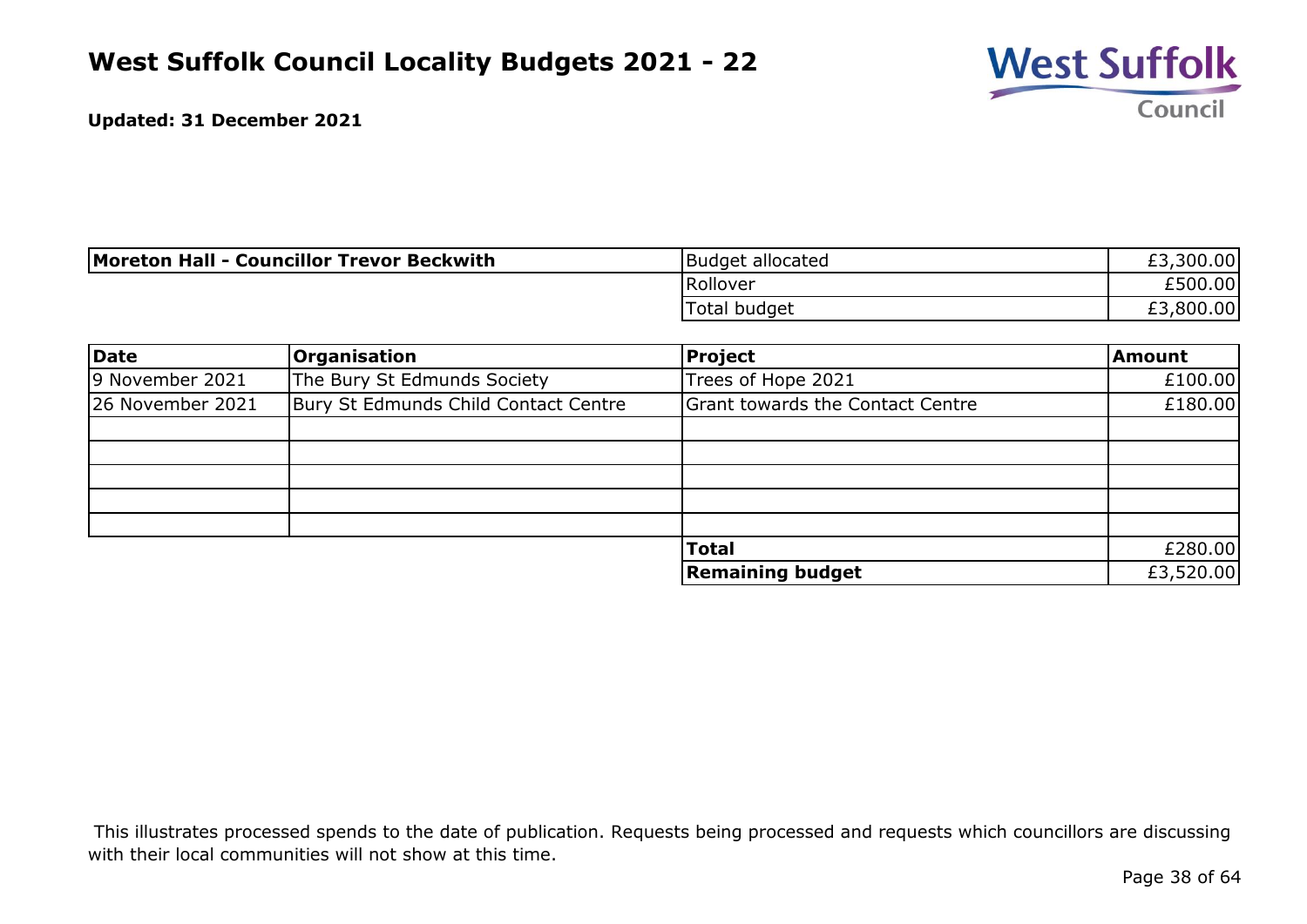

| Moreton Hall - Councillor Trevor Beckwith | Budget allocated | ,300.00<br>r J.<br>ŁJ. |
|-------------------------------------------|------------------|------------------------|
|                                           | Rollover         | £500.00                |
|                                           | Total budget     | ,800.00                |

| Date             | <b>Organisation</b>                  | <b>Project</b>                          | <b>Amount</b> |
|------------------|--------------------------------------|-----------------------------------------|---------------|
| 9 November 2021  | The Bury St Edmunds Society          | Trees of Hope 2021                      | £100.00       |
| 26 November 2021 | Bury St Edmunds Child Contact Centre | <b>Grant towards the Contact Centre</b> | £180.00       |
|                  |                                      |                                         |               |
|                  |                                      |                                         |               |
|                  |                                      |                                         |               |
|                  |                                      |                                         |               |
|                  |                                      |                                         |               |
|                  |                                      | <b>Total</b>                            | £280.00       |
|                  |                                      | <b>Remaining budget</b>                 | £3,520.00     |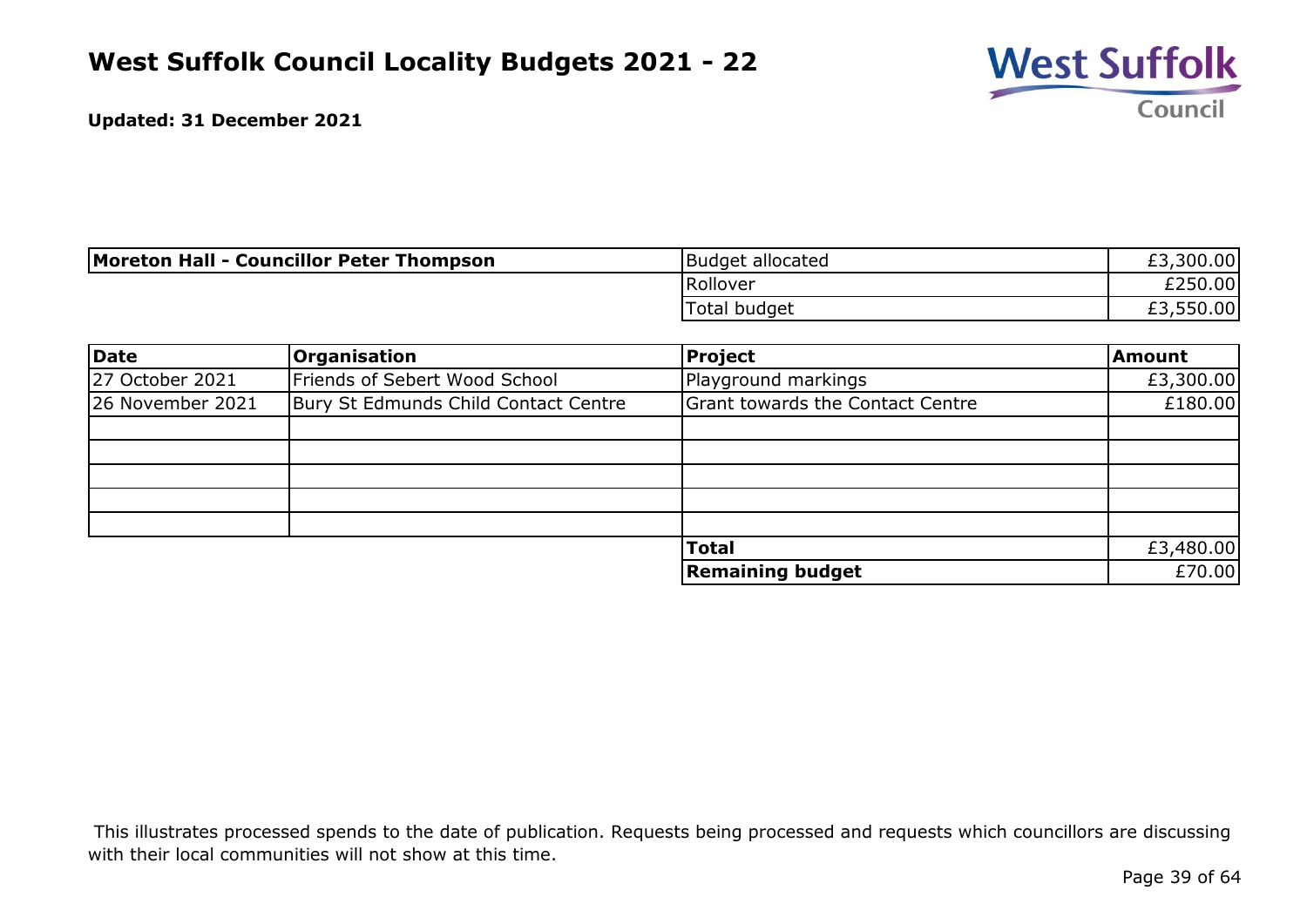

| Moreton Hall - Councillor Peter Thompson | Budget allocated | ,300.00<br>r J.<br>εJ. |
|------------------------------------------|------------------|------------------------|
|                                          | Rollover         | £250.00                |
|                                          | Total budget     | £3,550.00              |

| Date             | <b>Organisation</b>                  | <b>Project</b>                          | <b>Amount</b> |
|------------------|--------------------------------------|-----------------------------------------|---------------|
| 27 October 2021  | Friends of Sebert Wood School        | Playground markings                     | £3,300.00     |
| 26 November 2021 | Bury St Edmunds Child Contact Centre | <b>Grant towards the Contact Centre</b> | £180.00       |
|                  |                                      |                                         |               |
|                  |                                      |                                         |               |
|                  |                                      |                                         |               |
|                  |                                      |                                         |               |
|                  |                                      |                                         |               |
|                  |                                      | <b>Total</b>                            | £3,480.00     |
|                  |                                      | <b>Remaining budget</b>                 | £70.00        |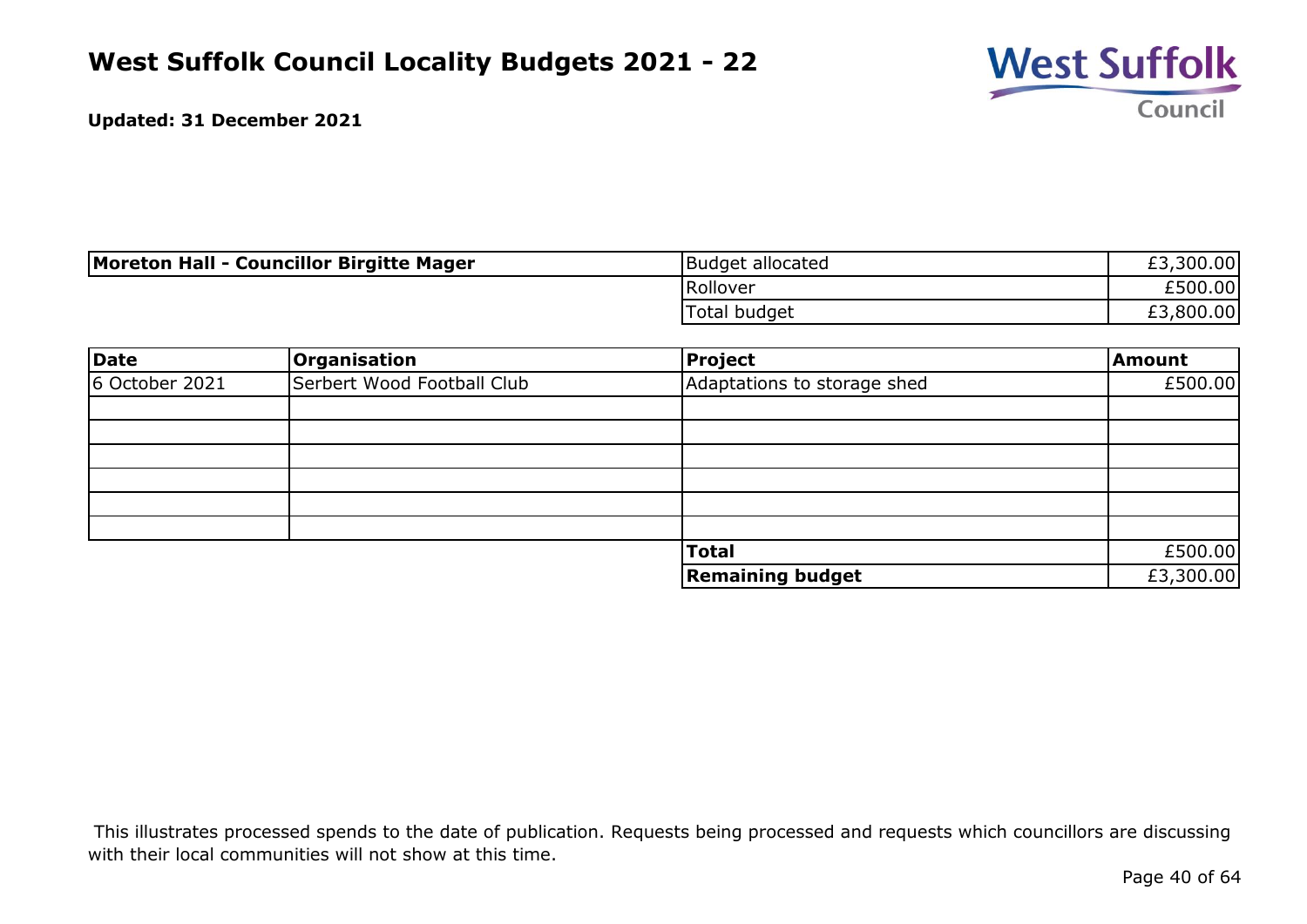

| Moreton Hall - Councillor Birgitte Mager | Budget allocated | £3,300.00 |
|------------------------------------------|------------------|-----------|
|                                          | Rollover         | £500.00   |
|                                          | Total budget     | ,800.00   |

| Date           | Organisation               | Project                     | Amount    |
|----------------|----------------------------|-----------------------------|-----------|
| 6 October 2021 | Serbert Wood Football Club | Adaptations to storage shed | £500.00   |
|                |                            |                             |           |
|                |                            |                             |           |
|                |                            |                             |           |
|                |                            |                             |           |
|                |                            |                             |           |
|                |                            |                             |           |
|                |                            | <b>Total</b>                | £500.00   |
|                |                            | <b>Remaining budget</b>     | £3,300.00 |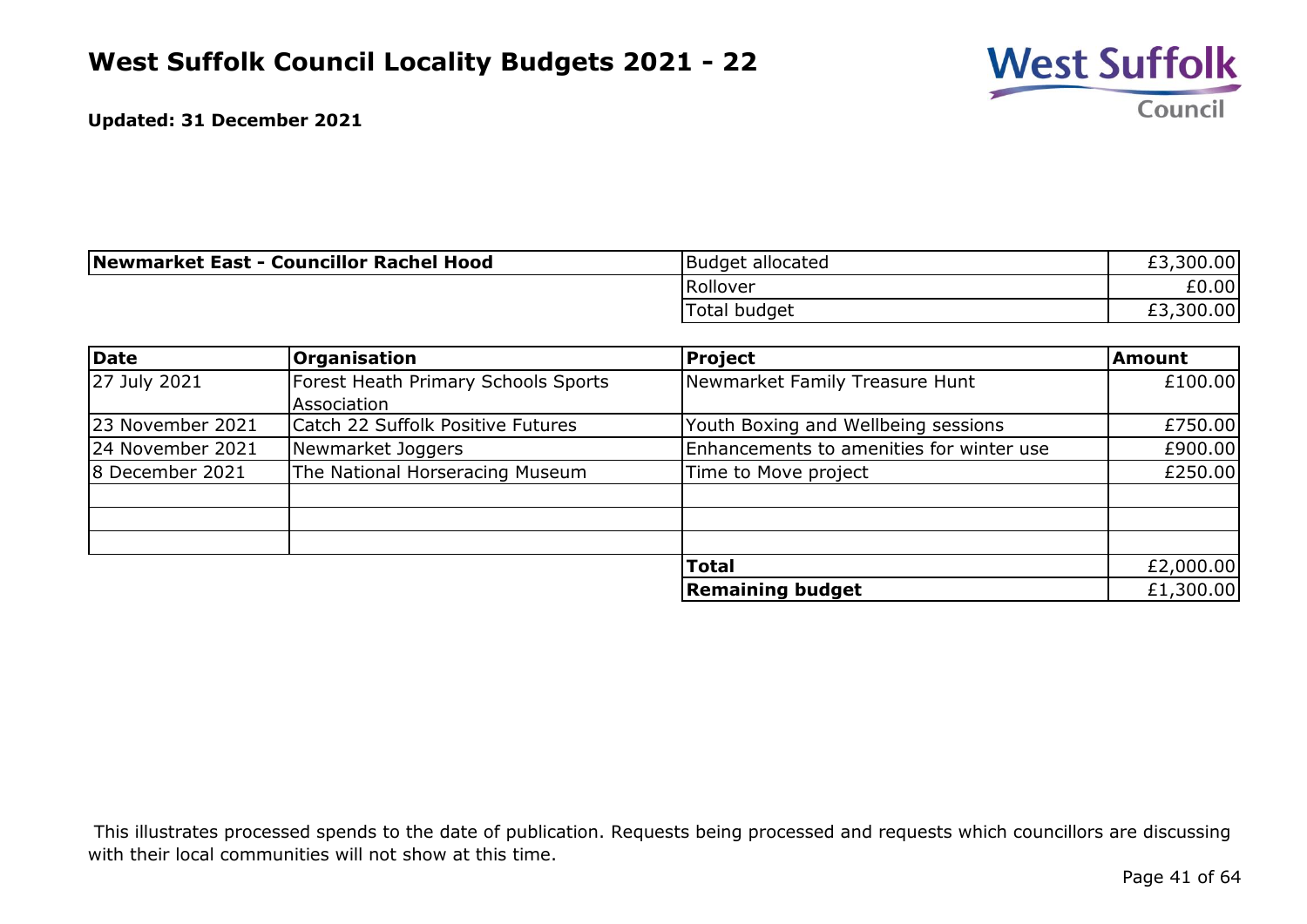

| Newmarket East - Councillor Rachel Hood | Budget allocated | £3,300.00 |
|-----------------------------------------|------------------|-----------|
|                                         | Rollover         | £0.00     |
|                                         | Total budget     | £3,300.00 |

| Date             | <b>Organisation</b>                 | <b>Project</b>                           | <b>Amount</b> |
|------------------|-------------------------------------|------------------------------------------|---------------|
| 27 July 2021     | Forest Heath Primary Schools Sports | Newmarket Family Treasure Hunt           | £100.00       |
|                  | Association                         |                                          |               |
| 23 November 2021 | Catch 22 Suffolk Positive Futures   | Youth Boxing and Wellbeing sessions      | £750.00       |
| 24 November 2021 | Newmarket Joggers                   | Enhancements to amenities for winter use | £900.00       |
| 8 December 2021  | The National Horseracing Museum     | Time to Move project                     | £250.00       |
|                  |                                     |                                          |               |
|                  |                                     |                                          |               |
|                  |                                     |                                          |               |
|                  |                                     | <b>Total</b>                             | £2,000.00     |
|                  |                                     | <b>Remaining budget</b>                  | £1,300.00     |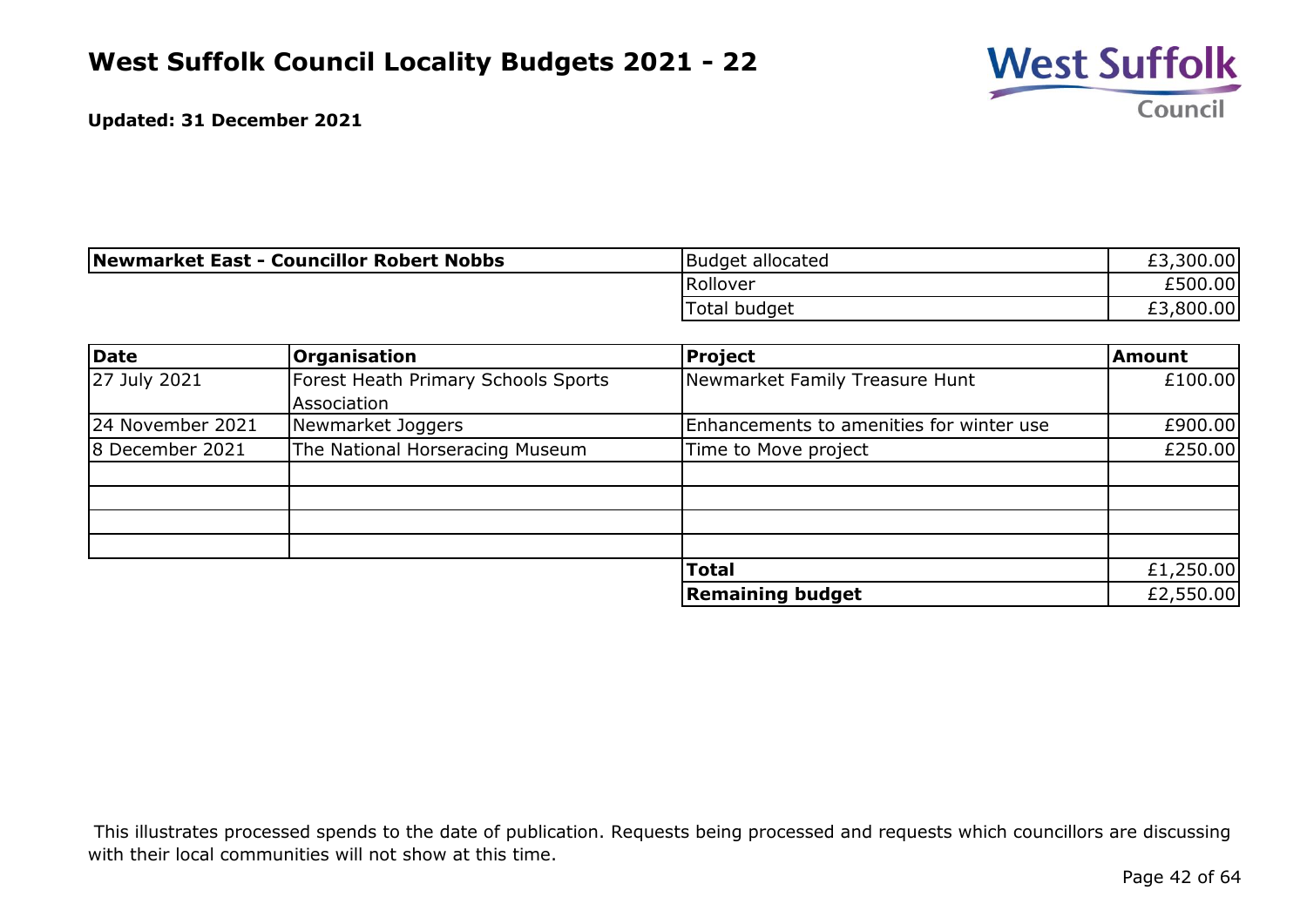

| Newmarket East - Councillor Robert Nobbs | Budget allocated    | £3,300.00      |
|------------------------------------------|---------------------|----------------|
|                                          | Rollover            | £500.00        |
|                                          | <b>Total budget</b> | ,800.00<br>£3, |

| Date             | <b>Organisation</b>                 | Project                                  | <b>Amount</b> |
|------------------|-------------------------------------|------------------------------------------|---------------|
| 27 July 2021     | Forest Heath Primary Schools Sports | Newmarket Family Treasure Hunt           | £100.00       |
|                  | Association                         |                                          |               |
| 24 November 2021 | Newmarket Joggers                   | Enhancements to amenities for winter use | £900.00       |
| 8 December 2021  | The National Horseracing Museum     | Time to Move project                     | £250.00       |
|                  |                                     |                                          |               |
|                  |                                     |                                          |               |
|                  |                                     |                                          |               |
|                  |                                     |                                          |               |
|                  |                                     | <b>Total</b>                             | £1,250.00     |
|                  |                                     | <b>Remaining budget</b>                  | £2,550.00     |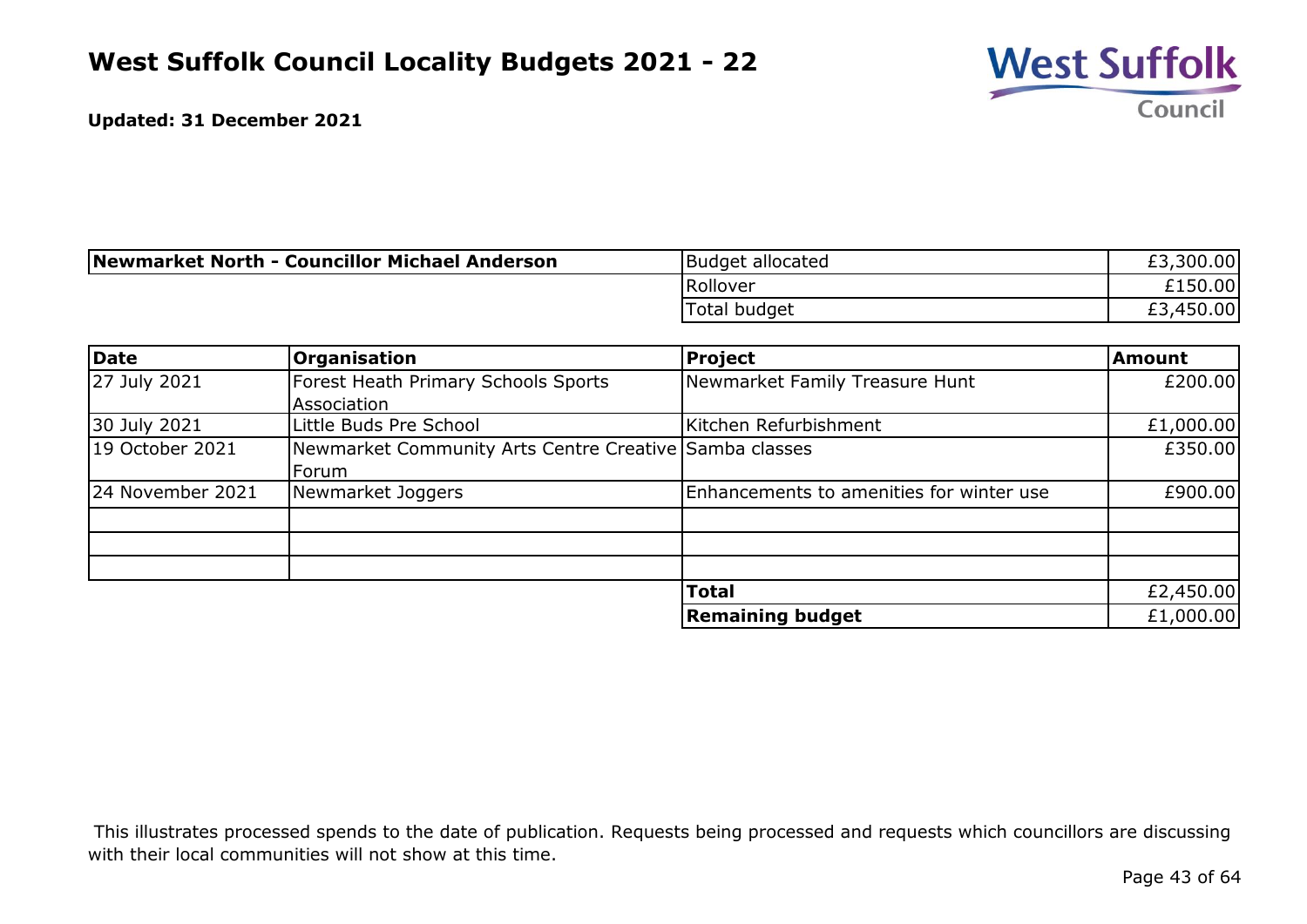

| Newmarket North - Councillor Michael Anderson | Budget allocated    | £3,300.00 |
|-----------------------------------------------|---------------------|-----------|
|                                               | Rollover            | £150.00   |
|                                               | <b>Total budget</b> | £3,450.00 |

| Date             | <b>Organisation</b>                                    | <b>Project</b>                           | <b>Amount</b> |
|------------------|--------------------------------------------------------|------------------------------------------|---------------|
| 27 July 2021     | Forest Heath Primary Schools Sports                    | Newmarket Family Treasure Hunt           | £200.00       |
|                  | Association                                            |                                          |               |
| 30 July 2021     | Little Buds Pre School                                 | Kitchen Refurbishment                    | £1,000.00     |
| 19 October 2021  | Newmarket Community Arts Centre Creative Samba classes |                                          | £350.00       |
|                  | Forum                                                  |                                          |               |
| 24 November 2021 | Newmarket Joggers                                      | Enhancements to amenities for winter use | £900.00       |
|                  |                                                        |                                          |               |
|                  |                                                        |                                          |               |
|                  |                                                        |                                          |               |
|                  |                                                        | <b>Total</b>                             | £2,450.00     |
|                  |                                                        | <b>Remaining budget</b>                  | £1,000.00     |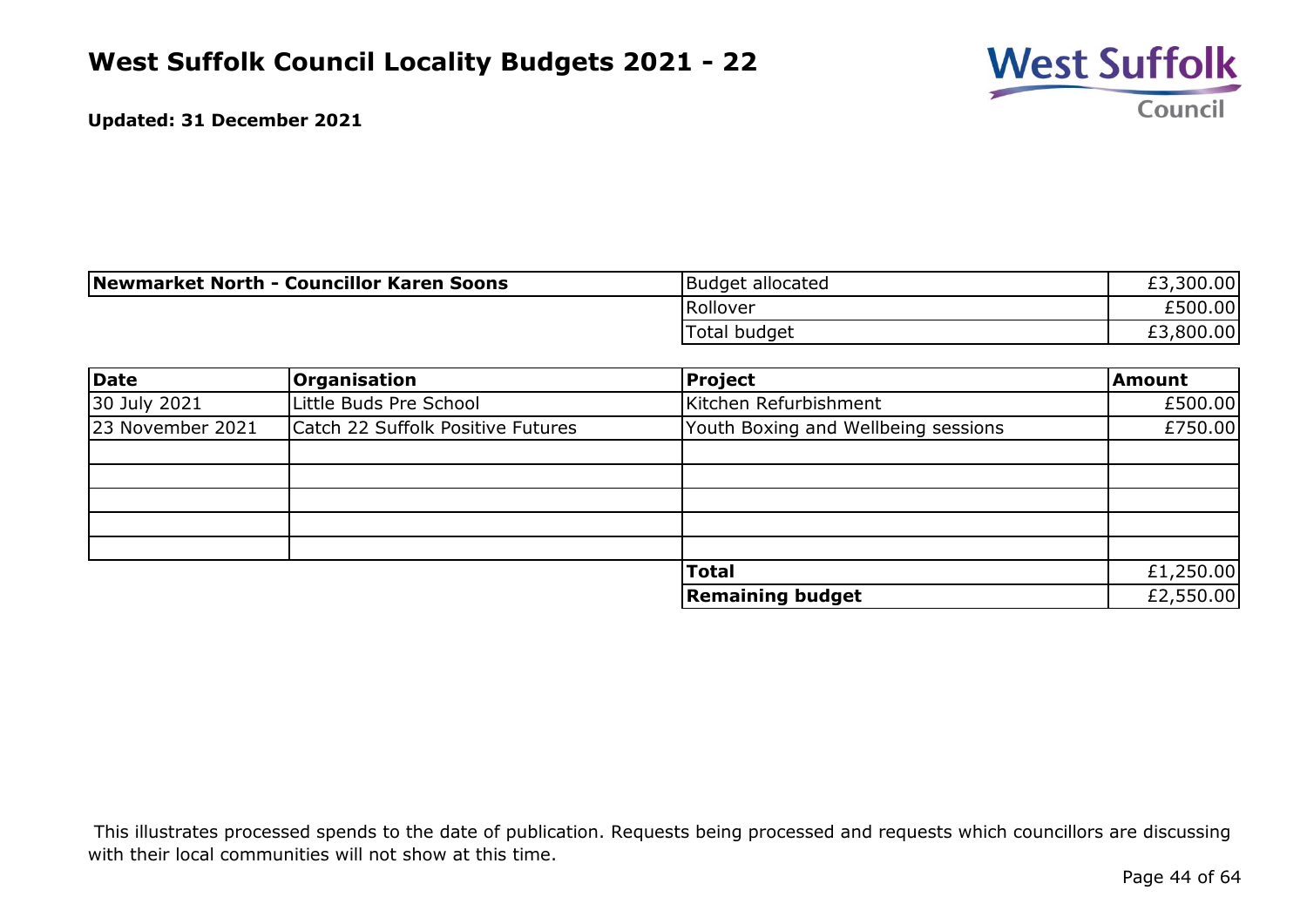

| Newmarket North - Councillor Karen Soons | Budget allocated | £3,300.00 |
|------------------------------------------|------------------|-----------|
|                                          | Rollover         | £500.00   |
|                                          | Total budget     | £3,800.00 |

| Date             | Organisation                      | Project                             | <b>Amount</b> |
|------------------|-----------------------------------|-------------------------------------|---------------|
| 30 July 2021     | Little Buds Pre School            | Kitchen Refurbishment               | £500.00       |
| 23 November 2021 | Catch 22 Suffolk Positive Futures | Youth Boxing and Wellbeing sessions | £750.00       |
|                  |                                   |                                     |               |
|                  |                                   |                                     |               |
|                  |                                   |                                     |               |
|                  |                                   |                                     |               |
|                  |                                   |                                     |               |
|                  |                                   | <b>Total</b>                        | £1,250.00     |
|                  |                                   | <b>Remaining budget</b>             | £2,550.00     |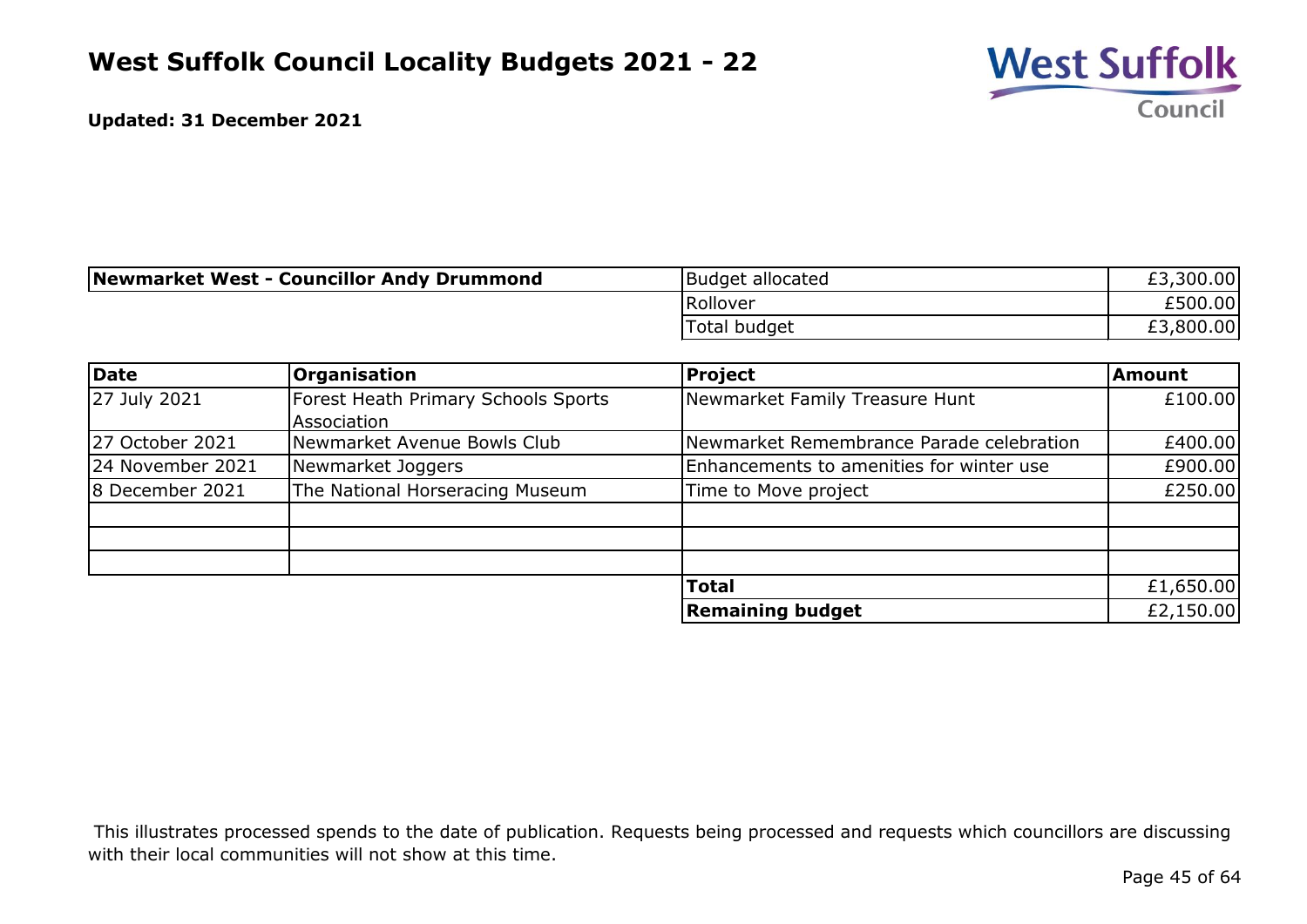

| Newmarket West - Councillor Andy Drummond | Budget allocated | £3,300.00 |
|-------------------------------------------|------------------|-----------|
|                                           | Rollover         | £500.00   |
|                                           | Total budget     | £3,800.00 |

| Date             | <b>Organisation</b>                 | <b>Project</b>                           | <b>Amount</b> |
|------------------|-------------------------------------|------------------------------------------|---------------|
| 27 July 2021     | Forest Heath Primary Schools Sports | Newmarket Family Treasure Hunt           | £100.00       |
|                  | Association                         |                                          |               |
| 27 October 2021  | Newmarket Avenue Bowls Club         | Newmarket Remembrance Parade celebration | £400.00       |
| 24 November 2021 | Newmarket Joggers                   | Enhancements to amenities for winter use | £900.00       |
| 8 December 2021  | The National Horseracing Museum     | Time to Move project                     | £250.00       |
|                  |                                     |                                          |               |
|                  |                                     |                                          |               |
|                  |                                     |                                          |               |
|                  |                                     | <b>Total</b>                             | £1,650.00     |
|                  |                                     | <b>Remaining budget</b>                  | £2,150.00     |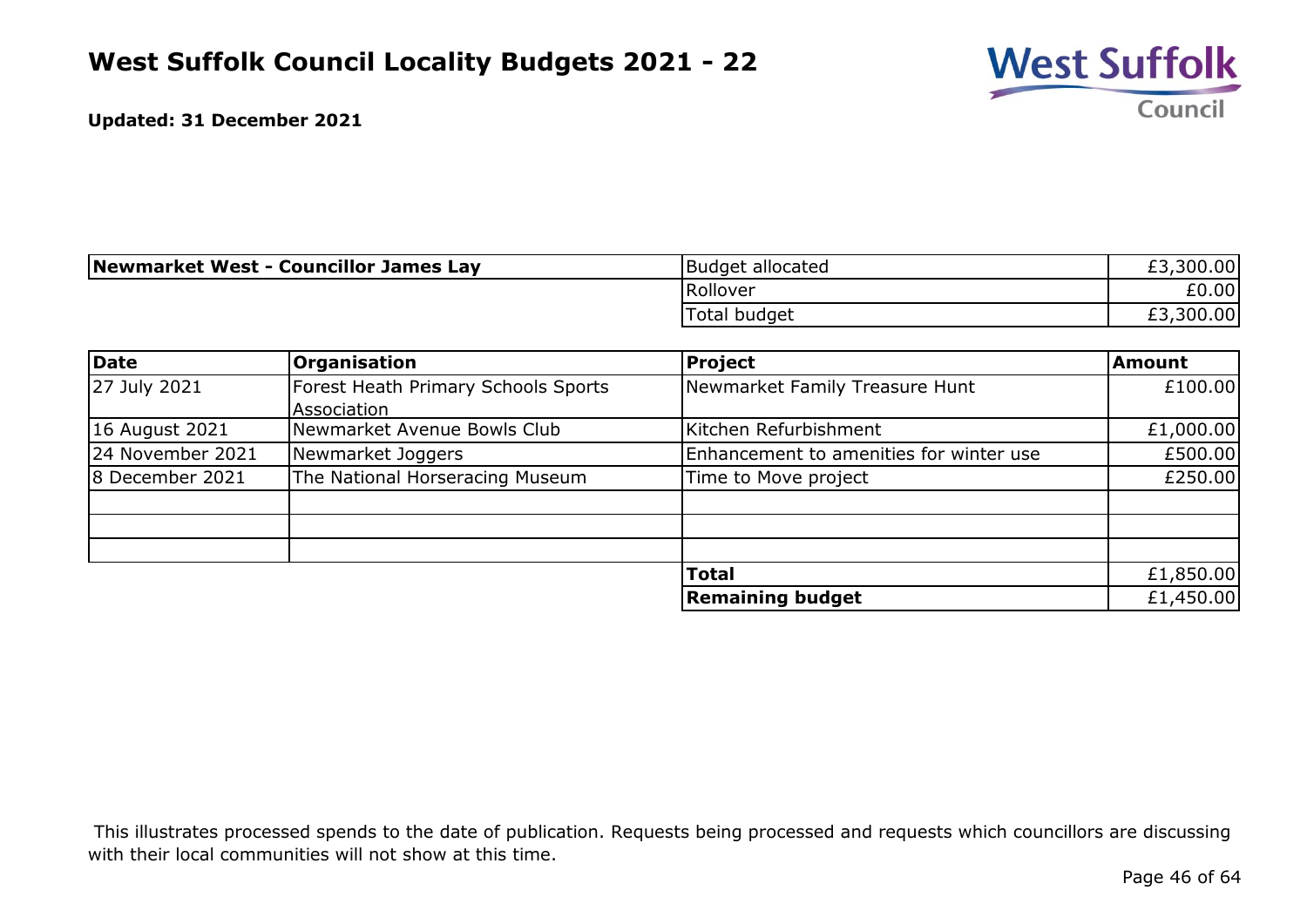

| Newmarket West - Councillor James Lay | Budget allocated | £3,300.00 |
|---------------------------------------|------------------|-----------|
|                                       | Rollover         | £0.00     |
|                                       | Total budget     | £3,300.00 |

| Date             | <b>Organisation</b>                 | Project                                 | <b>Amount</b> |
|------------------|-------------------------------------|-----------------------------------------|---------------|
| 27 July 2021     | Forest Heath Primary Schools Sports | Newmarket Family Treasure Hunt          | £100.00       |
|                  | Association                         |                                         |               |
| 16 August 2021   | Newmarket Avenue Bowls Club         | Kitchen Refurbishment                   | £1,000.00     |
| 24 November 2021 | Newmarket Joggers                   | Enhancement to amenities for winter use | £500.00       |
| 8 December 2021  | The National Horseracing Museum     | Time to Move project                    | £250.00       |
|                  |                                     |                                         |               |
|                  |                                     |                                         |               |
|                  |                                     |                                         |               |
|                  |                                     | <b>Total</b>                            | £1,850.00     |
|                  |                                     | <b>Remaining budget</b>                 | £1,450.00     |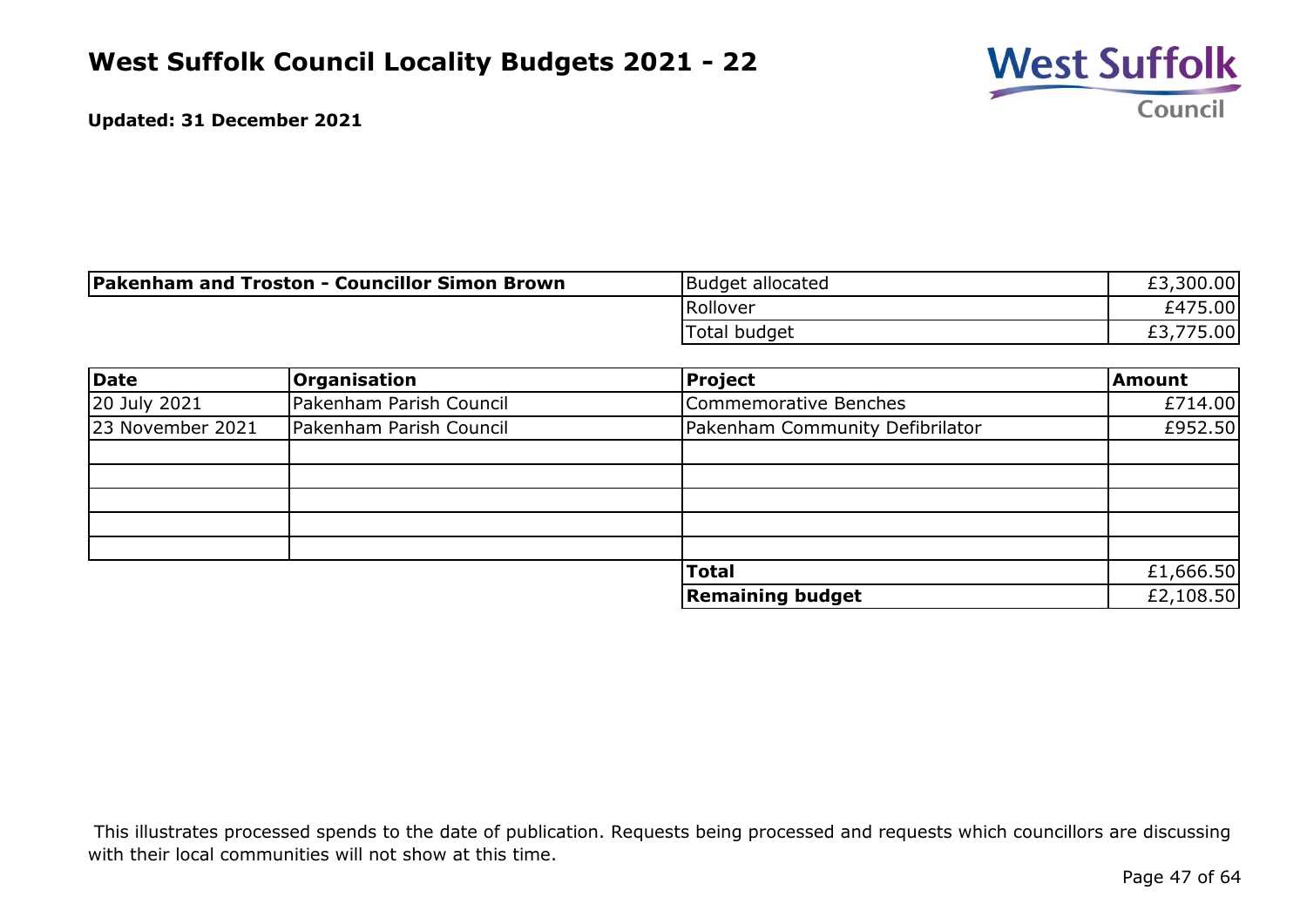

| <b>Pakenham and Troston - Councillor Simon Brown</b> | Budget allocated | £3,300.00           |
|------------------------------------------------------|------------------|---------------------|
|                                                      | Rollover         | £475.00             |
|                                                      | Total budget     | 775.00<br>rn<br>LJ. |

| Date             | <b>Organisation</b>     | Project                         | Amount    |
|------------------|-------------------------|---------------------------------|-----------|
| 20 July 2021     | Pakenham Parish Council | Commemorative Benches           | £714.00   |
| 23 November 2021 | Pakenham Parish Council | Pakenham Community Defibrilator | £952.50   |
|                  |                         |                                 |           |
|                  |                         |                                 |           |
|                  |                         |                                 |           |
|                  |                         |                                 |           |
|                  |                         |                                 |           |
|                  |                         | <b>Total</b>                    | £1,666.50 |
|                  |                         | <b>Remaining budget</b>         | £2,108.50 |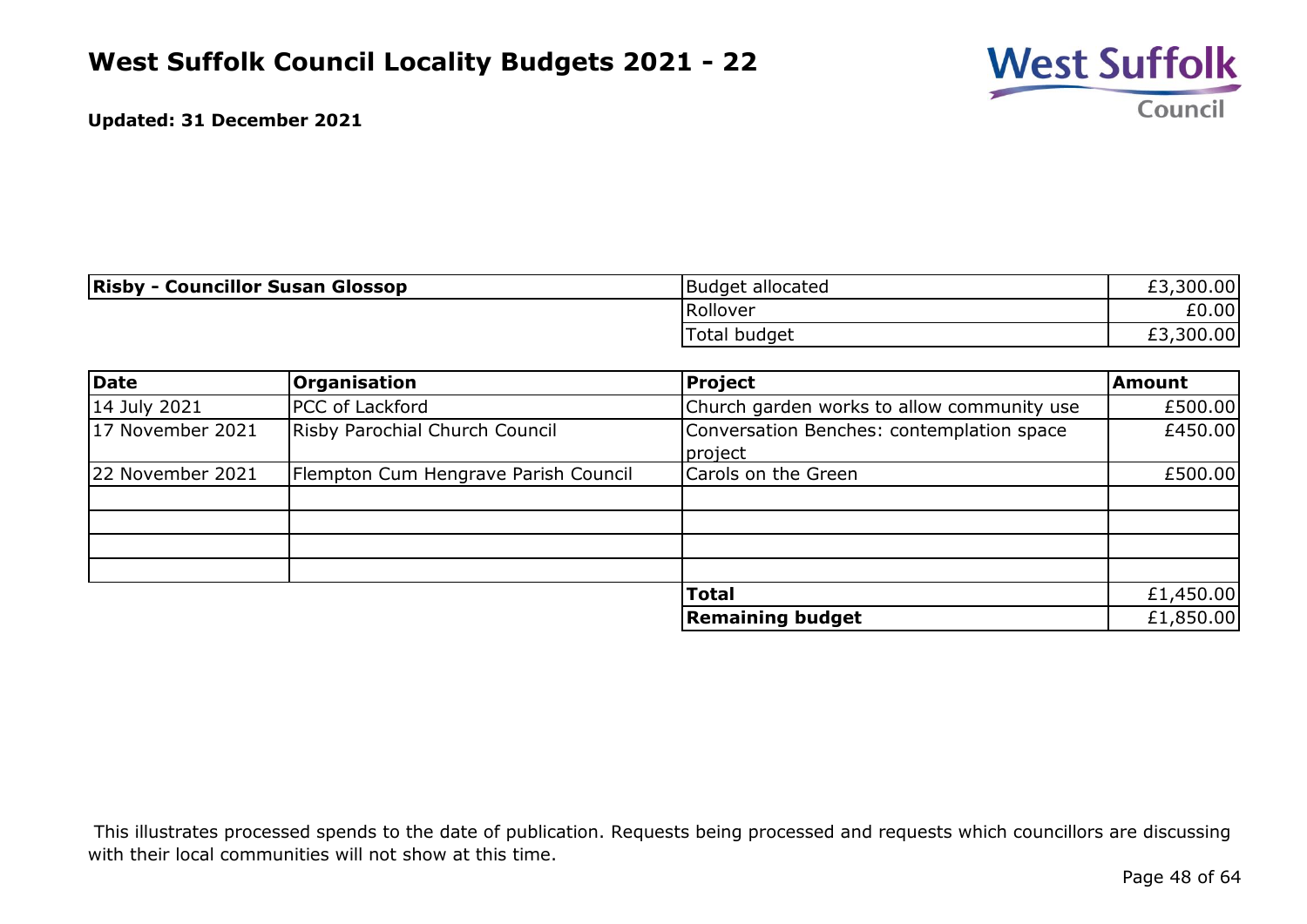

| <b>Risby - Councillor Susan Glossop</b> | Budget allocated | £3,300.00 |
|-----------------------------------------|------------------|-----------|
|                                         | Rollover         | £0.00     |
|                                         | Total budget     | £3,300.00 |

| Date             | <b>Organisation</b>                  | Project                                              | <b>Amount</b> |
|------------------|--------------------------------------|------------------------------------------------------|---------------|
| 14 July 2021     | <b>PCC</b> of Lackford               | Church garden works to allow community use           | £500.00       |
| 17 November 2021 | Risby Parochial Church Council       | Conversation Benches: contemplation space<br>project | £450.00       |
| 22 November 2021 | Flempton Cum Hengrave Parish Council | Carols on the Green                                  | £500.00       |
|                  |                                      | <b>Total</b>                                         | £1,450.00     |
|                  |                                      | <b>Remaining budget</b>                              | £1,850.00     |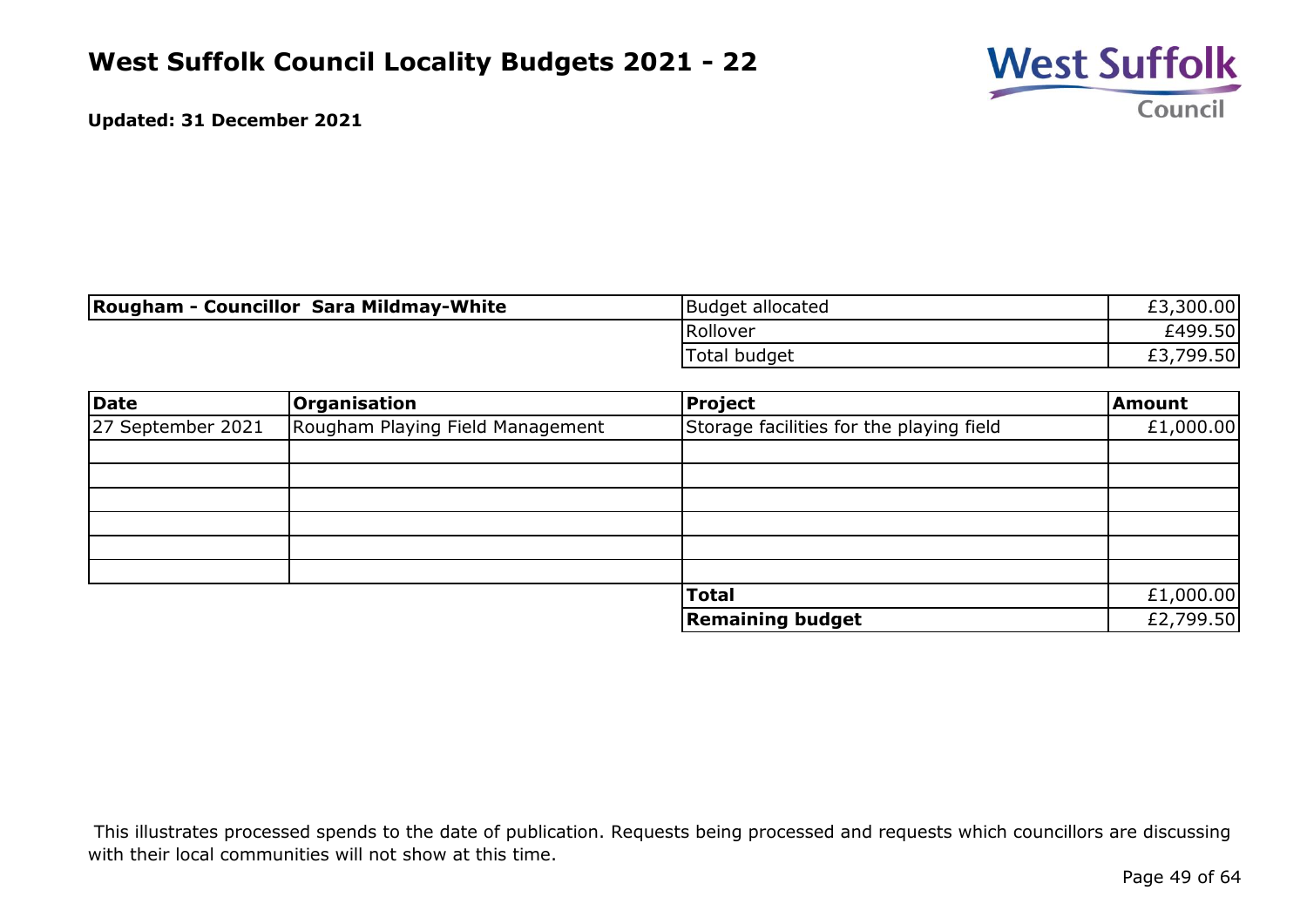

| Rougham - Councillor Sara Mildmay-White | Budget allocated    | £3,300.00 |
|-----------------------------------------|---------------------|-----------|
|                                         | Rollover            | £499.50   |
|                                         | <b>Total budget</b> | £3,799.50 |

| Date              | Organisation                     | <b>Project</b>                           | <b>Amount</b> |
|-------------------|----------------------------------|------------------------------------------|---------------|
| 27 September 2021 | Rougham Playing Field Management | Storage facilities for the playing field | £1,000.00     |
|                   |                                  |                                          |               |
|                   |                                  |                                          |               |
|                   |                                  |                                          |               |
|                   |                                  |                                          |               |
|                   |                                  |                                          |               |
|                   |                                  |                                          |               |
|                   |                                  | <b>Total</b>                             | £1,000.00     |
|                   |                                  | <b>Remaining budget</b>                  | £2,799.50     |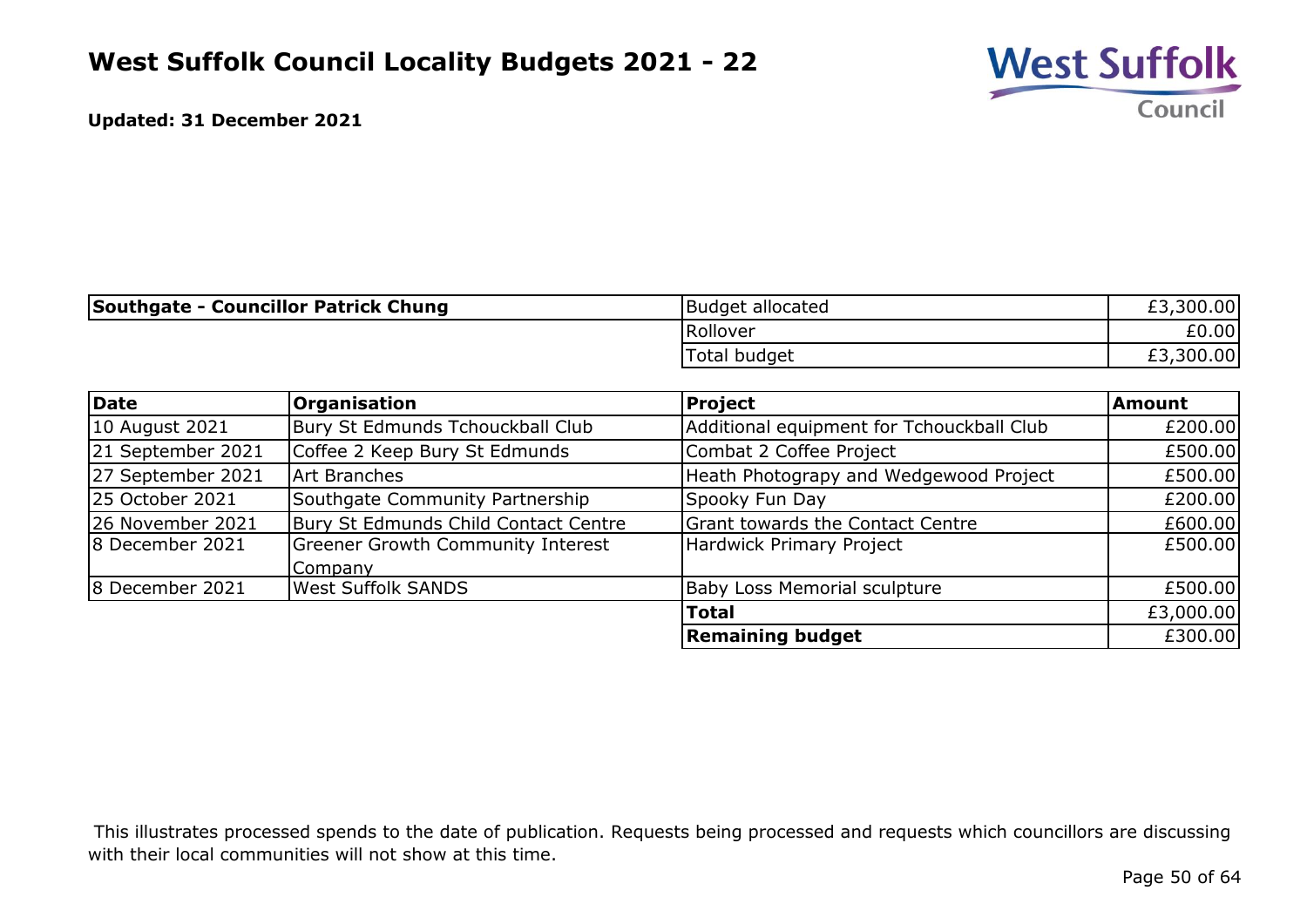

| <b>Southgate - Councillor Patrick Chung</b> |                                          | Budget allocated                          | £3,300.00 |
|---------------------------------------------|------------------------------------------|-------------------------------------------|-----------|
|                                             |                                          | Rollover                                  | £0.00     |
|                                             |                                          | Total budget                              | £3,300.00 |
|                                             |                                          |                                           |           |
| <b>Date</b>                                 | <b>Organisation</b>                      | <b>Project</b>                            | Amount    |
| 10 August 2021                              | Bury St Edmunds Tchouckball Club         | Additional equipment for Tchouckball Club | £200.00   |
| 21 September 2021                           | Coffee 2 Keep Bury St Edmunds            | Combat 2 Coffee Project                   | £500.00   |
| 27 September 2021                           | Art Branches                             | Heath Photograpy and Wedgewood Project    | £500.00   |
| 25 October 2021                             | Southgate Community Partnership          | Spooky Fun Day                            | £200.00   |
| 26 November 2021                            | Bury St Edmunds Child Contact Centre     | <b>Grant towards the Contact Centre</b>   | £600.00   |
| 8 December 2021                             | <b>Greener Growth Community Interest</b> | Hardwick Primary Project                  | £500.00   |
|                                             | Company                                  |                                           |           |
| 8 December 2021                             | <b>West Suffolk SANDS</b>                | <b>Baby Loss Memorial sculpture</b>       | £500.00   |
|                                             |                                          | <b>Total</b>                              | £3,000.00 |
|                                             |                                          | <b>Remaining budget</b>                   | £300.00   |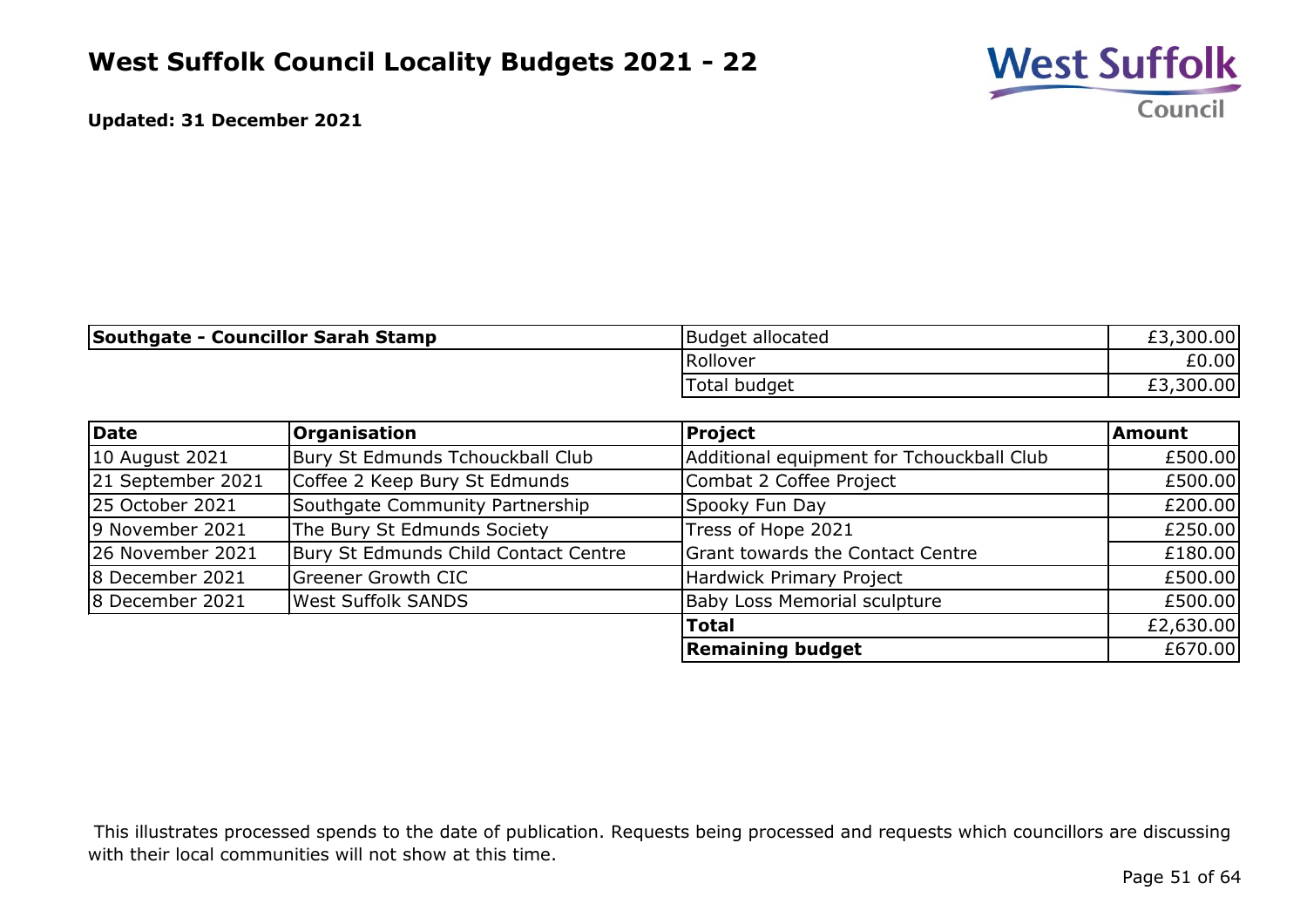

| <b>Southgate - Councillor Sarah Stamp</b> | Budget allocated | £3,300.00 |
|-------------------------------------------|------------------|-----------|
|                                           | Rollover         | £0.00     |
|                                           | Total budget     | £3,300.00 |

| Date              | <b>Organisation</b>                  | Project                                   | Amount    |
|-------------------|--------------------------------------|-------------------------------------------|-----------|
| 10 August 2021    | Bury St Edmunds Tchouckball Club     | Additional equipment for Tchouckball Club | £500.00   |
| 21 September 2021 | Coffee 2 Keep Bury St Edmunds        | Combat 2 Coffee Project                   | £500.00   |
| 25 October 2021   | Southgate Community Partnership      | Spooky Fun Day                            | £200.00   |
| 9 November 2021   | The Bury St Edmunds Society          | Tress of Hope 2021                        | £250.00   |
| 26 November 2021  | Bury St Edmunds Child Contact Centre | Grant towards the Contact Centre          | £180.00   |
| 8 December 2021   | <b>Greener Growth CIC</b>            | Hardwick Primary Project                  | £500.00   |
| 8 December 2021   | <b>West Suffolk SANDS</b>            | <b>Baby Loss Memorial sculpture</b>       | £500.00   |
|                   |                                      | <b>Total</b>                              | £2,630.00 |
|                   |                                      | <b>Remaining budget</b>                   | £670.00   |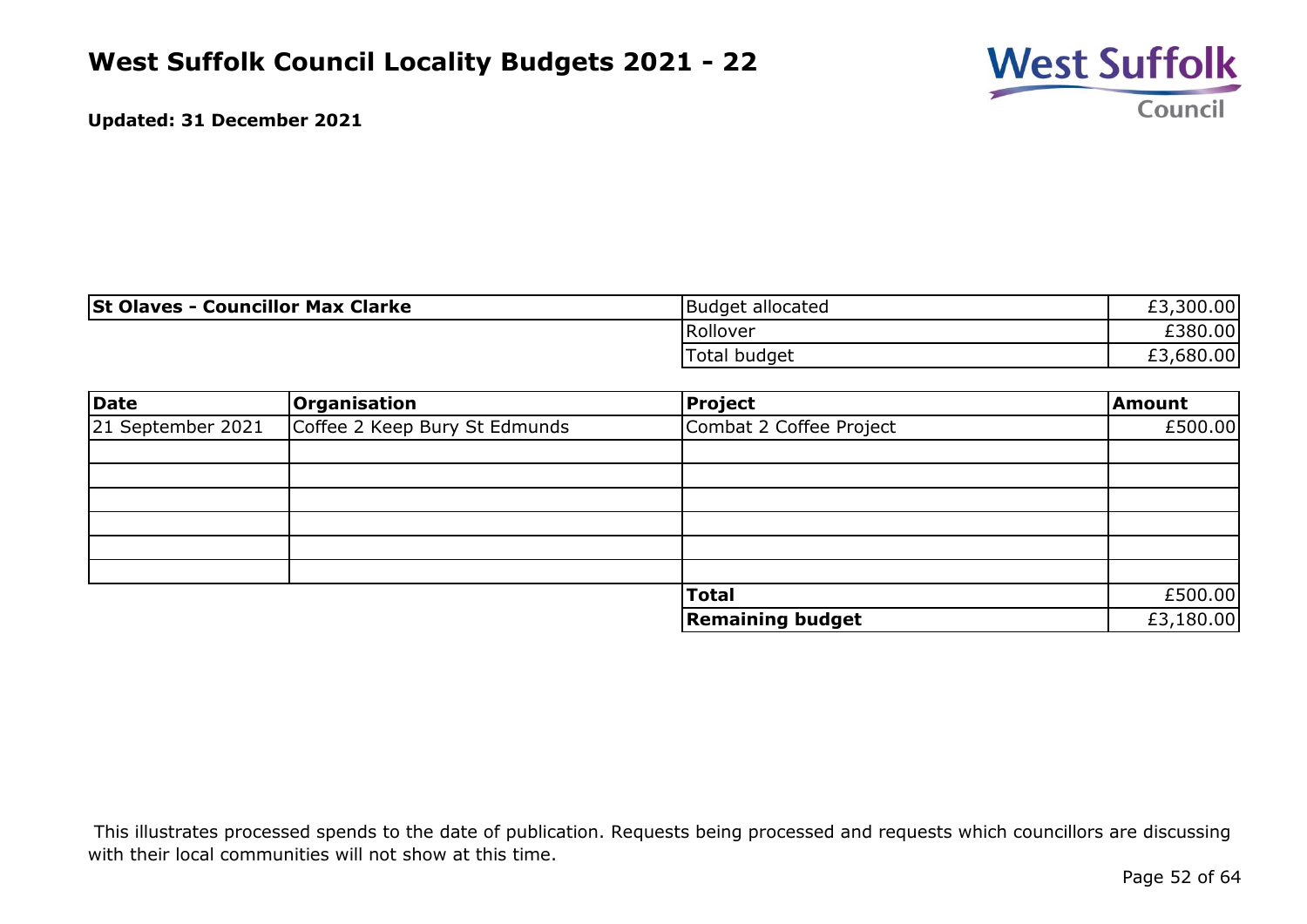

| <b>St Olaves - Councillor Max Clarke</b> | Budget allocated    | £3,300.00 |
|------------------------------------------|---------------------|-----------|
|                                          | Rollover            | £380.00   |
|                                          | <b>Total budget</b> | £3,680.00 |

| Date              | Organisation                  | <b>Project</b>          | Amount    |
|-------------------|-------------------------------|-------------------------|-----------|
| 21 September 2021 | Coffee 2 Keep Bury St Edmunds | Combat 2 Coffee Project | £500.00   |
|                   |                               |                         |           |
|                   |                               |                         |           |
|                   |                               |                         |           |
|                   |                               |                         |           |
|                   |                               |                         |           |
|                   |                               |                         |           |
|                   |                               | <b>Total</b>            | £500.00   |
|                   |                               | <b>Remaining budget</b> | £3,180.00 |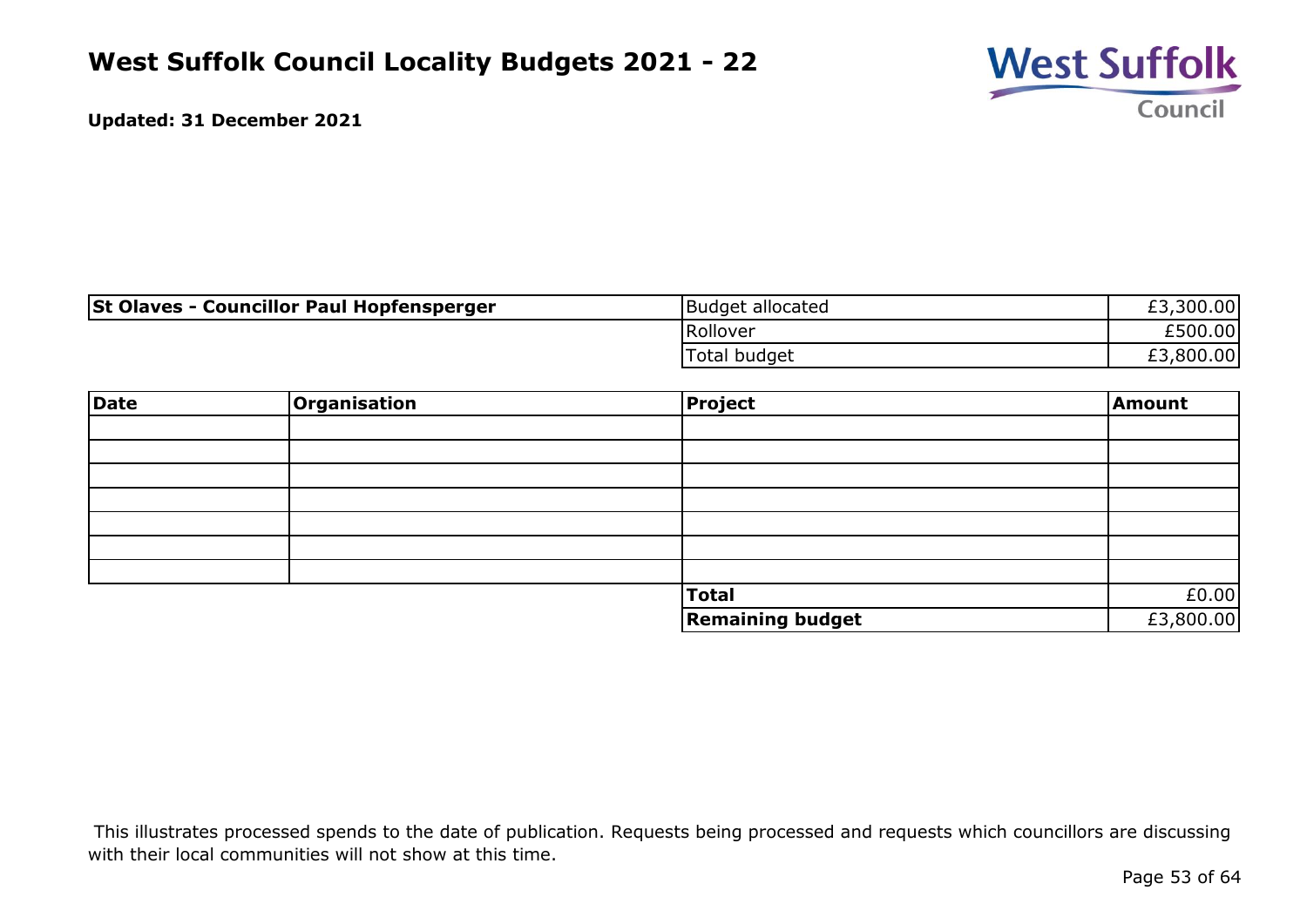

| <b>St Olaves - Councillor Paul Hopfensperger</b> | Budget allocated    | £3,300.00 |
|--------------------------------------------------|---------------------|-----------|
|                                                  | Rollover            | £500.00l  |
|                                                  | <b>Total budget</b> | £3,800.00 |

| Date | Organisation | Project                 | Amount    |
|------|--------------|-------------------------|-----------|
|      |              |                         |           |
|      |              |                         |           |
|      |              |                         |           |
|      |              |                         |           |
|      |              |                         |           |
|      |              |                         |           |
|      |              |                         |           |
|      |              | <b>Total</b>            | £0.00     |
|      |              | <b>Remaining budget</b> | £3,800.00 |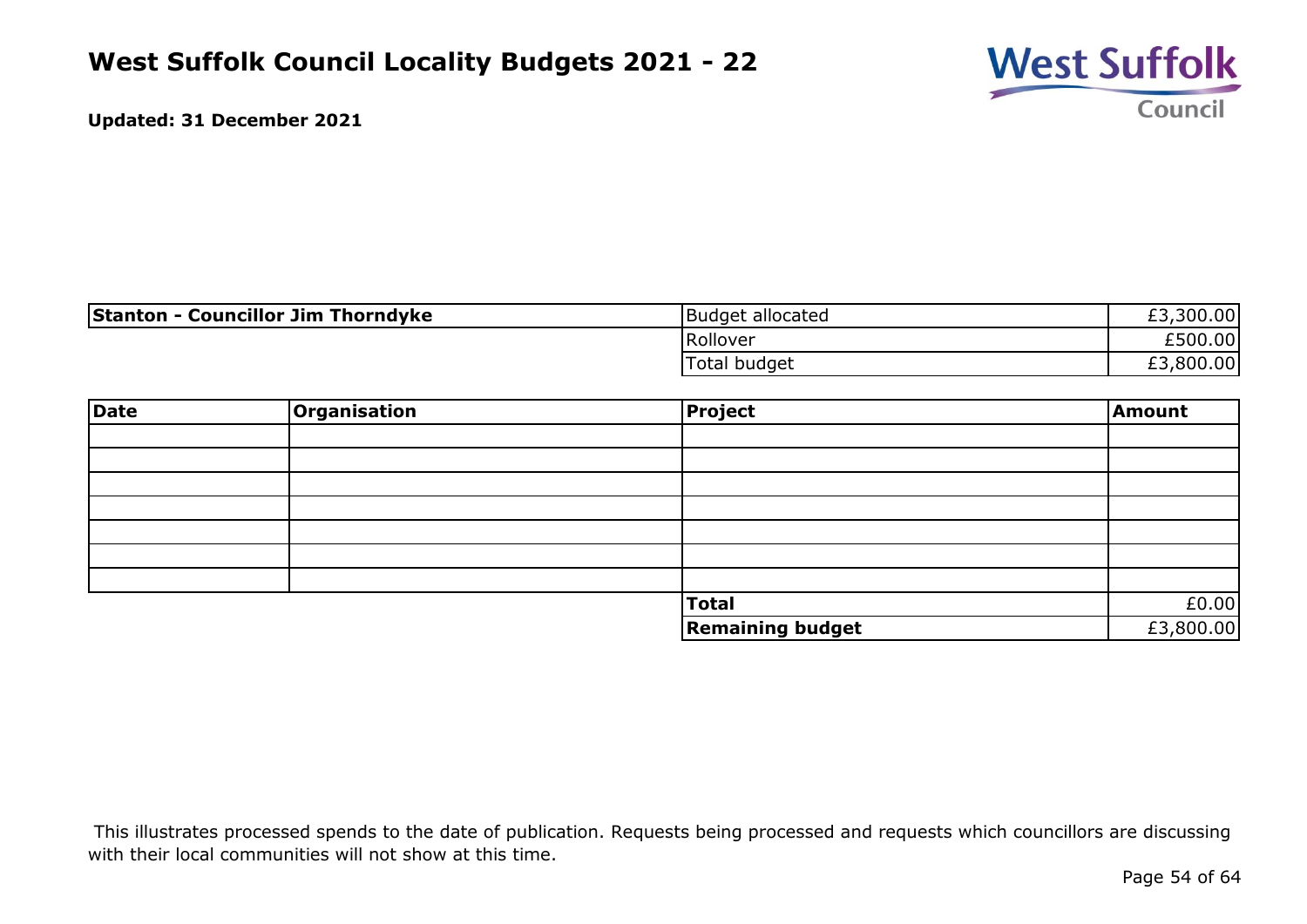

| <b>Stanton - Councillor Jim Thorndyke</b> | Budget allocated | £3,300.00 |
|-------------------------------------------|------------------|-----------|
|                                           | Rollover         | £500.00   |
|                                           | Total budget     | £3,800.00 |

| <b>Date</b> | Organisation | Project                 | Amount    |
|-------------|--------------|-------------------------|-----------|
|             |              |                         |           |
|             |              |                         |           |
|             |              |                         |           |
|             |              |                         |           |
|             |              |                         |           |
|             |              |                         |           |
|             |              |                         |           |
|             |              | <b>Total</b>            | £0.00     |
|             |              | <b>Remaining budget</b> | £3,800.00 |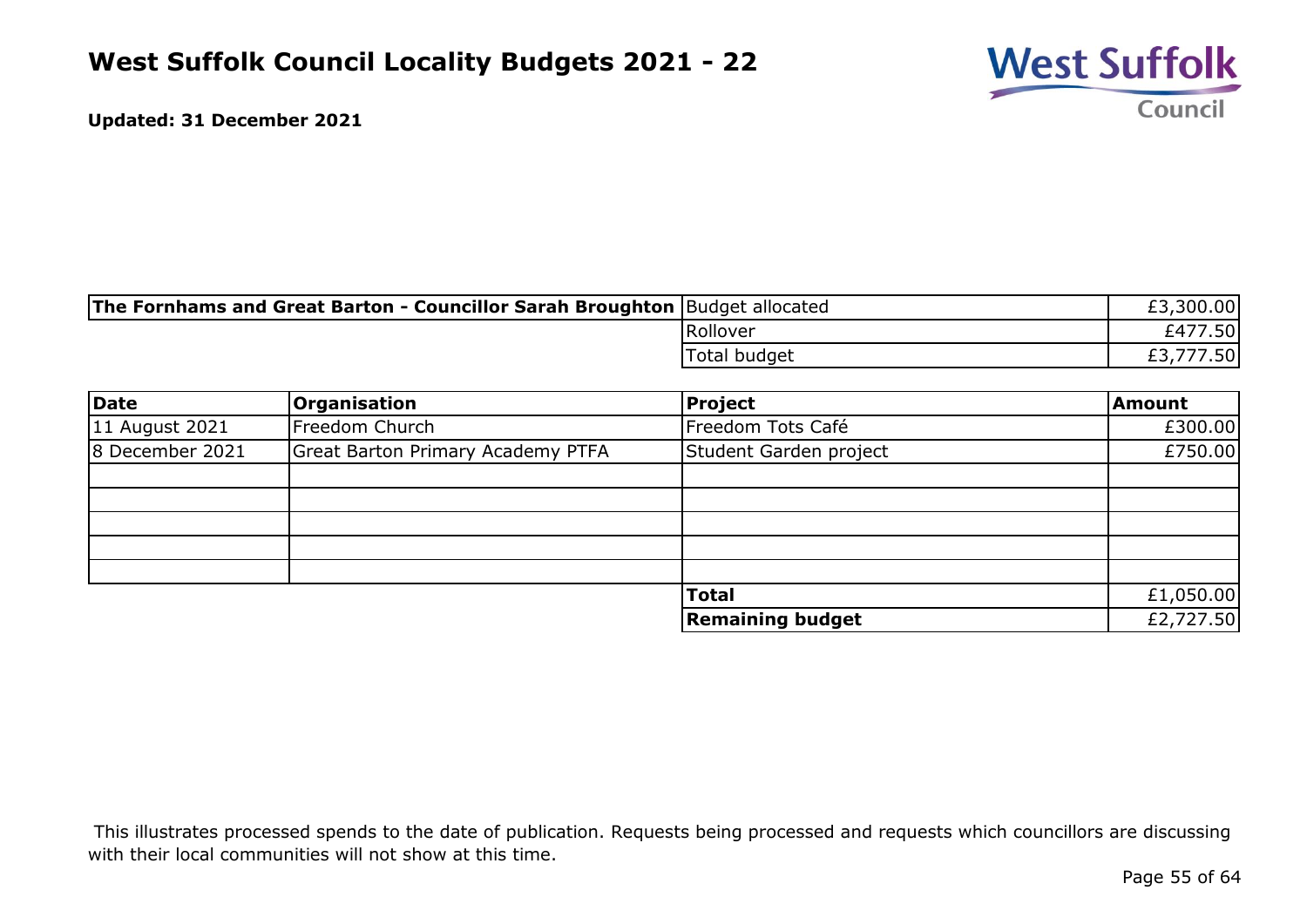

| The Fornhams and Great Barton - Councillor Sarah Broughton  Budget allocated |              | £3,300.00 |
|------------------------------------------------------------------------------|--------------|-----------|
|                                                                              | Rollover     | £477.50   |
|                                                                              | Total budget | ,777.50   |

| Date            | <b>Organisation</b>                      | <b>Project</b>          | <b>Amount</b> |
|-----------------|------------------------------------------|-------------------------|---------------|
| 11 August 2021  | Freedom Church                           | Freedom Tots Café       | £300.00       |
| 8 December 2021 | <b>Great Barton Primary Academy PTFA</b> | Student Garden project  | £750.00       |
|                 |                                          |                         |               |
|                 |                                          |                         |               |
|                 |                                          |                         |               |
|                 |                                          |                         |               |
|                 |                                          |                         |               |
|                 |                                          | <b>Total</b>            | £1,050.00     |
|                 |                                          | <b>Remaining budget</b> | £2,727.50     |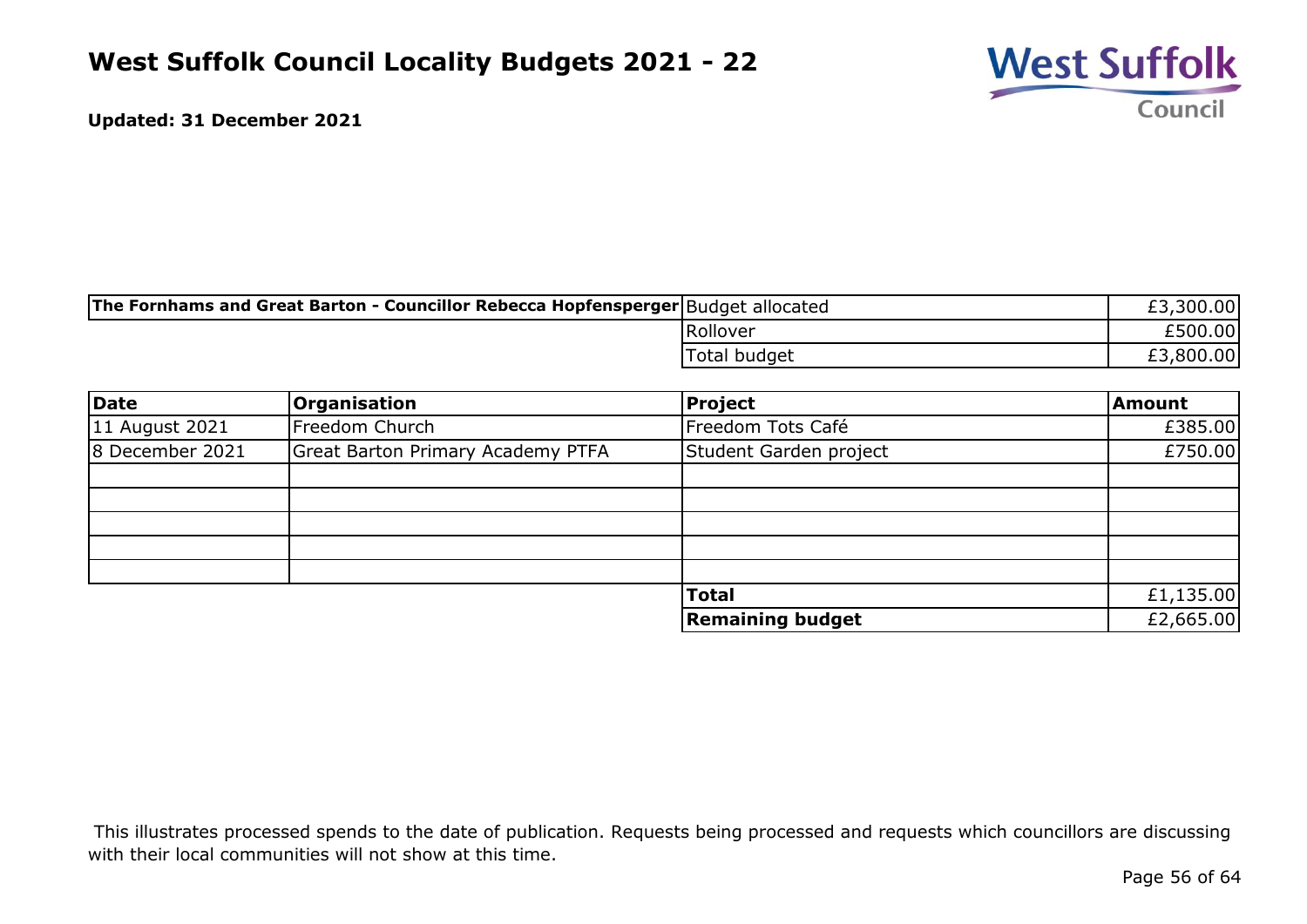

| The Fornhams and Great Barton - Councillor Rebecca Hopfensperger Budget allocated |              | 300.00    |
|-----------------------------------------------------------------------------------|--------------|-----------|
|                                                                                   | Rollover     | £500.00   |
|                                                                                   | Total budget | £3,800.00 |

| Date            | <b>Organisation</b>                      | <b>Project</b>          | <b>Amount</b> |
|-----------------|------------------------------------------|-------------------------|---------------|
| 11 August 2021  | Freedom Church                           | Freedom Tots Café       | £385.00       |
| 8 December 2021 | <b>Great Barton Primary Academy PTFA</b> | Student Garden project  | £750.00       |
|                 |                                          |                         |               |
|                 |                                          |                         |               |
|                 |                                          |                         |               |
|                 |                                          |                         |               |
|                 |                                          |                         |               |
|                 |                                          | <b>Total</b>            | £1,135.00     |
|                 |                                          | <b>Remaining budget</b> | £2,665.00     |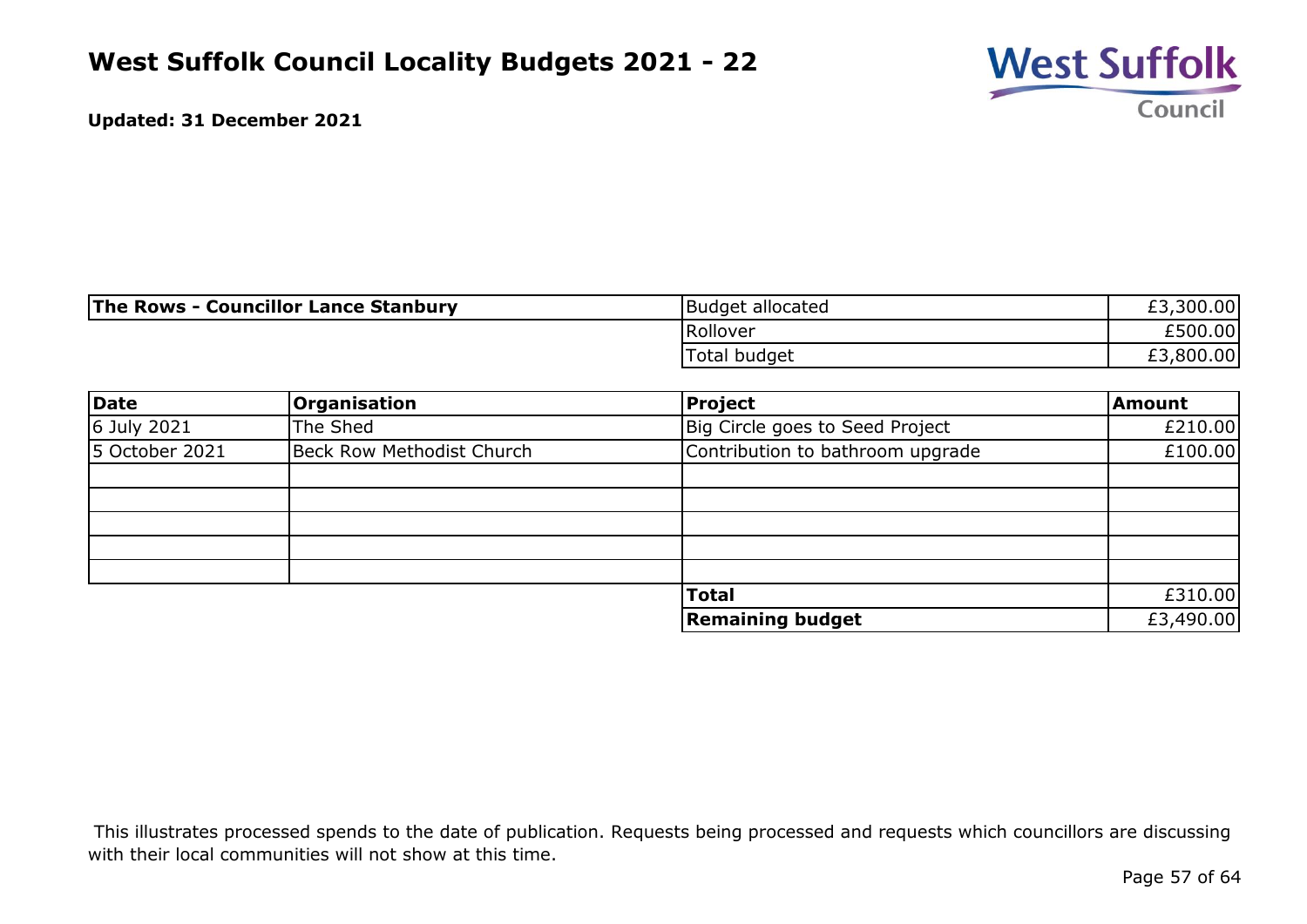

| The Rows - Councillor Lance Stanbury | Budget allocated | £3,300.00 |
|--------------------------------------|------------------|-----------|
|                                      | Rollover         | £500.00   |
|                                      | Total budget     | £3,800.00 |

| Date           | <b>Organisation</b>              | <b>Project</b>                   | <b>Amount</b> |
|----------------|----------------------------------|----------------------------------|---------------|
| 6 July 2021    | The Shed                         | Big Circle goes to Seed Project  | £210.00       |
| 5 October 2021 | <b>Beck Row Methodist Church</b> | Contribution to bathroom upgrade | £100.00       |
|                |                                  |                                  |               |
|                |                                  |                                  |               |
|                |                                  |                                  |               |
|                |                                  |                                  |               |
|                |                                  |                                  |               |
|                |                                  | <b>Total</b>                     | £310.00       |
|                |                                  | <b>Remaining budget</b>          | £3,490.00     |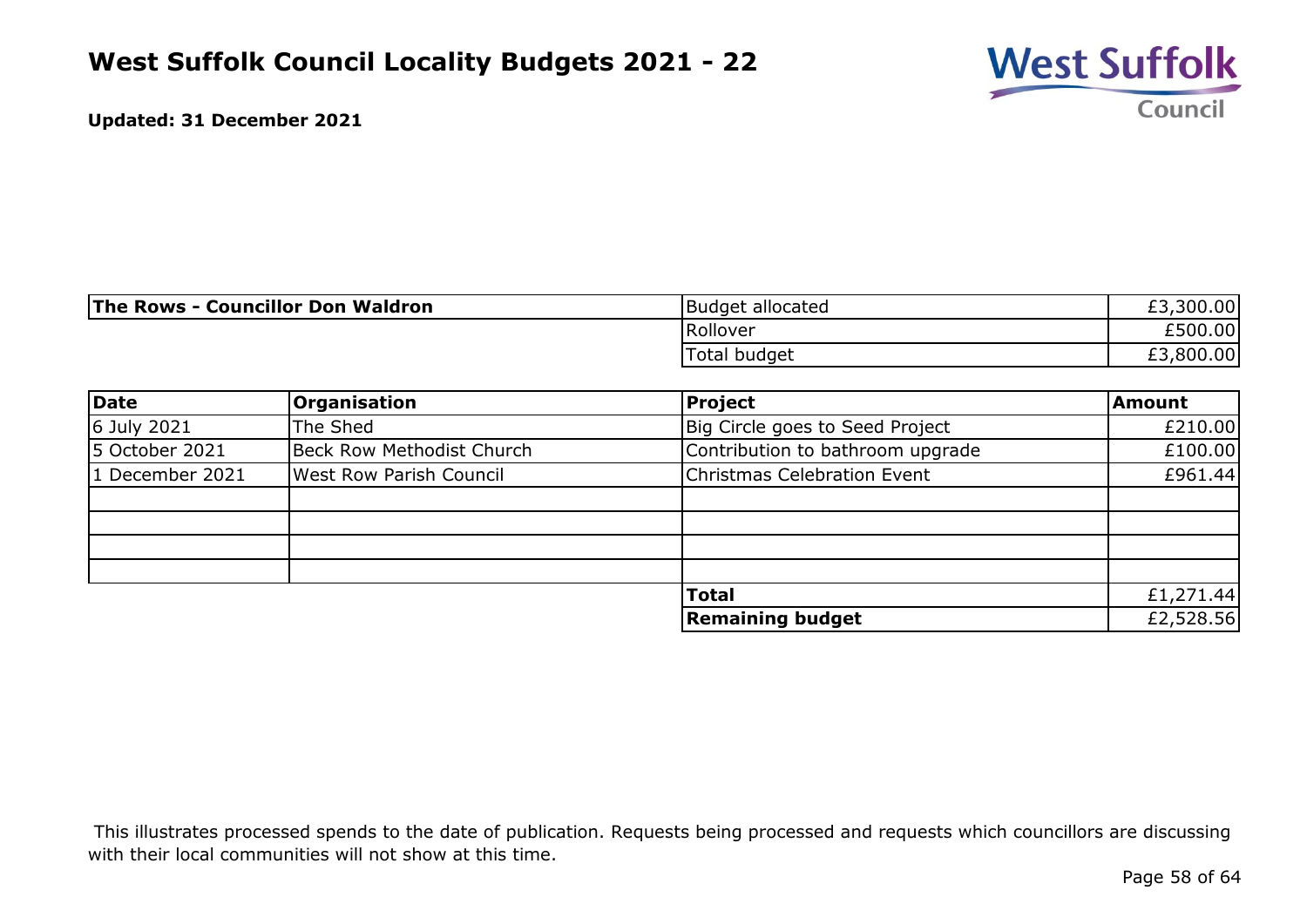

| <b>The Rows - Councillor Don Waldron</b> | <b>Budget allocated</b> | £3,300.00 |
|------------------------------------------|-------------------------|-----------|
|                                          | Rollover                | £500.00   |
|                                          | Total budget            | £3,800.00 |

| Date            | <b>Organisation</b>              | Project                          | <b>Amount</b> |
|-----------------|----------------------------------|----------------------------------|---------------|
| 6 July 2021     | The Shed                         | Big Circle goes to Seed Project  | £210.00       |
| 5 October 2021  | <b>Beck Row Methodist Church</b> | Contribution to bathroom upgrade | £100.00       |
| 1 December 2021 | <b>West Row Parish Council</b>   | Christmas Celebration Event      | £961.44       |
|                 |                                  |                                  |               |
|                 |                                  |                                  |               |
|                 |                                  |                                  |               |
|                 |                                  |                                  |               |
|                 |                                  | <b>Total</b>                     | £1,271.44     |
|                 |                                  | <b>Remaining budget</b>          | £2,528.56     |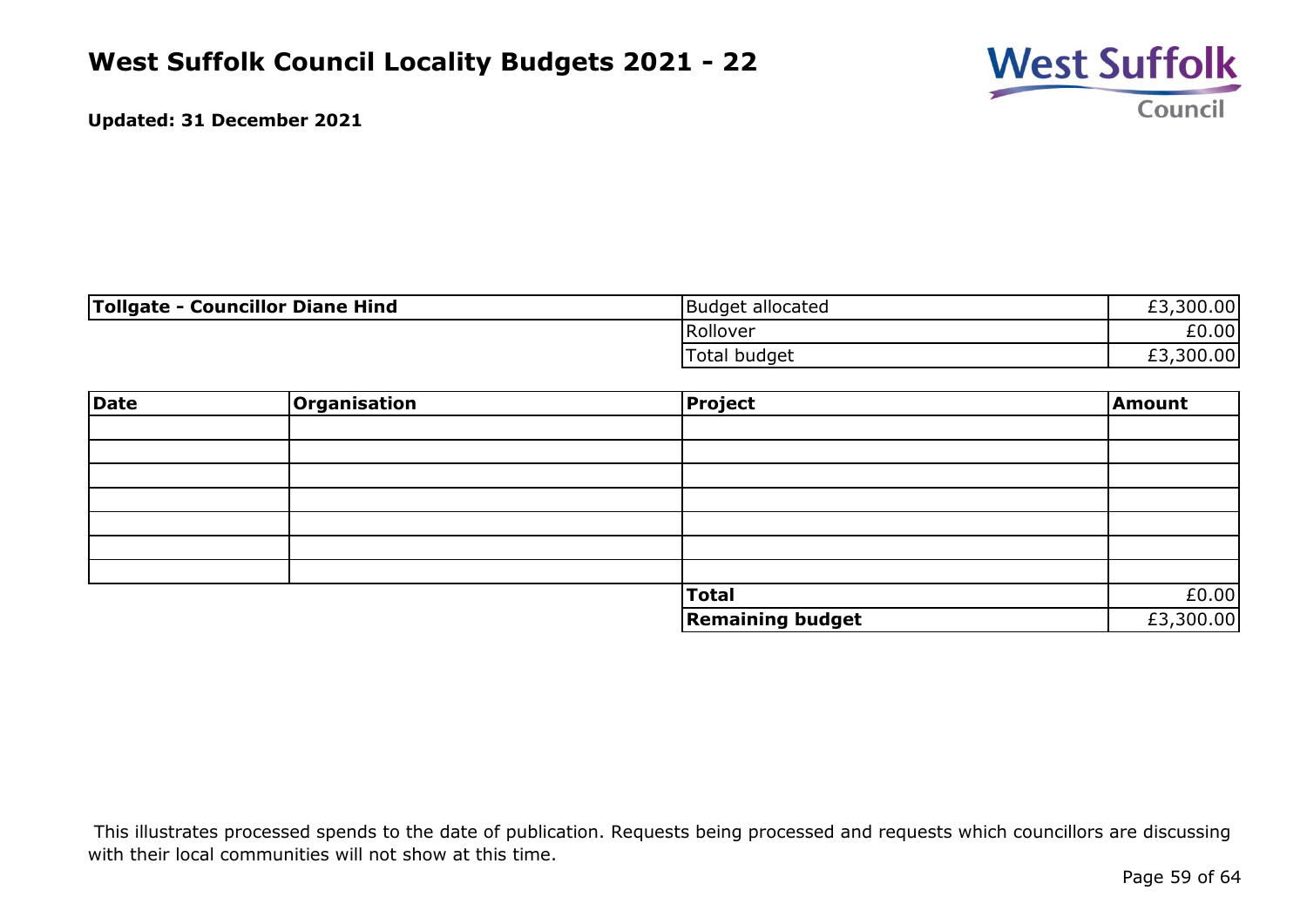

| <b>Tollgate - Councillor Diane Hind</b> | Budget allocated | £3,300.00 |
|-----------------------------------------|------------------|-----------|
|                                         | Rollover         | £0.00     |
|                                         | Total budget     | £3,300.00 |

| Date | Organisation | Project                 | <b>Amount</b> |
|------|--------------|-------------------------|---------------|
|      |              |                         |               |
|      |              |                         |               |
|      |              |                         |               |
|      |              |                         |               |
|      |              |                         |               |
|      |              |                         |               |
|      |              |                         |               |
|      |              | Total                   | £0.00         |
|      |              | <b>Remaining budget</b> | £3,300.00     |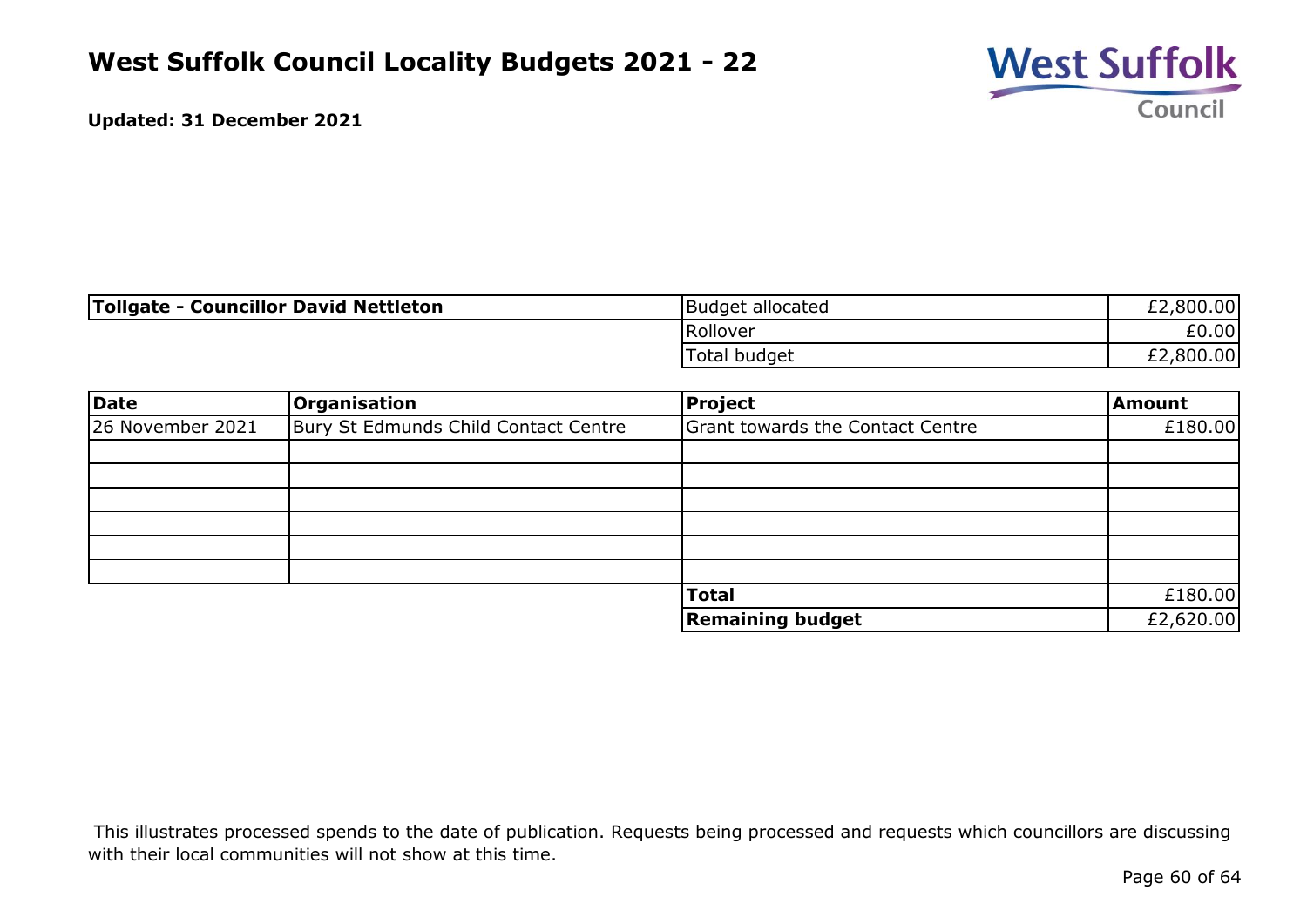

| Tollgate - Councillor David Nettleton | Budget allocated | £2,800.00 |
|---------------------------------------|------------------|-----------|
|                                       | Rollover         | £0.00     |
|                                       | Total budget     | £2,800.00 |

| Date             | <b>Organisation</b>                  | Project                          | <b>Amount</b> |
|------------------|--------------------------------------|----------------------------------|---------------|
| 26 November 2021 | Bury St Edmunds Child Contact Centre | Grant towards the Contact Centre | £180.00       |
|                  |                                      |                                  |               |
|                  |                                      |                                  |               |
|                  |                                      |                                  |               |
|                  |                                      |                                  |               |
|                  |                                      |                                  |               |
|                  |                                      |                                  |               |
|                  |                                      | <b>Total</b>                     | £180.00       |
|                  |                                      | <b>Remaining budget</b>          | £2,620.00     |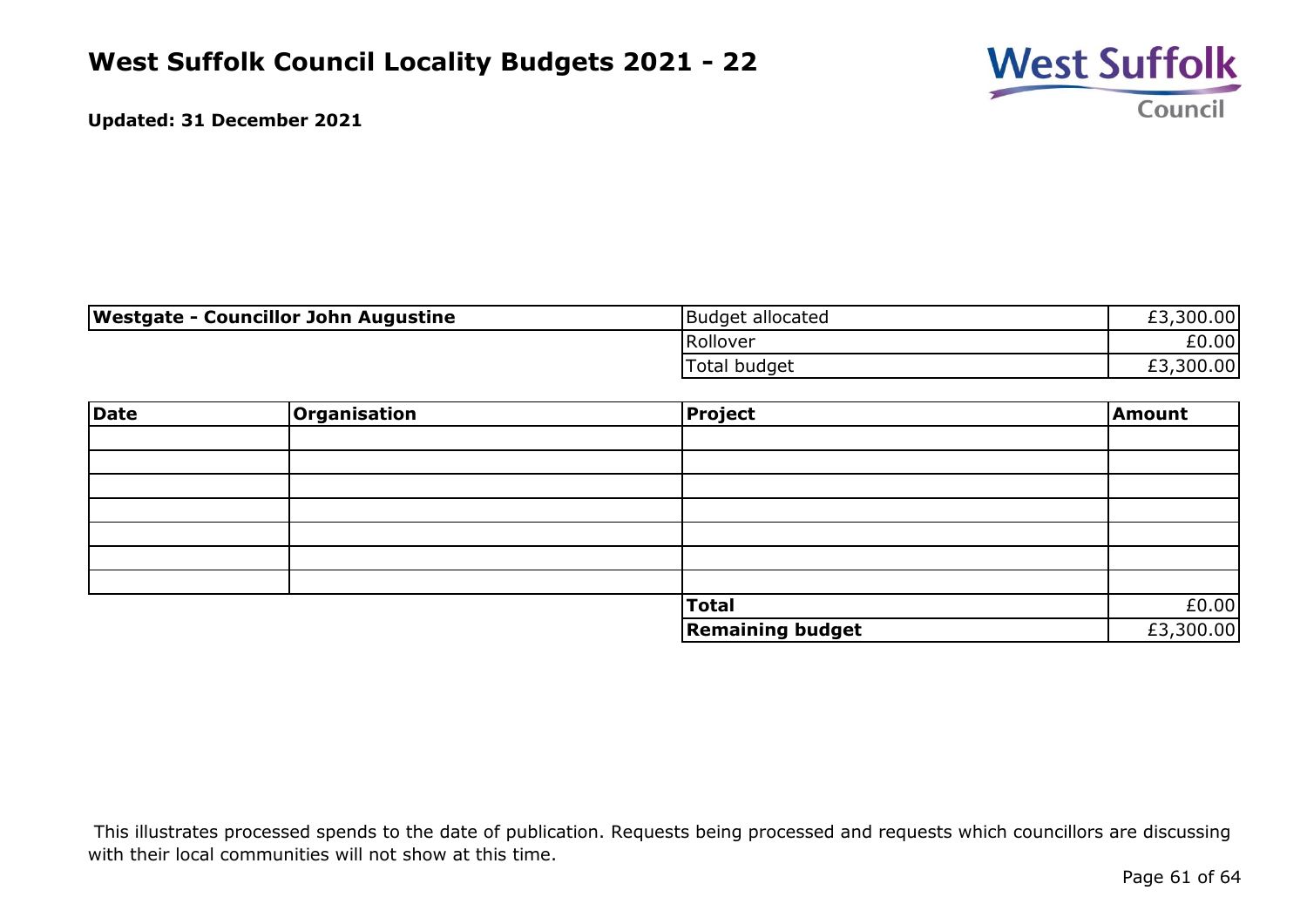

| Westgate - Councillor John Augustine | Budget allocated | £3,300.00 |
|--------------------------------------|------------------|-----------|
|                                      | Rollover         | £0.00     |
|                                      | Total budget     | £3,300.00 |

| Date | Organisation | Project                 | Amount    |
|------|--------------|-------------------------|-----------|
|      |              |                         |           |
|      |              |                         |           |
|      |              |                         |           |
|      |              |                         |           |
|      |              |                         |           |
|      |              |                         |           |
|      |              |                         |           |
|      |              | <b>Total</b>            | £0.00     |
|      |              | <b>Remaining budget</b> | £3,300.00 |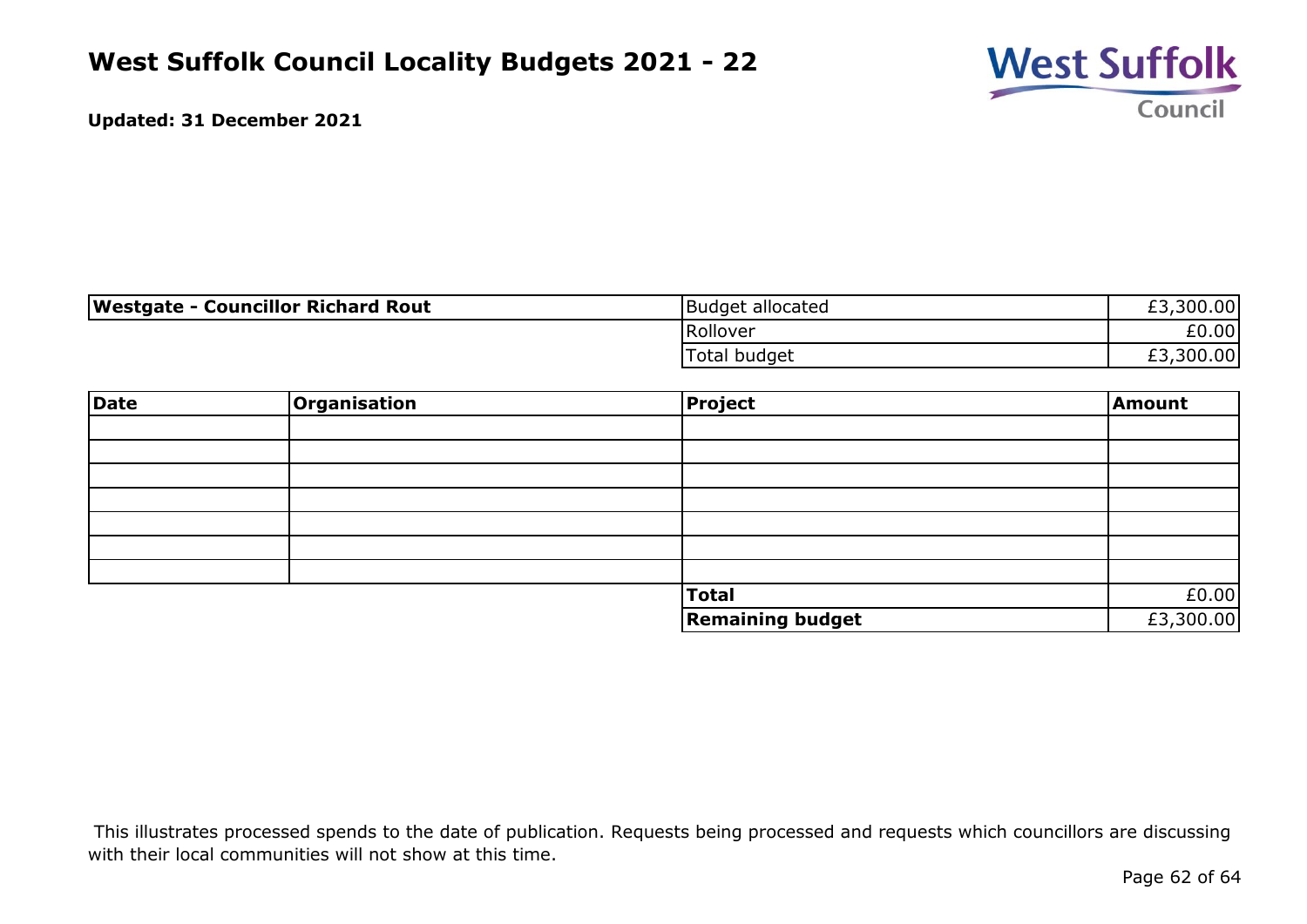

| <b>Westgate - Councillor Richard Rout</b> | Budget allocated | £3,300.00 |
|-------------------------------------------|------------------|-----------|
|                                           | Rollover         | £0.00     |
|                                           | Total budget     | £3,300.00 |

| Date | Organisation | Project                 | <b>Amount</b> |
|------|--------------|-------------------------|---------------|
|      |              |                         |               |
|      |              |                         |               |
|      |              |                         |               |
|      |              |                         |               |
|      |              |                         |               |
|      |              |                         |               |
|      |              |                         |               |
|      |              | Total                   | £0.00         |
|      |              | <b>Remaining budget</b> | £3,300.00     |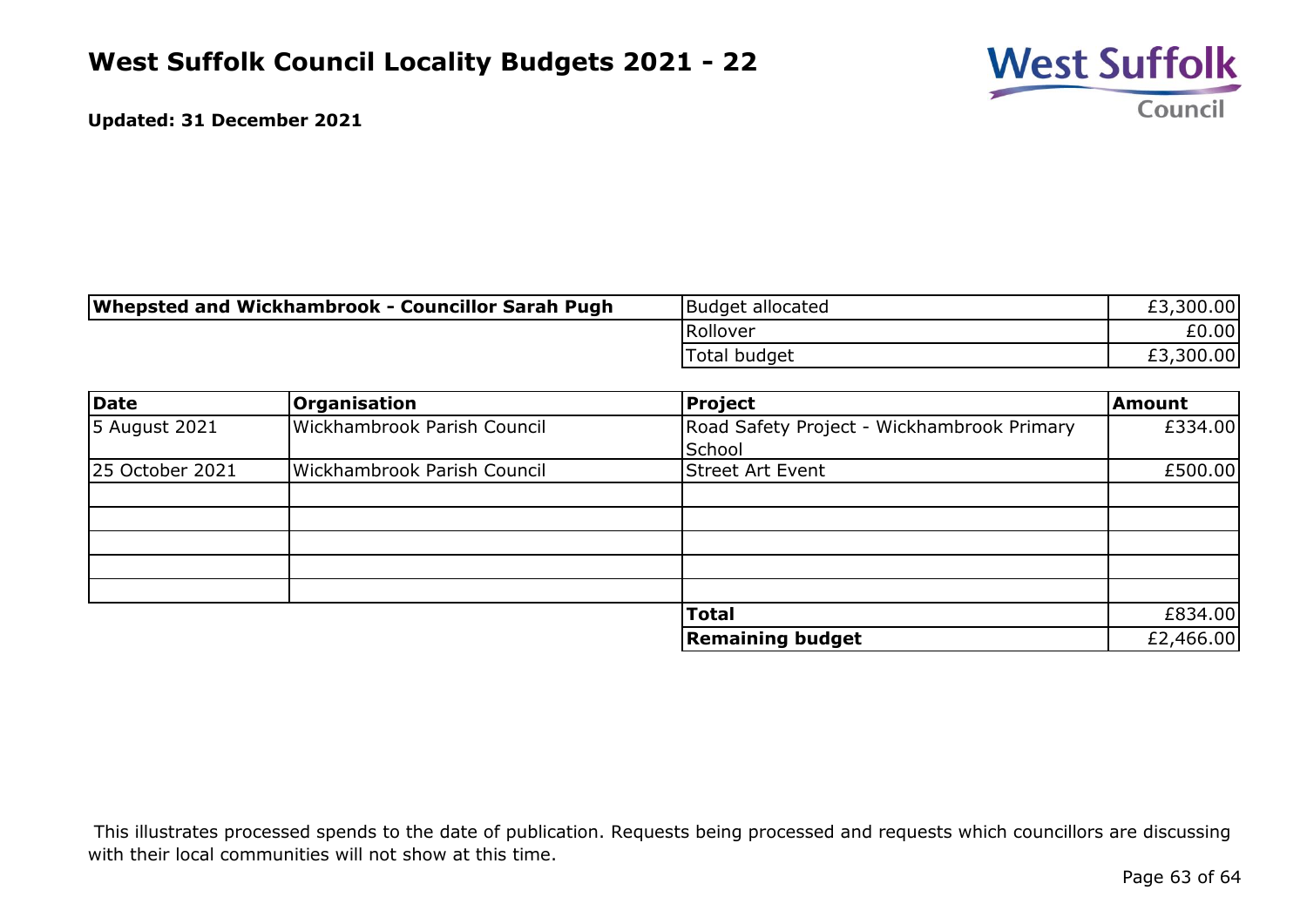

| Whepsted and Wickhambrook - Councillor Sarah Pugh | Budget allocated | £3,300.00 |
|---------------------------------------------------|------------------|-----------|
|                                                   | lRollover        | E0.00     |
|                                                   | Total budget     | £3,300.00 |

| Date            | <b>Organisation</b>                | <b>Project</b>                             | <b>Amount</b> |
|-----------------|------------------------------------|--------------------------------------------|---------------|
| 5 August 2021   | Wickhambrook Parish Council        | Road Safety Project - Wickhambrook Primary | £334.00       |
|                 |                                    | School                                     |               |
| 25 October 2021 | <b>Wickhambrook Parish Council</b> | <b>Street Art Event</b>                    | £500.00       |
|                 |                                    |                                            |               |
|                 |                                    |                                            |               |
|                 |                                    |                                            |               |
|                 |                                    |                                            |               |
|                 |                                    |                                            |               |
|                 |                                    | <b>Total</b>                               | £834.00       |
|                 |                                    | <b>Remaining budget</b>                    | £2,466.00     |